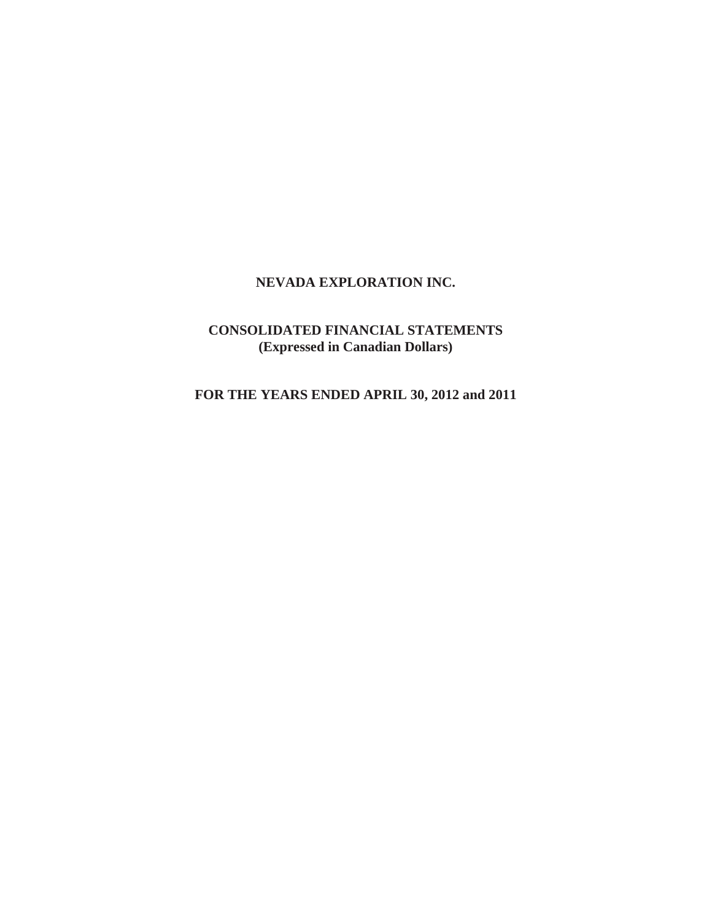# **NEVADA EXPLORATION INC.**

# **CONSOLIDATED FINANCIAL STATEMENTS (Expressed in Canadian Dollars)**

**FOR THE YEARS ENDED APRIL 30, 2012 and 2011**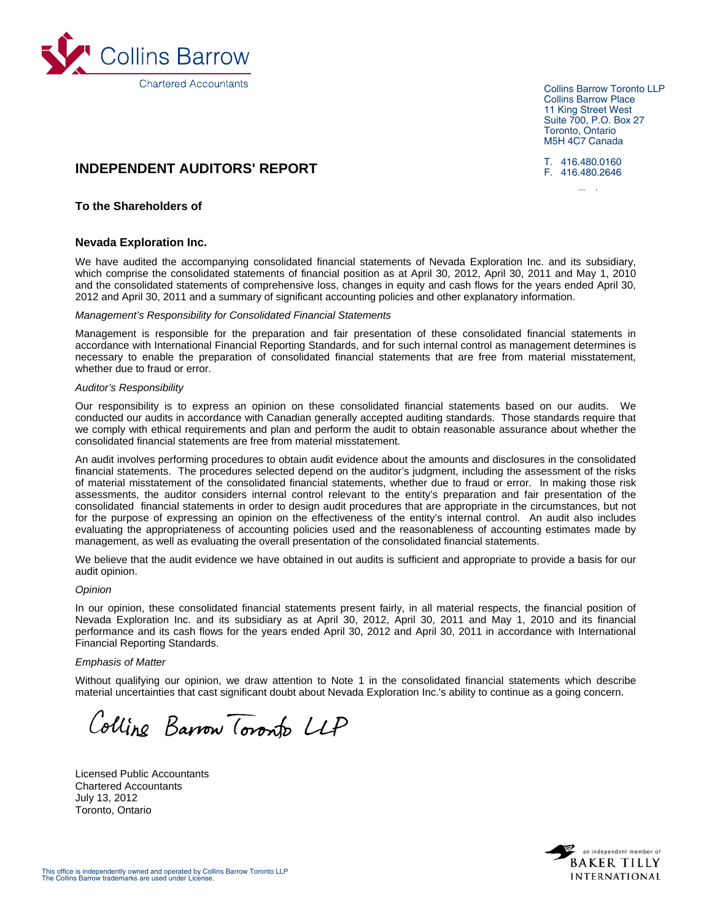

Collins Barrow Toronto LLP Collins Barrow Place 11 King Street West Suite 700, P.O. Box 27 Toronto, Ontario M5H 4C7 Canada

T. 416.480.0160 F. 416.480.2646

lli b

# **INDEPENDENT AUDITORS' REPORT**

### **To the Shareholders of**

#### **Nevada Exploration Inc.**

We have audited the accompanying consolidated financial statements of Nevada Exploration Inc. and its subsidiary, which comprise the consolidated statements of financial position as at April 30, 2012, April 30, 2011 and May 1, 2010 and the consolidated statements of comprehensive loss, changes in equity and cash flows for the years ended April 30, 2012 and April 30, 2011 and a summary of significant accounting policies and other explanatory information.

#### *Management's Responsibility for Consolidated Financial Statements*

Management is responsible for the preparation and fair presentation of these consolidated financial statements in accordance with International Financial Reporting Standards, and for such internal control as management determines is necessary to enable the preparation of consolidated financial statements that are free from material misstatement, whether due to fraud or error.

#### *Auditor's Responsibility*

Our responsibility is to express an opinion on these consolidated financial statements based on our audits. We conducted our audits in accordance with Canadian generally accepted auditing standards. Those standards require that we comply with ethical requirements and plan and perform the audit to obtain reasonable assurance about whether the consolidated financial statements are free from material misstatement.

An audit involves performing procedures to obtain audit evidence about the amounts and disclosures in the consolidated financial statements. The procedures selected depend on the auditor's judgment, including the assessment of the risks of material misstatement of the consolidated financial statements, whether due to fraud or error. In making those risk assessments, the auditor considers internal control relevant to the entity's preparation and fair presentation of the consolidated financial statements in order to design audit procedures that are appropriate in the circumstances, but not for the purpose of expressing an opinion on the effectiveness of the entity's internal control. An audit also includes evaluating the appropriateness of accounting policies used and the reasonableness of accounting estimates made by management, as well as evaluating the overall presentation of the consolidated financial statements.

We believe that the audit evidence we have obtained in out audits is sufficient and appropriate to provide a basis for our audit opinion.

#### *Opinion*

In our opinion, these consolidated financial statements present fairly, in all material respects, the financial position of Nevada Exploration Inc. and its subsidiary as at April 30, 2012, April 30, 2011 and May 1, 2010 and its financial performance and its cash flows for the years ended April 30, 2012 and April 30, 2011 in accordance with International Financial Reporting Standards.

#### *Emphasis of Matter*

Without qualifying our opinion, we draw attention to Note 1 in the consolidated financial statements which describe material uncertainties that cast significant doubt about Nevada Exploration Inc.'s ability to continue as a going concern.

Colline Barrow Toronto LLP

Licensed Public Accountants Chartered Accountants July 13, 2012 Toronto, Ontario

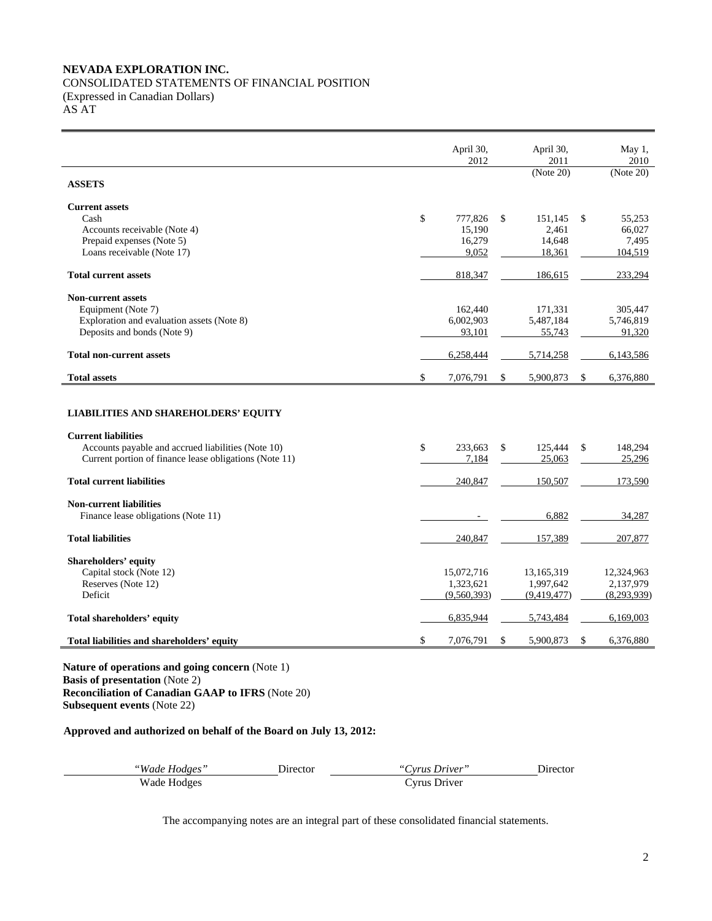# **NEVADA EXPLORATION INC.**

# CONSOLIDATED STATEMENTS OF FINANCIAL POSITION

(Expressed in Canadian Dollars)

AS AT

|                                                                                                                                                                                           | April 30,<br>2012        | April 30,<br>2011        |              | May 1,<br>2010           |
|-------------------------------------------------------------------------------------------------------------------------------------------------------------------------------------------|--------------------------|--------------------------|--------------|--------------------------|
| <b>ASSETS</b>                                                                                                                                                                             |                          | (Note 20)                |              | (Note 20)                |
| <b>Current assets</b>                                                                                                                                                                     |                          |                          |              |                          |
| Cash                                                                                                                                                                                      | \$<br>777,826            | \$<br>151.145            | \$           | 55,253                   |
| Accounts receivable (Note 4)                                                                                                                                                              | 15,190                   | 2,461                    |              | 66,027                   |
| Prepaid expenses (Note 5)                                                                                                                                                                 | 16,279                   | 14,648                   |              | 7,495                    |
| Loans receivable (Note 17)                                                                                                                                                                | 9,052                    | 18,361                   |              | 104,519                  |
| <b>Total current assets</b>                                                                                                                                                               | 818,347                  | 186,615                  |              | 233,294                  |
| <b>Non-current assets</b>                                                                                                                                                                 |                          |                          |              |                          |
| Equipment (Note 7)                                                                                                                                                                        | 162,440                  | 171,331                  |              | 305,447                  |
| Exploration and evaluation assets (Note 8)                                                                                                                                                | 6,002,903                | 5,487,184                |              | 5,746,819                |
| Deposits and bonds (Note 9)                                                                                                                                                               | 93,101                   | 55,743                   |              | 91,320                   |
| <b>Total non-current assets</b>                                                                                                                                                           | 6,258,444                | 5,714,258                |              | 6,143,586                |
|                                                                                                                                                                                           |                          |                          |              |                          |
| <b>Total assets</b>                                                                                                                                                                       | \$<br>7,076,791          | \$<br>5,900,873          | $\mathbb{S}$ | 6,376,880                |
| <b>LIABILITIES AND SHAREHOLDERS' EQUITY</b><br><b>Current liabilities</b><br>Accounts payable and accrued liabilities (Note 10)<br>Current portion of finance lease obligations (Note 11) | \$<br>233,663<br>7,184   | \$<br>125,444<br>25,063  | \$           | 148.294<br>25,296        |
| <b>Total current liabilities</b>                                                                                                                                                          | 240,847                  | 150,507                  |              | 173,590                  |
|                                                                                                                                                                                           |                          |                          |              |                          |
| <b>Non-current liabilities</b><br>Finance lease obligations (Note 11)                                                                                                                     |                          | 6,882                    |              | 34,287                   |
| <b>Total liabilities</b>                                                                                                                                                                  | 240,847                  | 157,389                  |              | 207,877                  |
|                                                                                                                                                                                           |                          |                          |              |                          |
| <b>Shareholders' equity</b>                                                                                                                                                               |                          |                          |              |                          |
| Capital stock (Note 12)                                                                                                                                                                   | 15,072,716               | 13,165,319               |              | 12,324,963               |
| Reserves (Note 12)<br>Deficit                                                                                                                                                             | 1,323,621<br>(9,560,393) | 1,997,642<br>(9,419,477) |              | 2,137,979<br>(8,293,939) |
| Total shareholders' equity                                                                                                                                                                | 6,835,944                | 5,743,484                |              | 6,169,003                |

**Nature of operations and going concern** (Note 1) **Basis of presentation** (Note 2) **Reconciliation of Canadian GAAP to IFRS** (Note 20) **Subsequent events** (Note 22)

# **Approved and authorized on behalf of the Board on July 13, 2012:**

| "Wade Hodges" | <b>Jirector</b> | "Cyrus Driver" | <b>Jirector</b> |
|---------------|-----------------|----------------|-----------------|
| Wade Hodges   |                 | Cyrus Driver   |                 |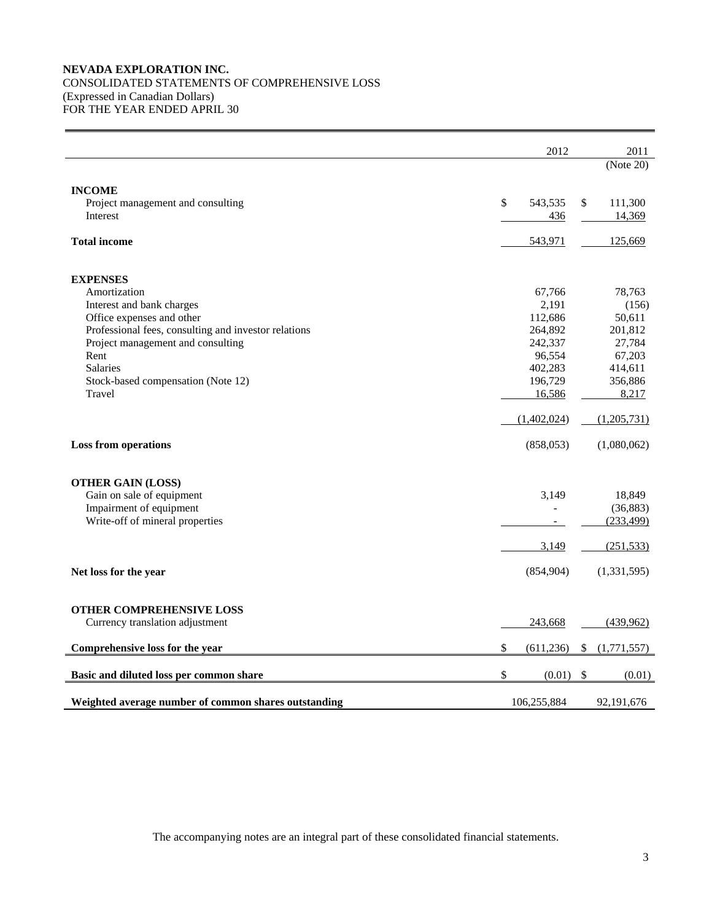# **NEVADA EXPLORATION INC.**  CONSOLIDATED STATEMENTS OF COMPREHENSIVE LOSS (Expressed in Canadian Dollars)

FOR THE YEAR ENDED APRIL 30

 $\blacksquare$ 

|                                                      |      | 2012        |              | 2011        |
|------------------------------------------------------|------|-------------|--------------|-------------|
|                                                      |      |             |              | (Note 20)   |
| <b>INCOME</b>                                        |      |             |              |             |
| Project management and consulting                    | \$   | 543,535     | \$           | 111,300     |
| Interest                                             |      | 436         |              | 14,369      |
| <b>Total income</b>                                  |      | 543,971     |              | 125,669     |
| <b>EXPENSES</b>                                      |      |             |              |             |
| Amortization                                         |      | 67,766      |              | 78,763      |
| Interest and bank charges                            |      | 2,191       |              | (156)       |
| Office expenses and other                            |      | 112,686     |              | 50,611      |
| Professional fees, consulting and investor relations |      | 264,892     |              | 201,812     |
| Project management and consulting                    |      | 242,337     |              | 27,784      |
| Rent                                                 |      | 96,554      |              | 67,203      |
| <b>Salaries</b>                                      |      | 402,283     |              | 414,611     |
| Stock-based compensation (Note 12)                   |      | 196,729     |              | 356,886     |
| Travel                                               |      | 16,586      |              | 8,217       |
|                                                      |      | (1,402,024) |              | (1,205,731) |
| <b>Loss from operations</b>                          |      | (858, 053)  |              | (1,080,062) |
| <b>OTHER GAIN (LOSS)</b>                             |      |             |              |             |
| Gain on sale of equipment                            |      | 3,149       |              | 18,849      |
| Impairment of equipment                              |      |             |              | (36, 883)   |
| Write-off of mineral properties                      |      |             |              | (233, 499)  |
|                                                      |      | 3,149       |              | (251, 533)  |
| Net loss for the year                                |      | (854,904)   |              | (1,331,595) |
| OTHER COMPREHENSIVE LOSS                             |      |             |              |             |
| Currency translation adjustment                      |      | 243,668     |              | (439, 962)  |
| Comprehensive loss for the year                      | \$   | (611, 236)  | \$           | (1,771,557) |
| Basic and diluted loss per common share              | $\$$ | (0.01)      | $\mathbb{S}$ | (0.01)      |
| Weighted average number of common shares outstanding |      | 106,255,884 |              | 92,191,676  |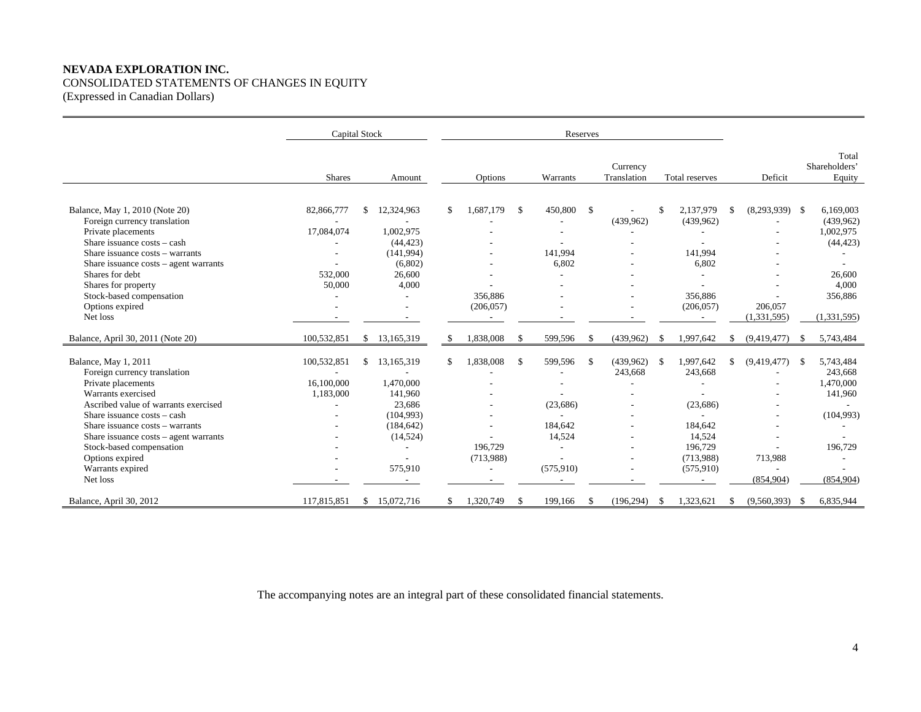# **NEVADA EXPLORATION INC.**  CONSOLIDATED STATEMENTS OF CHANGES IN EQUITY (Expressed in Canadian Dollars)

|                                                                                                                                                                                                                                                                                                        |                                               | Capital Stock |                                                                                 |     | Reserves                           |               |                                                         |              |                         |          |                                                                     |     |                                            |      |                                                                                               |  |  |  |  |  |  |  |
|--------------------------------------------------------------------------------------------------------------------------------------------------------------------------------------------------------------------------------------------------------------------------------------------------------|-----------------------------------------------|---------------|---------------------------------------------------------------------------------|-----|------------------------------------|---------------|---------------------------------------------------------|--------------|-------------------------|----------|---------------------------------------------------------------------|-----|--------------------------------------------|------|-----------------------------------------------------------------------------------------------|--|--|--|--|--|--|--|
|                                                                                                                                                                                                                                                                                                        | <b>Shares</b>                                 |               | Amount                                                                          |     | Options                            |               | Warrants                                                |              | Currency<br>Translation |          | <b>Total reserves</b>                                               |     | Deficit                                    |      | Total<br>Shareholders'<br>Equity                                                              |  |  |  |  |  |  |  |
| Balance, May 1, 2010 (Note 20)<br>Foreign currency translation<br>Private placements<br>Share issuance costs – cash<br>Share issuance costs – warrants<br>Share issuance $costs - agent warrants$<br>Shares for debt<br>Shares for property<br>Stock-based compensation<br>Options expired<br>Net loss | 82,866,777<br>17,084,074<br>532,000<br>50,000 | \$.           | 12,324,963<br>1,002,975<br>(44, 423)<br>(141,994)<br>(6,802)<br>26,600<br>4,000 | \$  | 1.687.179<br>356,886<br>(206, 057) | -S            | 450,800<br>$\overline{\phantom{a}}$<br>141,994<br>6,802 | $\mathbb{S}$ | (439,962)               |          | 2,137,979<br>(439,962)<br>141,994<br>6,802<br>356,886<br>(206, 057) | \$. | $(8,293,939)$ \$<br>206,057<br>(1,331,595) |      | 6,169,003<br>(439,962)<br>1,002,975<br>(44, 423)<br>26,600<br>4,000<br>356,886<br>(1,331,595) |  |  |  |  |  |  |  |
| Balance, April 30, 2011 (Note 20)                                                                                                                                                                                                                                                                      | 100,532,851                                   | \$            | 13,165,319                                                                      | \$. | 1,838,008                          | -S            | 599,596                                                 | \$           | (439,962)               | -S       | 1,997,642                                                           | -S  | (9,419,477)                                | -S   | 5,743,484                                                                                     |  |  |  |  |  |  |  |
| Balance, May 1, 2011<br>Foreign currency translation                                                                                                                                                                                                                                                   | 100,532,851                                   | .S            | 13,165,319                                                                      | \$  | 1,838,008                          | $\mathcal{S}$ | 599,596                                                 | $\mathbb{S}$ | (439,962)<br>243,668    | - \$     | 1,997,642<br>243,668                                                | \$  | (9,419,477)                                | -S   | 5,743,484<br>243,668                                                                          |  |  |  |  |  |  |  |
| Private placements                                                                                                                                                                                                                                                                                     | 16,100,000                                    |               | 1,470,000                                                                       |     |                                    |               |                                                         |              |                         |          |                                                                     |     |                                            |      | 1,470,000                                                                                     |  |  |  |  |  |  |  |
| Warrants exercised                                                                                                                                                                                                                                                                                     | 1,183,000                                     |               | 141,960                                                                         |     |                                    |               |                                                         |              |                         |          |                                                                     |     |                                            |      | 141,960                                                                                       |  |  |  |  |  |  |  |
| Ascribed value of warrants exercised                                                                                                                                                                                                                                                                   |                                               |               | 23,686                                                                          |     |                                    |               | (23,686)                                                |              |                         |          | (23,686)                                                            |     |                                            |      |                                                                                               |  |  |  |  |  |  |  |
| Share issuance costs – cash<br>Share issuance costs – warrants                                                                                                                                                                                                                                         |                                               |               | (104,993)<br>(184, 642)                                                         |     |                                    |               | 184,642                                                 |              |                         |          | 184,642                                                             |     |                                            |      | (104,993)                                                                                     |  |  |  |  |  |  |  |
| Share issuance $costs - agent warrants$                                                                                                                                                                                                                                                                |                                               |               | (14, 524)                                                                       |     |                                    |               | 14,524                                                  |              |                         |          | 14,524                                                              |     |                                            |      |                                                                                               |  |  |  |  |  |  |  |
| Stock-based compensation                                                                                                                                                                                                                                                                               |                                               |               |                                                                                 |     | 196,729                            |               |                                                         |              |                         |          | 196,729                                                             |     |                                            |      | 196,729                                                                                       |  |  |  |  |  |  |  |
| Options expired                                                                                                                                                                                                                                                                                        |                                               |               |                                                                                 |     | (713,988)                          |               |                                                         |              |                         |          | (713,988)                                                           |     | 713,988                                    |      |                                                                                               |  |  |  |  |  |  |  |
| Warrants expired<br>Net loss                                                                                                                                                                                                                                                                           |                                               |               | 575,910                                                                         |     |                                    |               | (575, 910)                                              |              |                         |          | (575, 910)                                                          |     | (854,904)                                  |      | (854,904)                                                                                     |  |  |  |  |  |  |  |
| Balance, April 30, 2012                                                                                                                                                                                                                                                                                | 117,815,851                                   |               | \$15,072,716                                                                    |     | 1,320,749                          | \$.           | 199,166                                                 | \$           | (196, 294)              | <b>S</b> | 1,323,621                                                           | -S  | (9,560,393)                                | - \$ | 6,835,944                                                                                     |  |  |  |  |  |  |  |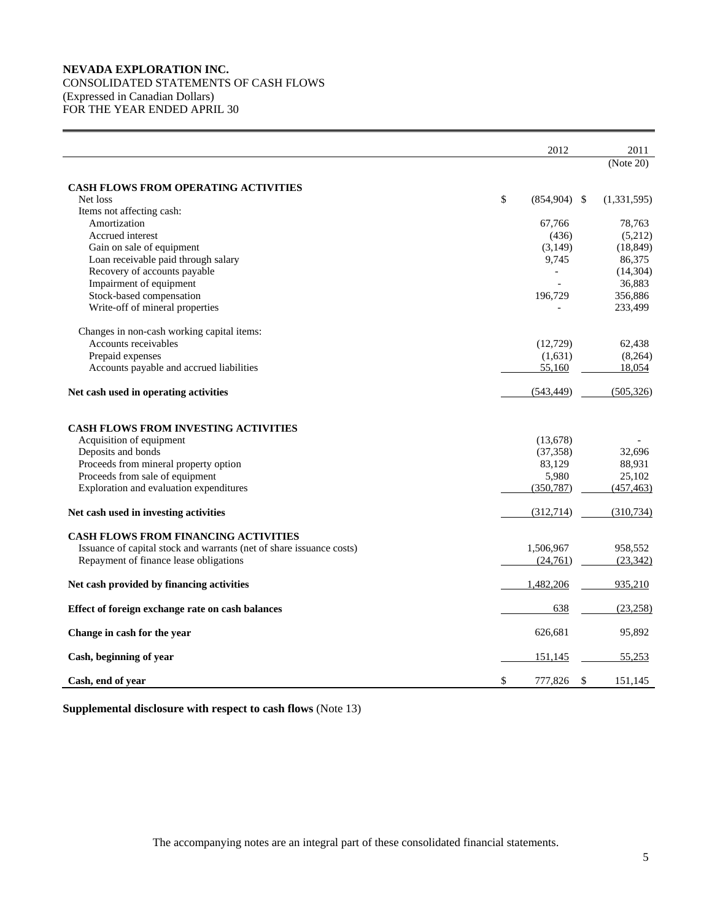# **NEVADA EXPLORATION INC.**  CONSOLIDATED STATEMENTS OF CASH FLOWS (Expressed in Canadian Dollars) FOR THE YEAR ENDED APRIL 30

|                                                                      | 2012                 | 2011          |
|----------------------------------------------------------------------|----------------------|---------------|
|                                                                      |                      | (Note 20)     |
| <b>CASH FLOWS FROM OPERATING ACTIVITIES</b>                          |                      |               |
| Net loss                                                             | \$<br>$(854,904)$ \$ | (1,331,595)   |
| Items not affecting cash:                                            |                      |               |
| Amortization                                                         | 67,766               | 78,763        |
| Accrued interest                                                     | (436)                | (5,212)       |
| Gain on sale of equipment                                            | (3,149)              | (18, 849)     |
| Loan receivable paid through salary                                  | 9,745                | 86,375        |
| Recovery of accounts payable                                         |                      | (14, 304)     |
| Impairment of equipment                                              |                      | 36,883        |
| Stock-based compensation                                             | 196,729              | 356,886       |
| Write-off of mineral properties                                      |                      | 233,499       |
| Changes in non-cash working capital items:                           |                      |               |
| Accounts receivables                                                 | (12, 729)            | 62,438        |
| Prepaid expenses                                                     | (1,631)              | (8,264)       |
| Accounts payable and accrued liabilities                             | 55,160               | 18,054        |
| Net cash used in operating activities                                | (543, 449)           | (505, 326)    |
| <b>CASH FLOWS FROM INVESTING ACTIVITIES</b>                          |                      |               |
| Acquisition of equipment                                             | (13,678)             |               |
| Deposits and bonds                                                   | (37, 358)            | 32,696        |
| Proceeds from mineral property option                                | 83,129               | 88,931        |
| Proceeds from sale of equipment                                      | 5,980                | 25,102        |
| Exploration and evaluation expenditures                              | (350, 787)           | (457, 463)    |
| Net cash used in investing activities                                | (312,714)            | (310, 734)    |
| CASH FLOWS FROM FINANCING ACTIVITIES                                 |                      |               |
| Issuance of capital stock and warrants (net of share issuance costs) | 1,506,967            | 958,552       |
| Repayment of finance lease obligations                               | (24,761)             | (23, 342)     |
|                                                                      |                      |               |
| Net cash provided by financing activities                            | 1,482,206            | 935,210       |
| Effect of foreign exchange rate on cash balances                     | 638                  | (23, 258)     |
| Change in cash for the year                                          | 626,681              | 95,892        |
| Cash, beginning of year                                              | 151,145              | 55,253        |
| Cash, end of year                                                    | \$<br>777,826        | \$<br>151.145 |

**Supplemental disclosure with respect to cash flows** (Note 13)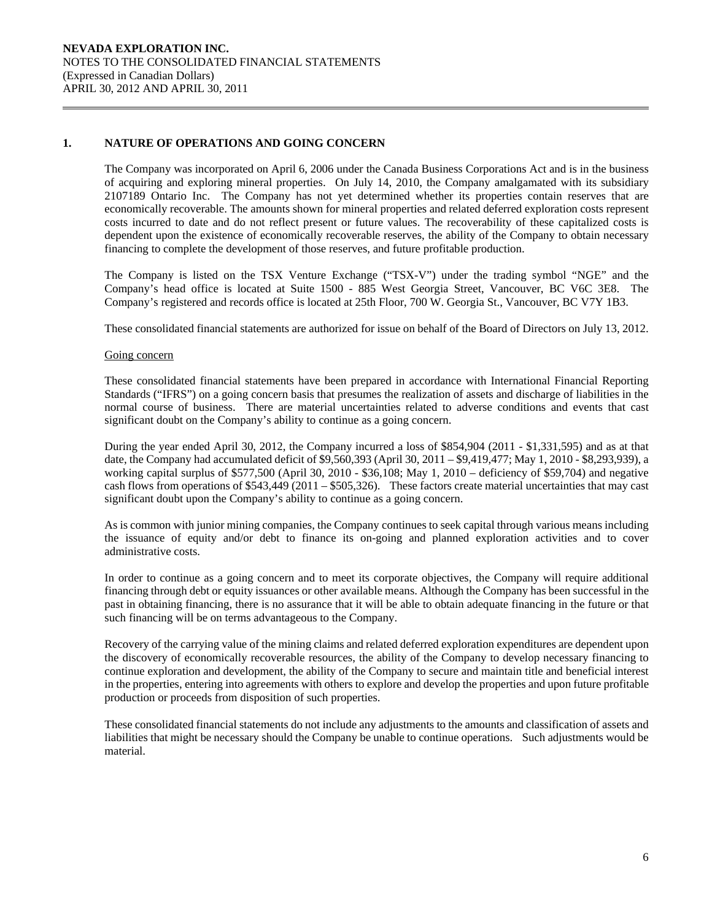### **1. NATURE OF OPERATIONS AND GOING CONCERN**

The Company was incorporated on April 6, 2006 under the Canada Business Corporations Act and is in the business of acquiring and exploring mineral properties. On July 14, 2010, the Company amalgamated with its subsidiary 2107189 Ontario Inc. The Company has not yet determined whether its properties contain reserves that are economically recoverable. The amounts shown for mineral properties and related deferred exploration costs represent costs incurred to date and do not reflect present or future values. The recoverability of these capitalized costs is dependent upon the existence of economically recoverable reserves, the ability of the Company to obtain necessary financing to complete the development of those reserves, and future profitable production.

The Company is listed on the TSX Venture Exchange ("TSX-V") under the trading symbol "NGE" and the Company's head office is located at Suite 1500 - 885 West Georgia Street, Vancouver, BC V6C 3E8. The Company's registered and records office is located at 25th Floor, 700 W. Georgia St., Vancouver, BC V7Y 1B3.

These consolidated financial statements are authorized for issue on behalf of the Board of Directors on July 13, 2012.

#### Going concern

These consolidated financial statements have been prepared in accordance with International Financial Reporting Standards ("IFRS") on a going concern basis that presumes the realization of assets and discharge of liabilities in the normal course of business. There are material uncertainties related to adverse conditions and events that cast significant doubt on the Company's ability to continue as a going concern.

During the year ended April 30, 2012, the Company incurred a loss of \$854,904 (2011 - \$1,331,595) and as at that date, the Company had accumulated deficit of \$9,560,393 (April 30, 2011 – \$9,419,477; May 1, 2010 - \$8,293,939), a working capital surplus of \$577,500 (April 30, 2010 - \$36,108; May 1, 2010 – deficiency of \$59,704) and negative cash flows from operations of \$543,449 (2011 – \$505,326). These factors create material uncertainties that may cast significant doubt upon the Company's ability to continue as a going concern.

As is common with junior mining companies, the Company continues to seek capital through various means including the issuance of equity and/or debt to finance its on-going and planned exploration activities and to cover administrative costs.

In order to continue as a going concern and to meet its corporate objectives, the Company will require additional financing through debt or equity issuances or other available means. Although the Company has been successful in the past in obtaining financing, there is no assurance that it will be able to obtain adequate financing in the future or that such financing will be on terms advantageous to the Company.

 Recovery of the carrying value of the mining claims and related deferred exploration expenditures are dependent upon the discovery of economically recoverable resources, the ability of the Company to develop necessary financing to continue exploration and development, the ability of the Company to secure and maintain title and beneficial interest in the properties, entering into agreements with others to explore and develop the properties and upon future profitable production or proceeds from disposition of such properties.

 These consolidated financial statements do not include any adjustments to the amounts and classification of assets and liabilities that might be necessary should the Company be unable to continue operations. Such adjustments would be material.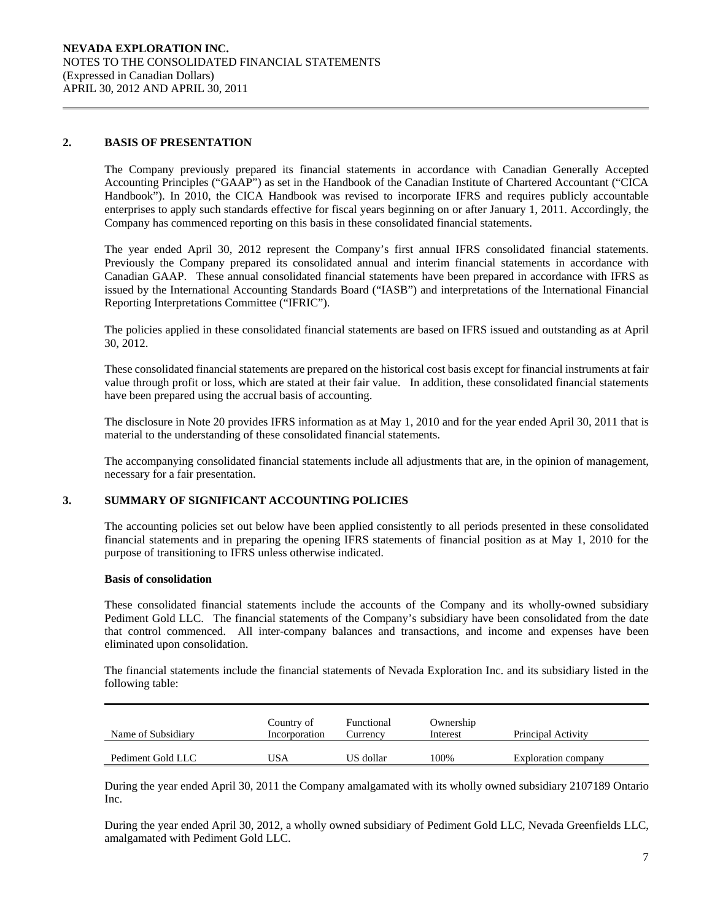#### **2. BASIS OF PRESENTATION**

The Company previously prepared its financial statements in accordance with Canadian Generally Accepted Accounting Principles ("GAAP") as set in the Handbook of the Canadian Institute of Chartered Accountant ("CICA Handbook"). In 2010, the CICA Handbook was revised to incorporate IFRS and requires publicly accountable enterprises to apply such standards effective for fiscal years beginning on or after January 1, 2011. Accordingly, the Company has commenced reporting on this basis in these consolidated financial statements.

 The year ended April 30, 2012 represent the Company's first annual IFRS consolidated financial statements. Previously the Company prepared its consolidated annual and interim financial statements in accordance with Canadian GAAP. These annual consolidated financial statements have been prepared in accordance with IFRS as issued by the International Accounting Standards Board ("IASB") and interpretations of the International Financial Reporting Interpretations Committee ("IFRIC").

 The policies applied in these consolidated financial statements are based on IFRS issued and outstanding as at April 30, 2012.

 These consolidated financial statements are prepared on the historical cost basis except for financial instruments at fair value through profit or loss, which are stated at their fair value. In addition, these consolidated financial statements have been prepared using the accrual basis of accounting.

 The disclosure in Note 20 provides IFRS information as at May 1, 2010 and for the year ended April 30, 2011 that is material to the understanding of these consolidated financial statements.

 The accompanying consolidated financial statements include all adjustments that are, in the opinion of management, necessary for a fair presentation.

### **3. SUMMARY OF SIGNIFICANT ACCOUNTING POLICIES**

 The accounting policies set out below have been applied consistently to all periods presented in these consolidated financial statements and in preparing the opening IFRS statements of financial position as at May 1, 2010 for the purpose of transitioning to IFRS unless otherwise indicated.

## **Basis of consolidation**

 These consolidated financial statements include the accounts of the Company and its wholly-owned subsidiary Pediment Gold LLC. The financial statements of the Company's subsidiary have been consolidated from the date that control commenced. All inter-company balances and transactions, and income and expenses have been eliminated upon consolidation.

The financial statements include the financial statements of Nevada Exploration Inc. and its subsidiary listed in the following table:

| Name of Subsidiary | Country of<br>Incorporation | Functional<br>∠urrencv | Ownership<br>Interest | Principal Activity  |
|--------------------|-----------------------------|------------------------|-----------------------|---------------------|
| Pediment Gold LLC  | JSA                         | US dollar              | 100%                  | Exploration company |

 During the year ended April 30, 2011 the Company amalgamated with its wholly owned subsidiary 2107189 Ontario Inc.

 During the year ended April 30, 2012, a wholly owned subsidiary of Pediment Gold LLC, Nevada Greenfields LLC, amalgamated with Pediment Gold LLC.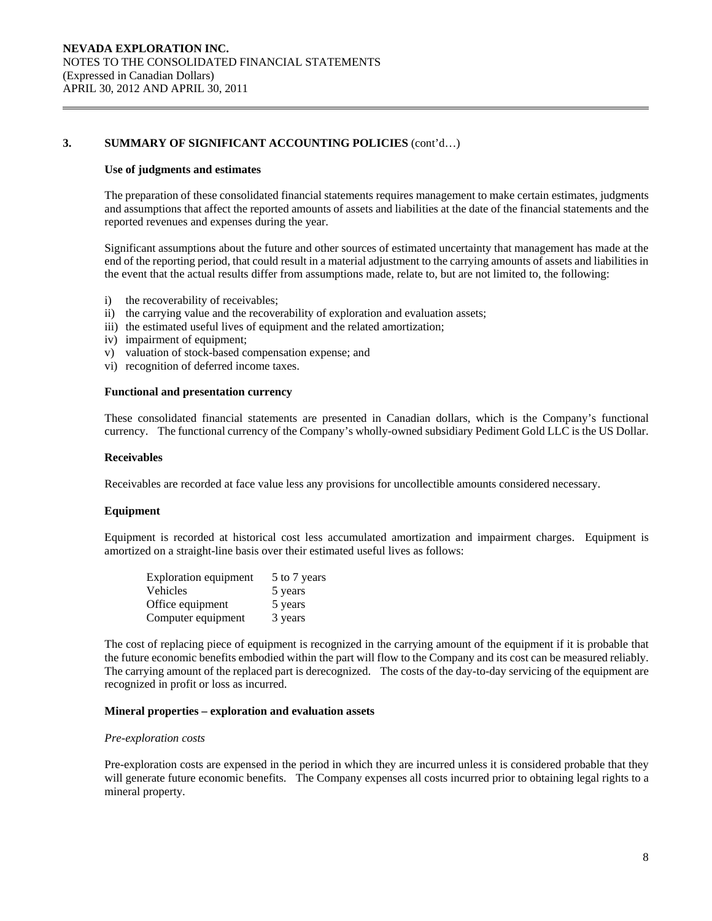#### **Use of judgments and estimates**

The preparation of these consolidated financial statements requires management to make certain estimates, judgments and assumptions that affect the reported amounts of assets and liabilities at the date of the financial statements and the reported revenues and expenses during the year.

 Significant assumptions about the future and other sources of estimated uncertainty that management has made at the end of the reporting period, that could result in a material adjustment to the carrying amounts of assets and liabilities in the event that the actual results differ from assumptions made, relate to, but are not limited to, the following:

- i) the recoverability of receivables;
- ii) the carrying value and the recoverability of exploration and evaluation assets;
- iii) the estimated useful lives of equipment and the related amortization;
- iv) impairment of equipment;
- v) valuation of stock-based compensation expense; and
- vi) recognition of deferred income taxes.

#### **Functional and presentation currency**

These consolidated financial statements are presented in Canadian dollars, which is the Company's functional currency. The functional currency of the Company's wholly-owned subsidiary Pediment Gold LLC is the US Dollar.

#### **Receivables**

Receivables are recorded at face value less any provisions for uncollectible amounts considered necessary.

#### **Equipment**

Equipment is recorded at historical cost less accumulated amortization and impairment charges. Equipment is amortized on a straight-line basis over their estimated useful lives as follows:

| <b>Exploration equipment</b> | 5 to 7 years |
|------------------------------|--------------|
| Vehicles                     | 5 years      |
| Office equipment             | 5 years      |
| Computer equipment           | 3 years      |

The cost of replacing piece of equipment is recognized in the carrying amount of the equipment if it is probable that the future economic benefits embodied within the part will flow to the Company and its cost can be measured reliably. The carrying amount of the replaced part is derecognized. The costs of the day-to-day servicing of the equipment are recognized in profit or loss as incurred.

#### **Mineral properties – exploration and evaluation assets**

#### *Pre-exploration costs*

 Pre-exploration costs are expensed in the period in which they are incurred unless it is considered probable that they will generate future economic benefits. The Company expenses all costs incurred prior to obtaining legal rights to a mineral property.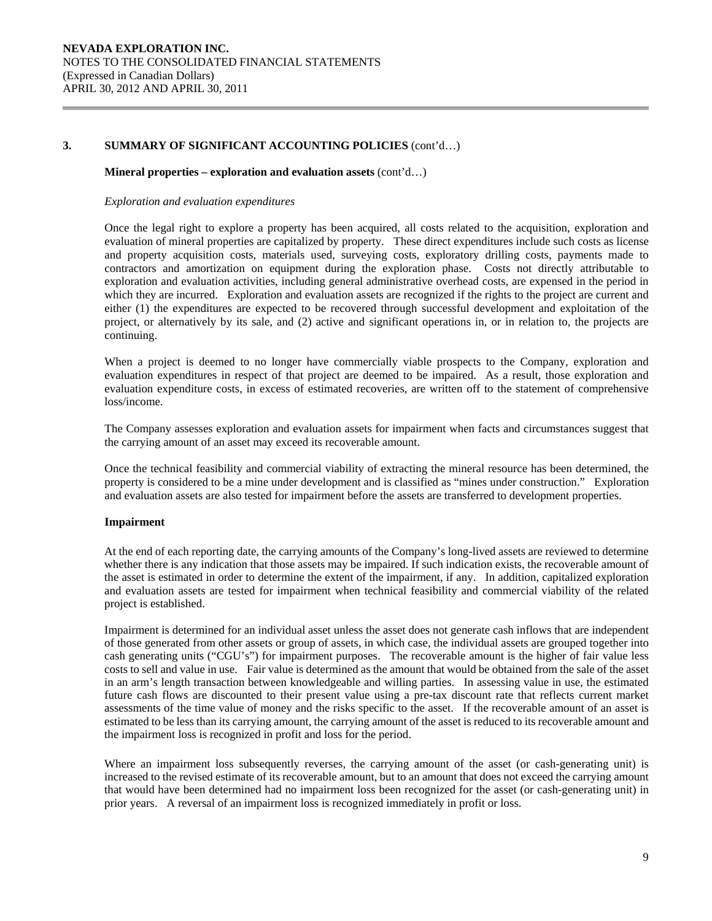#### **Mineral properties – exploration and evaluation assets** (cont'd…)

#### *Exploration and evaluation expenditures*

 Once the legal right to explore a property has been acquired, all costs related to the acquisition, exploration and evaluation of mineral properties are capitalized by property. These direct expenditures include such costs as license and property acquisition costs, materials used, surveying costs, exploratory drilling costs, payments made to contractors and amortization on equipment during the exploration phase. Costs not directly attributable to exploration and evaluation activities, including general administrative overhead costs, are expensed in the period in which they are incurred. Exploration and evaluation assets are recognized if the rights to the project are current and either (1) the expenditures are expected to be recovered through successful development and exploitation of the project, or alternatively by its sale, and (2) active and significant operations in, or in relation to, the projects are continuing.

 When a project is deemed to no longer have commercially viable prospects to the Company, exploration and evaluation expenditures in respect of that project are deemed to be impaired. As a result, those exploration and evaluation expenditure costs, in excess of estimated recoveries, are written off to the statement of comprehensive loss/income.

 The Company assesses exploration and evaluation assets for impairment when facts and circumstances suggest that the carrying amount of an asset may exceed its recoverable amount.

 Once the technical feasibility and commercial viability of extracting the mineral resource has been determined, the property is considered to be a mine under development and is classified as "mines under construction." Exploration and evaluation assets are also tested for impairment before the assets are transferred to development properties.

#### **Impairment**

At the end of each reporting date, the carrying amounts of the Company's long-lived assets are reviewed to determine whether there is any indication that those assets may be impaired. If such indication exists, the recoverable amount of the asset is estimated in order to determine the extent of the impairment, if any. In addition, capitalized exploration and evaluation assets are tested for impairment when technical feasibility and commercial viability of the related project is established.

Impairment is determined for an individual asset unless the asset does not generate cash inflows that are independent of those generated from other assets or group of assets, in which case, the individual assets are grouped together into cash generating units ("CGU's") for impairment purposes. The recoverable amount is the higher of fair value less costs to sell and value in use. Fair value is determined as the amount that would be obtained from the sale of the asset in an arm's length transaction between knowledgeable and willing parties. In assessing value in use, the estimated future cash flows are discounted to their present value using a pre-tax discount rate that reflects current market assessments of the time value of money and the risks specific to the asset. If the recoverable amount of an asset is estimated to be less than its carrying amount, the carrying amount of the asset is reduced to its recoverable amount and the impairment loss is recognized in profit and loss for the period.

Where an impairment loss subsequently reverses, the carrying amount of the asset (or cash-generating unit) is increased to the revised estimate of its recoverable amount, but to an amount that does not exceed the carrying amount that would have been determined had no impairment loss been recognized for the asset (or cash-generating unit) in prior years. A reversal of an impairment loss is recognized immediately in profit or loss.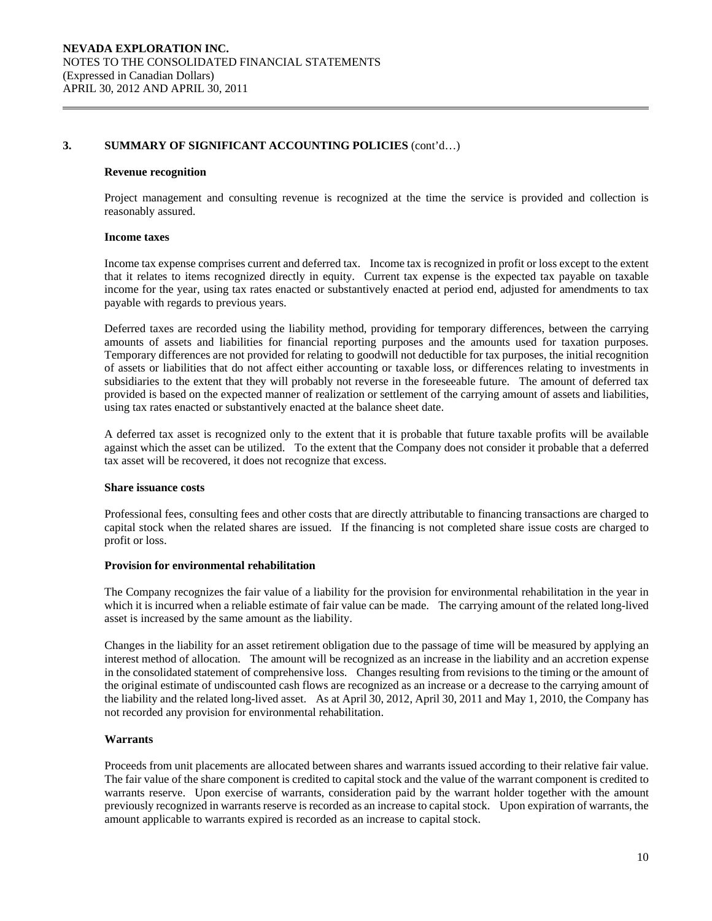#### **Revenue recognition**

Project management and consulting revenue is recognized at the time the service is provided and collection is reasonably assured.

### **Income taxes**

Income tax expense comprises current and deferred tax. Income tax is recognized in profit or loss except to the extent that it relates to items recognized directly in equity. Current tax expense is the expected tax payable on taxable income for the year, using tax rates enacted or substantively enacted at period end, adjusted for amendments to tax payable with regards to previous years.

Deferred taxes are recorded using the liability method, providing for temporary differences, between the carrying amounts of assets and liabilities for financial reporting purposes and the amounts used for taxation purposes. Temporary differences are not provided for relating to goodwill not deductible for tax purposes, the initial recognition of assets or liabilities that do not affect either accounting or taxable loss, or differences relating to investments in subsidiaries to the extent that they will probably not reverse in the foreseeable future. The amount of deferred tax provided is based on the expected manner of realization or settlement of the carrying amount of assets and liabilities, using tax rates enacted or substantively enacted at the balance sheet date.

A deferred tax asset is recognized only to the extent that it is probable that future taxable profits will be available against which the asset can be utilized. To the extent that the Company does not consider it probable that a deferred tax asset will be recovered, it does not recognize that excess.

#### **Share issuance costs**

 Professional fees, consulting fees and other costs that are directly attributable to financing transactions are charged to capital stock when the related shares are issued. If the financing is not completed share issue costs are charged to profit or loss.

### **Provision for environmental rehabilitation**

The Company recognizes the fair value of a liability for the provision for environmental rehabilitation in the year in which it is incurred when a reliable estimate of fair value can be made. The carrying amount of the related long-lived asset is increased by the same amount as the liability.

Changes in the liability for an asset retirement obligation due to the passage of time will be measured by applying an interest method of allocation. The amount will be recognized as an increase in the liability and an accretion expense in the consolidated statement of comprehensive loss. Changes resulting from revisions to the timing or the amount of the original estimate of undiscounted cash flows are recognized as an increase or a decrease to the carrying amount of the liability and the related long-lived asset. As at April 30, 2012, April 30, 2011 and May 1, 2010, the Company has not recorded any provision for environmental rehabilitation.

#### **Warrants**

Proceeds from unit placements are allocated between shares and warrants issued according to their relative fair value. The fair value of the share component is credited to capital stock and the value of the warrant component is credited to warrants reserve. Upon exercise of warrants, consideration paid by the warrant holder together with the amount previously recognized in warrants reserve is recorded as an increase to capital stock. Upon expiration of warrants, the amount applicable to warrants expired is recorded as an increase to capital stock.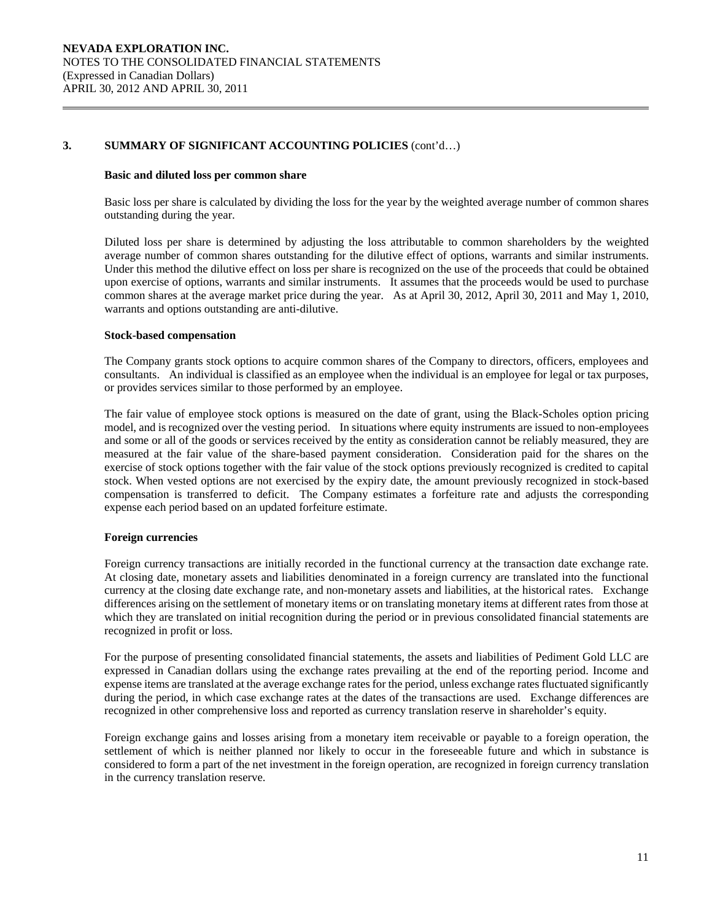#### **Basic and diluted loss per common share**

Basic loss per share is calculated by dividing the loss for the year by the weighted average number of common shares outstanding during the year.

 Diluted loss per share is determined by adjusting the loss attributable to common shareholders by the weighted average number of common shares outstanding for the dilutive effect of options, warrants and similar instruments. Under this method the dilutive effect on loss per share is recognized on the use of the proceeds that could be obtained upon exercise of options, warrants and similar instruments. It assumes that the proceeds would be used to purchase common shares at the average market price during the year. As at April 30, 2012, April 30, 2011 and May 1, 2010, warrants and options outstanding are anti-dilutive.

#### **Stock-based compensation**

The Company grants stock options to acquire common shares of the Company to directors, officers, employees and consultants. An individual is classified as an employee when the individual is an employee for legal or tax purposes, or provides services similar to those performed by an employee.

The fair value of employee stock options is measured on the date of grant, using the Black-Scholes option pricing model, and is recognized over the vesting period. In situations where equity instruments are issued to non-employees and some or all of the goods or services received by the entity as consideration cannot be reliably measured, they are measured at the fair value of the share-based payment consideration. Consideration paid for the shares on the exercise of stock options together with the fair value of the stock options previously recognized is credited to capital stock. When vested options are not exercised by the expiry date, the amount previously recognized in stock-based compensation is transferred to deficit. The Company estimates a forfeiture rate and adjusts the corresponding expense each period based on an updated forfeiture estimate.

# **Foreign currencies**

 Foreign currency transactions are initially recorded in the functional currency at the transaction date exchange rate. At closing date, monetary assets and liabilities denominated in a foreign currency are translated into the functional currency at the closing date exchange rate, and non-monetary assets and liabilities, at the historical rates. Exchange differences arising on the settlement of monetary items or on translating monetary items at different rates from those at which they are translated on initial recognition during the period or in previous consolidated financial statements are recognized in profit or loss.

For the purpose of presenting consolidated financial statements, the assets and liabilities of Pediment Gold LLC are expressed in Canadian dollars using the exchange rates prevailing at the end of the reporting period. Income and expense items are translated at the average exchange rates for the period, unless exchange rates fluctuated significantly during the period, in which case exchange rates at the dates of the transactions are used. Exchange differences are recognized in other comprehensive loss and reported as currency translation reserve in shareholder's equity.

 Foreign exchange gains and losses arising from a monetary item receivable or payable to a foreign operation, the settlement of which is neither planned nor likely to occur in the foreseeable future and which in substance is considered to form a part of the net investment in the foreign operation, are recognized in foreign currency translation in the currency translation reserve.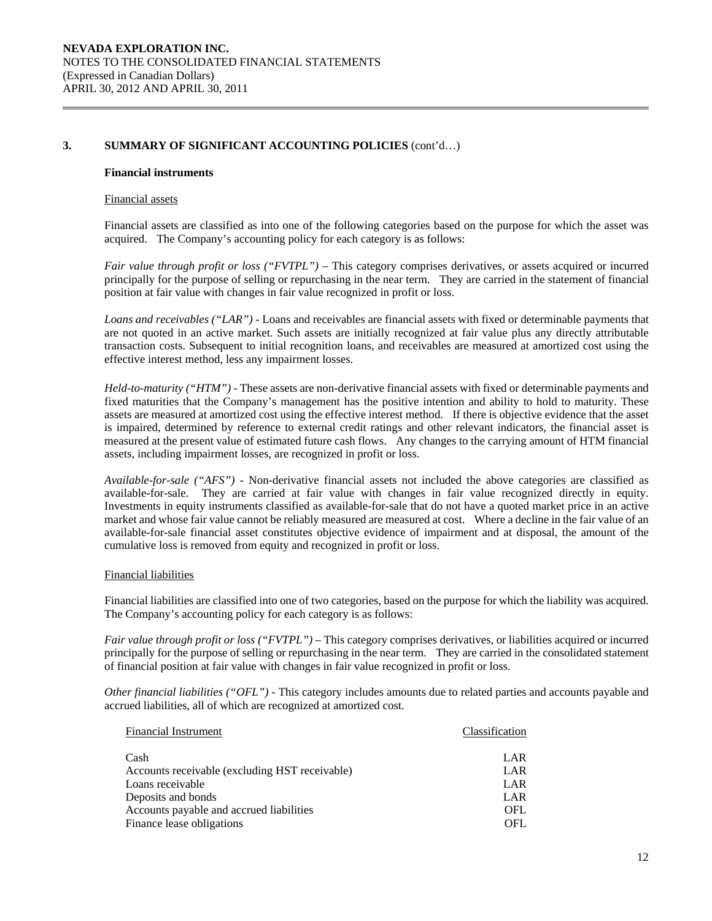#### **Financial instruments**

#### Financial assets

Financial assets are classified as into one of the following categories based on the purpose for which the asset was acquired. The Company's accounting policy for each category is as follows:

*Fair value through profit or loss ("FVTPL")* – This category comprises derivatives, or assets acquired or incurred principally for the purpose of selling or repurchasing in the near term. They are carried in the statement of financial position at fair value with changes in fair value recognized in profit or loss.

*Loans and receivables ("LAR") -* Loans and receivables are financial assets with fixed or determinable payments that are not quoted in an active market. Such assets are initially recognized at fair value plus any directly attributable transaction costs. Subsequent to initial recognition loans, and receivables are measured at amortized cost using the effective interest method, less any impairment losses.

*Held-to-maturity ("HTM") -* These assets are non-derivative financial assets with fixed or determinable payments and fixed maturities that the Company's management has the positive intention and ability to hold to maturity. These assets are measured at amortized cost using the effective interest method. If there is objective evidence that the asset is impaired, determined by reference to external credit ratings and other relevant indicators, the financial asset is measured at the present value of estimated future cash flows. Any changes to the carrying amount of HTM financial assets, including impairment losses, are recognized in profit or loss.

*Available-for-sale ("AFS") -* Non-derivative financial assets not included the above categories are classified as available-for-sale. They are carried at fair value with changes in fair value recognized directly in equity. Investments in equity instruments classified as available-for-sale that do not have a quoted market price in an active market and whose fair value cannot be reliably measured are measured at cost. Where a decline in the fair value of an available-for-sale financial asset constitutes objective evidence of impairment and at disposal, the amount of the cumulative loss is removed from equity and recognized in profit or loss.

#### Financial liabilities

Financial liabilities are classified into one of two categories, based on the purpose for which the liability was acquired. The Company's accounting policy for each category is as follows:

*Fair value through profit or loss ("FVTPL")* – This category comprises derivatives, or liabilities acquired or incurred principally for the purpose of selling or repurchasing in the near term. They are carried in the consolidated statement of financial position at fair value with changes in fair value recognized in profit or loss.

*Other financial liabilities ("OFL") -* This category includes amounts due to related parties and accounts payable and accrued liabilities, all of which are recognized at amortized cost.

| <b>Financial Instrument</b>                    | Classification |
|------------------------------------------------|----------------|
| Cash                                           | LAR            |
| Accounts receivable (excluding HST receivable) | LAR            |
| Loans receivable                               | LAR            |
| Deposits and bonds                             | LAR            |
| Accounts payable and accrued liabilities       | <b>OFL</b>     |
| Finance lease obligations                      | OFL            |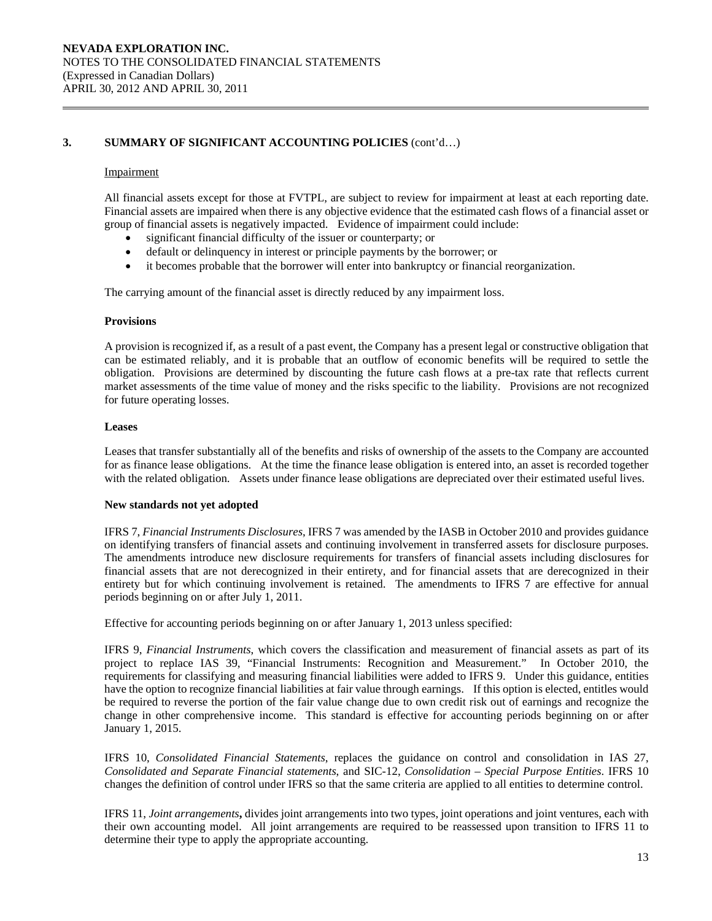#### Impairment

All financial assets except for those at FVTPL, are subject to review for impairment at least at each reporting date. Financial assets are impaired when there is any objective evidence that the estimated cash flows of a financial asset or group of financial assets is negatively impacted. Evidence of impairment could include:

- significant financial difficulty of the issuer or counterparty; or
- default or delinquency in interest or principle payments by the borrower; or
- it becomes probable that the borrower will enter into bankruptcy or financial reorganization.

The carrying amount of the financial asset is directly reduced by any impairment loss.

#### **Provisions**

A provision is recognized if, as a result of a past event, the Company has a present legal or constructive obligation that can be estimated reliably, and it is probable that an outflow of economic benefits will be required to settle the obligation. Provisions are determined by discounting the future cash flows at a pre-tax rate that reflects current market assessments of the time value of money and the risks specific to the liability. Provisions are not recognized for future operating losses.

#### **Leases**

Leases that transfer substantially all of the benefits and risks of ownership of the assets to the Company are accounted for as finance lease obligations. At the time the finance lease obligation is entered into, an asset is recorded together with the related obligation. Assets under finance lease obligations are depreciated over their estimated useful lives.

#### **New standards not yet adopted**

IFRS 7, *Financial Instruments Disclosures*, IFRS 7 was amended by the IASB in October 2010 and provides guidance on identifying transfers of financial assets and continuing involvement in transferred assets for disclosure purposes. The amendments introduce new disclosure requirements for transfers of financial assets including disclosures for financial assets that are not derecognized in their entirety, and for financial assets that are derecognized in their entirety but for which continuing involvement is retained. The amendments to IFRS 7 are effective for annual periods beginning on or after July 1, 2011.

Effective for accounting periods beginning on or after January 1, 2013 unless specified:

IFRS 9, *Financial Instruments*, which covers the classification and measurement of financial assets as part of its project to replace IAS 39, "Financial Instruments: Recognition and Measurement." In October 2010, the requirements for classifying and measuring financial liabilities were added to IFRS 9. Under this guidance, entities have the option to recognize financial liabilities at fair value through earnings. If this option is elected, entitles would be required to reverse the portion of the fair value change due to own credit risk out of earnings and recognize the change in other comprehensive income. This standard is effective for accounting periods beginning on or after January 1, 2015.

IFRS 10, *Consolidated Financial Statements*, replaces the guidance on control and consolidation in IAS 27, *Consolidated and Separate Financial statements*, and SIC-12, *Consolidation – Special Purpose Entities*. IFRS 10 changes the definition of control under IFRS so that the same criteria are applied to all entities to determine control.

IFRS 11, *Joint arrangements***,** divides joint arrangements into two types, joint operations and joint ventures, each with their own accounting model. All joint arrangements are required to be reassessed upon transition to IFRS 11 to determine their type to apply the appropriate accounting.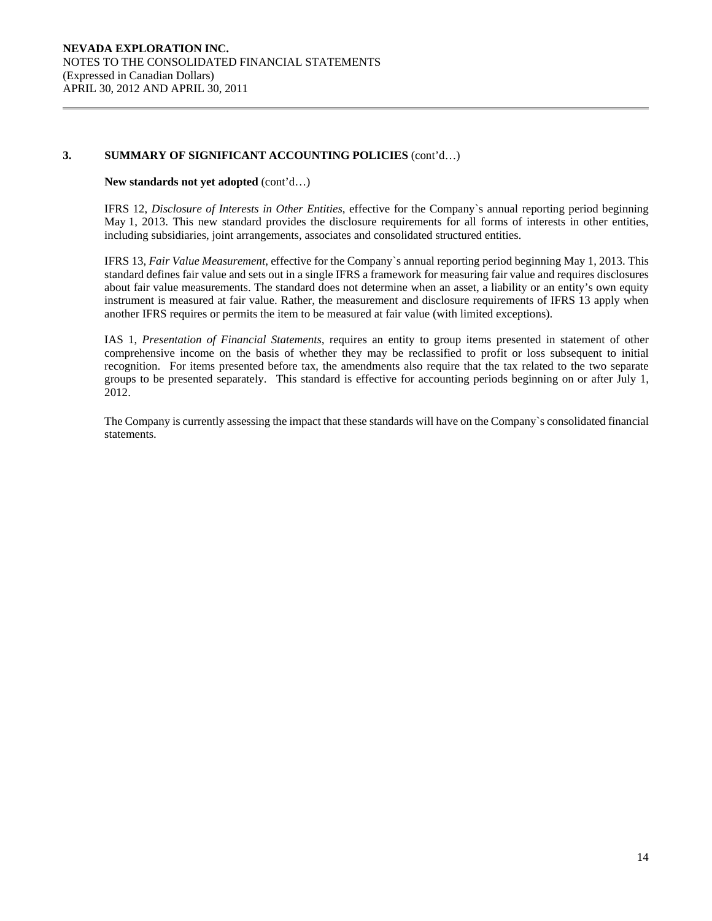### **New standards not yet adopted** (cont'd…)

IFRS 12, *Disclosure of Interests in Other Entities*, effective for the Company`s annual reporting period beginning May 1, 2013. This new standard provides the disclosure requirements for all forms of interests in other entities, including subsidiaries, joint arrangements, associates and consolidated structured entities.

IFRS 13, *Fair Value Measurement*, effective for the Company`s annual reporting period beginning May 1, 2013. This standard defines fair value and sets out in a single IFRS a framework for measuring fair value and requires disclosures about fair value measurements. The standard does not determine when an asset, a liability or an entity's own equity instrument is measured at fair value. Rather, the measurement and disclosure requirements of IFRS 13 apply when another IFRS requires or permits the item to be measured at fair value (with limited exceptions).

IAS 1, *Presentation of Financial Statements*, requires an entity to group items presented in statement of other comprehensive income on the basis of whether they may be reclassified to profit or loss subsequent to initial recognition. For items presented before tax, the amendments also require that the tax related to the two separate groups to be presented separately. This standard is effective for accounting periods beginning on or after July 1, 2012.

The Company is currently assessing the impact that these standards will have on the Company`s consolidated financial statements.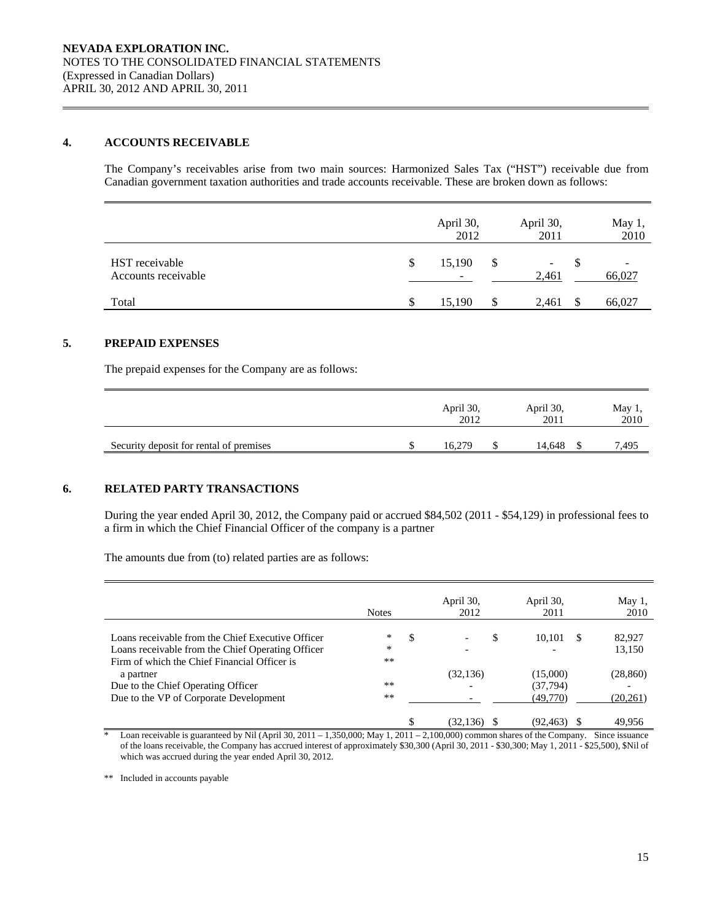# **4. ACCOUNTS RECEIVABLE**

The Company's receivables arise from two main sources: Harmonized Sales Tax ("HST") receivable due from Canadian government taxation authorities and trade accounts receivable. These are broken down as follows:

|                                       |    | April 30,<br>2012 | April 30,<br>2011 | May 1,<br>2010 |
|---------------------------------------|----|-------------------|-------------------|----------------|
| HST receivable<br>Accounts receivable | \$ | 15,190<br>-       | \$<br>۰<br>2,461  | 66,027         |
| Total                                 | S  | 15.190            | 2,461             | 66,027         |

# **5. PREPAID EXPENSES**

The prepaid expenses for the Company are as follows:

|                                         | April 30,<br>2012 | April 30,<br>2011 | May $1$ ,<br>2010 |
|-----------------------------------------|-------------------|-------------------|-------------------|
| Security deposit for rental of premises | 16.279            | 14.648            | 7.495             |

# **6. RELATED PARTY TRANSACTIONS**

 During the year ended April 30, 2012, the Company paid or accrued \$84,502 (2011 - \$54,129) in professional fees to a firm in which the Chief Financial Officer of the company is a partner

The amounts due from (to) related parties are as follows:

|                                                                                                                                                        | <b>Notes</b>          | April 30,<br>2012 | April 30,<br>2011                 | May 1,<br>2010         |
|--------------------------------------------------------------------------------------------------------------------------------------------------------|-----------------------|-------------------|-----------------------------------|------------------------|
| Loans receivable from the Chief Executive Officer<br>Loans receivable from the Chief Operating Officer<br>Firm of which the Chief Financial Officer is | ∗<br>-S<br>*<br>$***$ |                   | S<br>10.101                       | S<br>82,927<br>13,150  |
| a partner<br>Due to the Chief Operating Officer<br>Due to the VP of Corporate Development                                                              | $**$<br>**            | (32, 136)         | (15,000)<br>(37, 794)<br>(49,770) | (28, 860)<br>(20, 261) |
|                                                                                                                                                        |                       | (32, 136)         | (92, 463)                         | 49,956                 |

 $\overline{\phantom{a}}$  Loan receivable is guaranteed by Nil (April 30, 2011 – 1,350,000; May 1, 2011 – 2,100,000) common shares of the Company. Since issuance of the loans receivable, the Company has accrued interest of approximately \$30,300 (April 30, 2011 - \$30,300; May 1, 2011 - \$25,500), \$Nil of which was accrued during the year ended April 30, 2012.

\*\* Included in accounts payable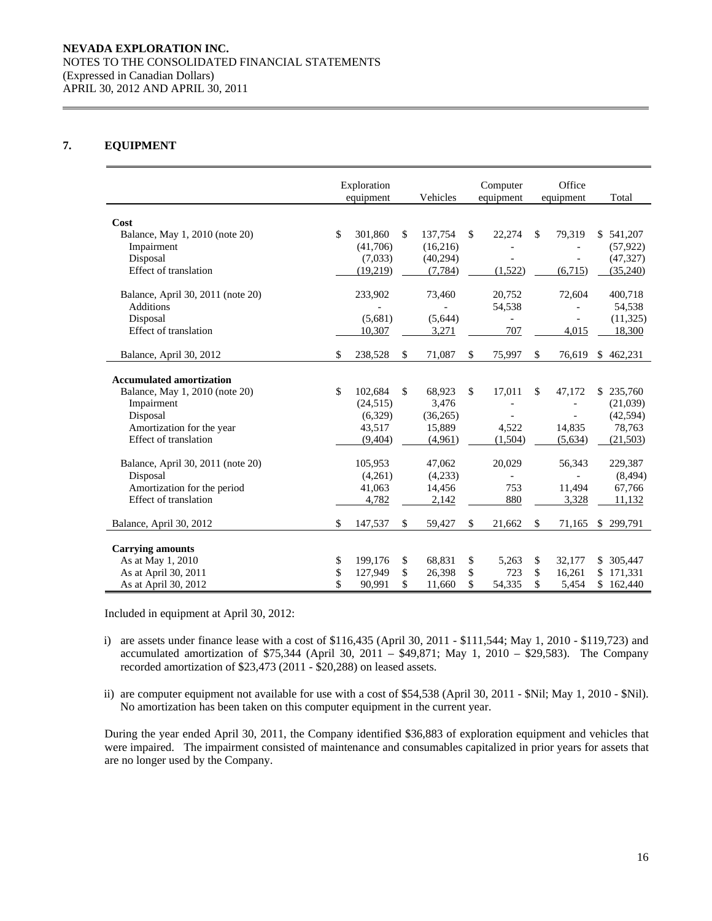### **7. EQUIPMENT**

|                                   | Exploration<br>equipment |           |              | Vehicles |              | Computer<br>equipment |              | Office<br>equipment      | Total         |
|-----------------------------------|--------------------------|-----------|--------------|----------|--------------|-----------------------|--------------|--------------------------|---------------|
|                                   |                          |           |              |          |              |                       |              |                          |               |
| Cost                              |                          |           |              |          |              |                       |              |                          |               |
| Balance, May 1, 2010 (note 20)    | \$                       | 301,860   | \$           | 137,754  | \$           | 22,274                | \$           | 79,319                   | \$541,207     |
| Impairment                        |                          | (41,706)  |              | (16,216) |              |                       |              |                          | (57, 922)     |
| Disposal                          |                          | (7,033)   |              | (40,294) |              |                       |              | $\overline{a}$           | (47, 327)     |
| Effect of translation             |                          | (19,219)  |              | (7, 784) |              | (1,522)               |              | (6,715)                  | (35,240)      |
| Balance, April 30, 2011 (note 20) |                          | 233,902   |              | 73,460   |              | 20,752                |              | 72,604                   | 400,718       |
| <b>Additions</b>                  |                          |           |              |          |              | 54,538                |              |                          | 54,538        |
| Disposal                          |                          | (5,681)   |              | (5,644)  |              |                       |              |                          | (11, 325)     |
| Effect of translation             |                          | 10,307    |              | 3,271    |              | 707                   |              | 4,015                    | 18,300        |
|                                   |                          |           |              |          |              |                       |              |                          |               |
| Balance, April 30, 2012           | \$                       | 238,528   | $\mathbb{S}$ | 71,087   | \$           | 75,997                | $\mathbb{S}$ | 76,619                   | \$<br>462,231 |
| <b>Accumulated amortization</b>   |                          |           |              |          |              |                       |              |                          |               |
| Balance, May 1, 2010 (note 20)    | \$                       | 102,684   | \$           | 68,923   | $\mathbb{S}$ | 17,011                | \$.          | 47,172                   | \$235,760     |
| Impairment                        |                          | (24, 515) |              | 3,476    |              |                       |              |                          | (21,039)      |
| Disposal                          |                          | (6,329)   |              | (36,265) |              |                       |              | $\overline{a}$           | (42, 594)     |
| Amortization for the year         |                          | 43,517    |              | 15,889   |              | 4,522                 |              | 14,835                   | 78,763        |
| Effect of translation             |                          | (9,404)   |              | (4.961)  |              | (1,504)               |              | (5,634)                  | (21,503)      |
|                                   |                          |           |              |          |              |                       |              |                          |               |
| Balance, April 30, 2011 (note 20) |                          | 105,953   |              | 47,062   |              | 20,029                |              | 56,343                   | 229,387       |
| Disposal                          |                          | (4,261)   |              | (4,233)  |              |                       |              | $\overline{\phantom{a}}$ | (8, 494)      |
| Amortization for the period       |                          | 41,063    |              | 14,456   |              | 753                   |              | 11.494                   | 67,766        |
| Effect of translation             |                          | 4,782     |              | 2,142    |              | 880                   |              | 3,328                    | 11,132        |
| Balance, April 30, 2012           | \$                       | 147,537   | \$           | 59,427   | \$           | 21,662                | $\mathbb{S}$ | 71,165                   | \$299,791     |
|                                   |                          |           |              |          |              |                       |              |                          |               |
| <b>Carrying amounts</b>           |                          |           |              |          |              |                       |              |                          |               |
| As at May 1, 2010                 | \$                       | 199,176   | \$           | 68,831   | \$           | 5,263                 | \$           | 32,177                   | \$ 305,447    |
| As at April 30, 2011              | \$                       | 127,949   | \$           | 26,398   | \$           | 723                   | \$           | 16,261                   | \$171,331     |
| As at April 30, 2012              | \$                       | 90,991    | \$           | 11,660   | \$           | 54,335                | \$           | 5,454                    | \$162,440     |

Included in equipment at April 30, 2012:

- i) are assets under finance lease with a cost of \$116,435 (April 30, 2011 \$111,544; May 1, 2010 \$119,723) and accumulated amortization of \$75,344 (April 30, 2011 – \$49,871; May 1, 2010 – \$29,583). The Company recorded amortization of \$23,473 (2011 - \$20,288) on leased assets.
- ii) are computer equipment not available for use with a cost of \$54,538 (April 30, 2011 \$Nil; May 1, 2010 \$Nil). No amortization has been taken on this computer equipment in the current year.

During the year ended April 30, 2011, the Company identified \$36,883 of exploration equipment and vehicles that were impaired. The impairment consisted of maintenance and consumables capitalized in prior years for assets that are no longer used by the Company.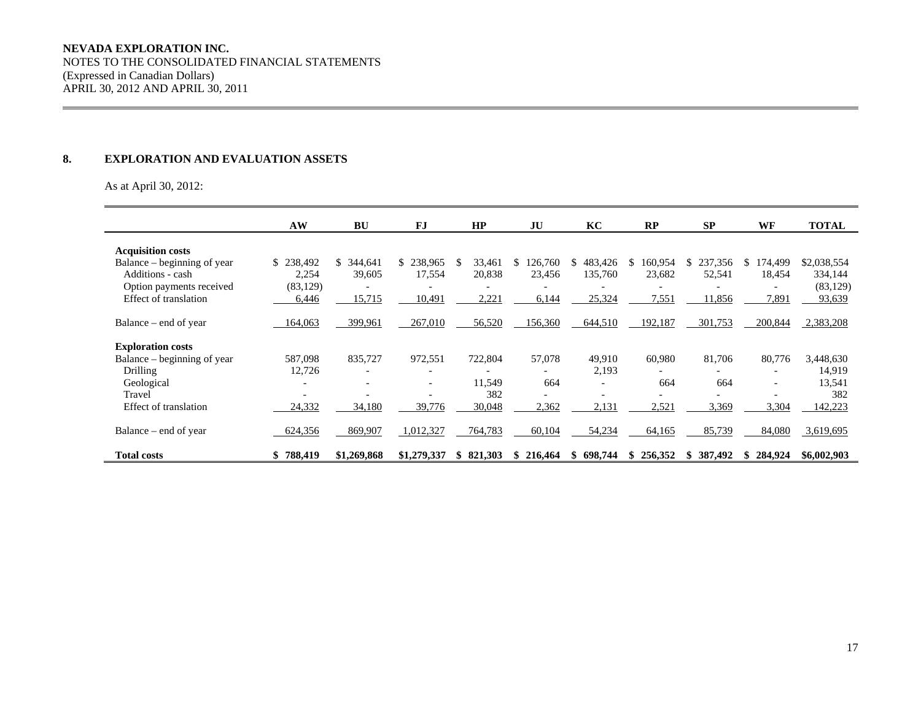# **NEVADA EXPLORATION INC.**

 NOTES TO THE CONSOLIDATED FINANCIAL STATEMENTS (Expressed in Canadian Dollars) APRIL 30, 2012 AND APRIL 30, 2011

#### **8. EXPLORATION AND EVALUATION ASSETS**

As at April 30, 2012:

|                             | AW                       | <b>BU</b>      | <b>FJ</b>                | HP             | JU            | KC             | RP                       | <b>SP</b>     | <b>WF</b>                | <b>TOTAL</b> |
|-----------------------------|--------------------------|----------------|--------------------------|----------------|---------------|----------------|--------------------------|---------------|--------------------------|--------------|
| <b>Acquisition costs</b>    |                          |                |                          |                |               |                |                          |               |                          |              |
| Balance – beginning of year | \$238,492                | 344,641<br>\$. | 238,965<br>\$            | 33,461<br>\$.  | 126,760<br>\$ | 483,426<br>\$  | 160,954<br>S.            | \$237,356     | 174,499<br>S             | \$2,038,554  |
| Additions - cash            | 2,254                    | 39,605         | 17,554                   | 20,838         | 23,456        | 135,760        | 23,682                   | 52,541        | 18,454                   | 334,144      |
|                             |                          |                |                          |                |               |                |                          |               |                          |              |
| Option payments received    | (83, 129)                |                |                          |                |               |                |                          |               |                          | (83, 129)    |
| Effect of translation       | 6,446                    | 15,715         | 10,491                   | 2,221          | 6,144         | 25,324         | 7,551                    | 11,856        | 7,891                    | 93,639       |
| Balance – end of year       | 164,063                  | 399,961        | 267,010                  | 56,520         | 156,360       | 644,510        | 192,187                  | 301,753       | 200,844                  | 2,383,208    |
| <b>Exploration costs</b>    |                          |                |                          |                |               |                |                          |               |                          |              |
| Balance – beginning of year | 587,098                  | 835,727        | 972,551                  | 722,804        | 57,078        | 49,910         | 60,980                   | 81,706        | 80,776                   | 3,448,630    |
| Drilling                    | 12,726                   | ۰              | $\overline{\phantom{a}}$ |                |               | 2,193          | $\overline{\phantom{0}}$ |               | $\overline{\phantom{a}}$ | 14,919       |
| Geological                  |                          |                | $\overline{\phantom{a}}$ | 11,549         | 664           | $\overline{a}$ | 664                      | 664           | $\overline{\phantom{a}}$ | 13,541       |
| Travel                      | $\overline{\phantom{a}}$ |                | $\overline{\phantom{a}}$ | 382            |               | ۰              | $\overline{\phantom{a}}$ |               | $\overline{\phantom{a}}$ | 382          |
| Effect of translation       | 24,332                   | 34,180         | 39,776                   | 30,048         | 2,362         | 2,131          | 2,521                    | 3,369         | 3,304                    | 142,223      |
|                             |                          |                |                          |                |               |                |                          |               |                          |              |
| Balance – end of year       | 624,356                  | 869,907        | 1,012,327                | 764,783        | 60,104        | 54,234         | 64,165                   | 85,739        | 84,080                   | 3,619,695    |
| <b>Total costs</b>          | 788,419                  | \$1,269,868    | \$1,279,337              | 821,303<br>SS. | 216,464<br>S. | 698.744        | 256,352<br>S.            | 387,492<br>S. | 284,924<br>S.            | \$6,002,903  |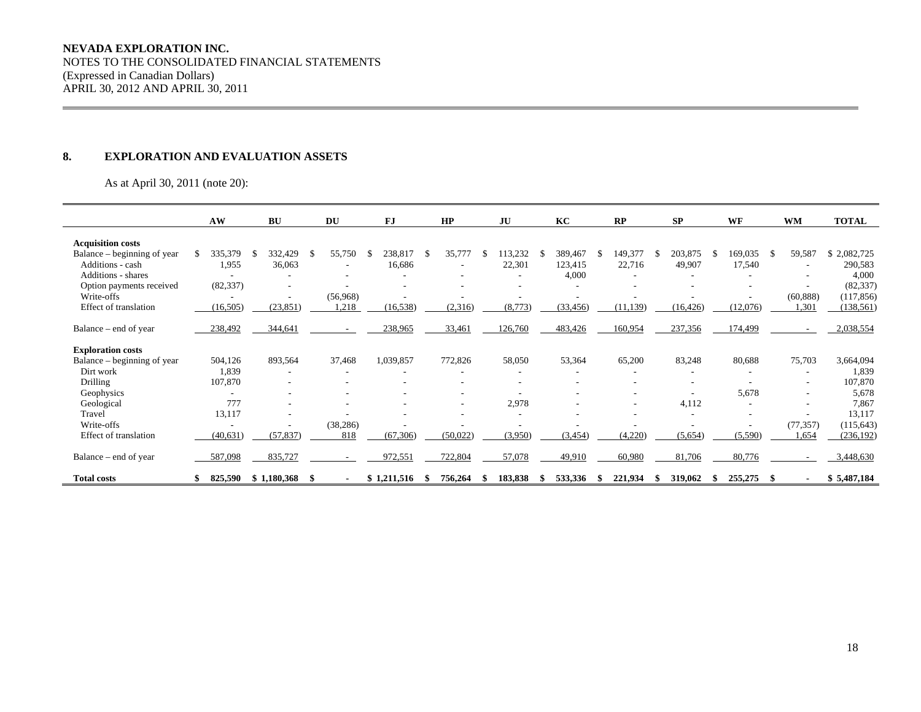#### **NEVADA EXPLORATION INC.**

NOTES TO THE CONSOLIDATED FINANCIAL STATEMENTS (Expressed in Canadian Dollars) APRIL 30, 2012 AND APRIL 30, 2011

#### **8. EXPLORATION AND EVALUATION ASSETS**

As at April 30, 2011 (note 20):

|                              | AW        |     | <b>BU</b>                |    | <b>DU</b>                |    | FJ          |    | HP       | JU      | KC        |     | RP                       |    | <b>SP</b> | WF       | <b>WM</b>                | <b>TOTAL</b> |
|------------------------------|-----------|-----|--------------------------|----|--------------------------|----|-------------|----|----------|---------|-----------|-----|--------------------------|----|-----------|----------|--------------------------|--------------|
|                              |           |     |                          |    |                          |    |             |    |          |         |           |     |                          |    |           |          |                          |              |
| <b>Acquisition costs</b>     |           |     |                          |    |                          |    |             |    |          |         |           |     |                          |    |           |          |                          |              |
| Balance – beginning of year  | 335,379   | - S | 332,429                  | £. | 55,750                   | -S | 238,817     | -S | 35,777   | 113,232 | 389,467   | -SS | 149,377                  | -8 | 203,875   | 169,035  | 59,587                   | \$2,082,725  |
| Additions - cash             | 1,955     |     | 36,063                   |    |                          |    | 16,686      |    |          | 22,301  | 123,415   |     | 22,716                   |    | 49,907    | 17,540   |                          | 290,583      |
| <b>Additions - shares</b>    |           |     |                          |    | ۰                        |    | ۰           |    | ۰        |         | 4,000     |     | ۰                        |    |           |          | $\sim$                   | 4,000        |
| Option payments received     | (82, 337) |     |                          |    | ٠                        |    |             |    |          |         |           |     |                          |    |           |          | $\overline{\phantom{a}}$ | (82, 337)    |
| Write-offs                   |           |     | $\overline{\phantom{a}}$ |    | (56,968)                 |    |             |    |          |         |           |     |                          |    |           |          | (60, 888)                | (117, 856)   |
| Effect of translation        | (16, 505) |     | (23, 851)                |    | 1,218                    |    | (16, 538)   |    | (2,316)  | (8,773) | (33, 456) |     | (11, 139)                |    | (16, 426) | (12,076) | 1,301                    | (138, 561)   |
|                              |           |     |                          |    |                          |    |             |    |          |         |           |     |                          |    |           |          |                          |              |
| Balance – end of year        | 238,492   |     | 344,641                  |    |                          |    | 238,965     |    | 33,461   | 126,760 | 483,426   |     | 160,954                  |    | 237,356   | 174,499  |                          | 2,038,554    |
|                              |           |     |                          |    |                          |    |             |    |          |         |           |     |                          |    |           |          |                          |              |
| <b>Exploration costs</b>     |           |     |                          |    |                          |    |             |    |          |         |           |     |                          |    |           |          |                          |              |
| Balance – beginning of year  | 504,126   |     | 893,564                  |    | 37,468                   |    | 1,039,857   |    | 772,826  | 58,050  | 53,364    |     | 65,200                   |    | 83,248    | 80,688   | 75,703                   | 3,664,094    |
| Dirt work                    | 1,839     |     | ٠                        |    | $\overline{\phantom{a}}$ |    |             |    |          |         |           |     | ۰                        |    |           |          | ۰                        | 1,839        |
| <b>Drilling</b>              | 107,870   |     |                          |    |                          |    |             |    |          |         |           |     |                          |    |           |          | $\overline{\phantom{a}}$ | 107,870      |
| Geophysics                   |           |     |                          |    |                          |    |             |    |          |         |           |     |                          |    |           | 5,678    |                          | 5,678        |
| Geological                   | 777       |     | $\overline{\phantom{0}}$ |    |                          |    |             |    | ۰        | 2,978   |           |     | $\overline{\phantom{a}}$ |    | 4,112     |          | $\overline{\phantom{a}}$ | 7,867        |
| Travel                       | 13,117    |     |                          |    |                          |    |             |    |          |         |           |     |                          |    |           |          |                          | 13,117       |
| Write-offs                   |           |     |                          |    | (38, 286)                |    |             |    |          |         |           |     |                          |    |           |          | (77, 357)                | (115, 643)   |
| <b>Effect</b> of translation | (40, 631) |     | (57, 837)                |    | 818                      |    | (67, 306)   |    | (50,022) | (3,950) | (3, 454)  |     | (4,220)                  |    | (5,654)   | (5,590)  | 1,654                    | (236, 192)   |
|                              |           |     |                          |    |                          |    |             |    |          |         |           |     |                          |    |           |          |                          |              |
| Balance – end of year        | 587,098   |     | 835,727                  |    | $\sim$                   |    | 972,551     |    | 722,804  | 57,078  | 49,910    |     | 60,980                   |    | 81,706    | 80,776   | $\sim$                   | 3,448,630    |
|                              |           |     |                          |    |                          |    |             |    |          |         |           |     |                          |    |           |          |                          |              |
| <b>Total costs</b>           | 825,590   |     | \$1,180,368              |    |                          |    | \$1,211,516 |    | 756,264  | 183,838 | 533,336   |     | 221,934                  |    | 319,062   | 255,275  |                          | \$5,487,184  |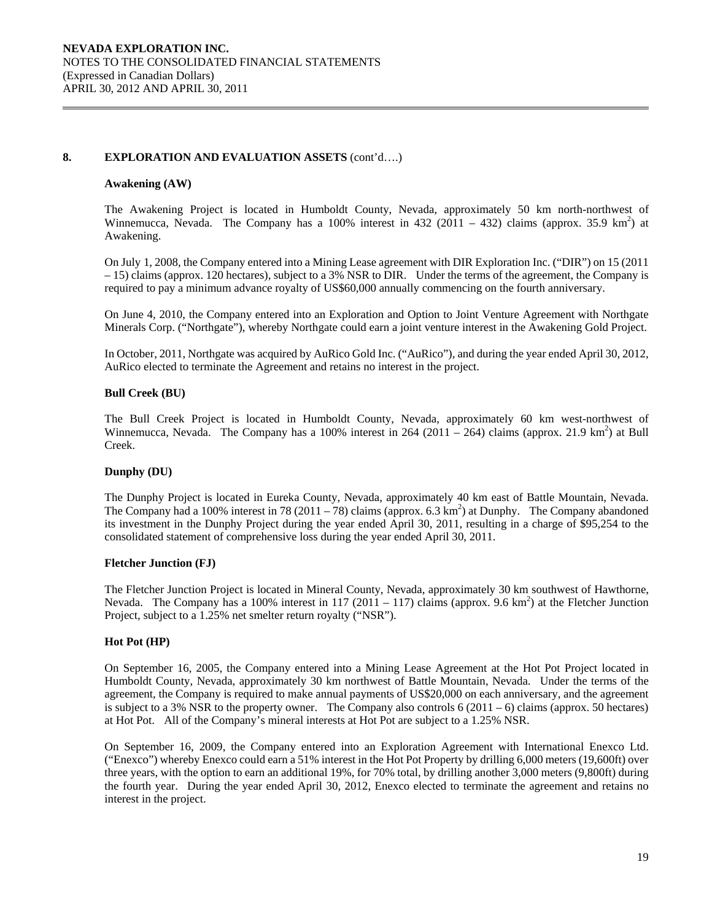### **8. EXPLORATION AND EVALUATION ASSETS** (cont'd….)

#### **Awakening (AW)**

The Awakening Project is located in Humboldt County, Nevada, approximately 50 km north-northwest of Winnemucca, Nevada. The Company has a 100% interest in 432 (2011 – 432) claims (approx. 35.9 km<sup>2</sup>) at Awakening.

On July 1, 2008, the Company entered into a Mining Lease agreement with DIR Exploration Inc. ("DIR") on 15 (2011 – 15) claims (approx. 120 hectares), subject to a 3% NSR to DIR. Under the terms of the agreement, the Company is required to pay a minimum advance royalty of US\$60,000 annually commencing on the fourth anniversary.

On June 4, 2010, the Company entered into an Exploration and Option to Joint Venture Agreement with Northgate Minerals Corp. ("Northgate"), whereby Northgate could earn a joint venture interest in the Awakening Gold Project.

In October, 2011, Northgate was acquired by AuRico Gold Inc. ("AuRico"), and during the year ended April 30, 2012, AuRico elected to terminate the Agreement and retains no interest in the project.

#### **Bull Creek (BU)**

The Bull Creek Project is located in Humboldt County, Nevada, approximately 60 km west-northwest of Winnemucca, Nevada. The Company has a 100% interest in 264 (2011 – 264) claims (approx. 21.9 km<sup>2</sup>) at Bull Creek.

#### **Dunphy (DU)**

The Dunphy Project is located in Eureka County, Nevada, approximately 40 km east of Battle Mountain, Nevada. The Company had a 100% interest in 78 (2011 – 78) claims (approx. 6.3 km<sup>2</sup>) at Dunphy. The Company abandoned its investment in the Dunphy Project during the year ended April 30, 2011, resulting in a charge of \$95,254 to the consolidated statement of comprehensive loss during the year ended April 30, 2011.

#### **Fletcher Junction (FJ)**

The Fletcher Junction Project is located in Mineral County, Nevada, approximately 30 km southwest of Hawthorne, Nevada. The Company has a 100% interest in 117 (2011 – 117) claims (approx. 9.6 km<sup>2</sup>) at the Fletcher Junction Project, subject to a 1.25% net smelter return royalty ("NSR").

#### **Hot Pot (HP)**

On September 16, 2005, the Company entered into a Mining Lease Agreement at the Hot Pot Project located in Humboldt County, Nevada, approximately 30 km northwest of Battle Mountain, Nevada. Under the terms of the agreement, the Company is required to make annual payments of US\$20,000 on each anniversary, and the agreement is subject to a 3% NSR to the property owner. The Company also controls  $6(2011 - 6)$  claims (approx. 50 hectares) at Hot Pot. All of the Company's mineral interests at Hot Pot are subject to a 1.25% NSR.

On September 16, 2009, the Company entered into an Exploration Agreement with International Enexco Ltd. ("Enexco") whereby Enexco could earn a 51% interest in the Hot Pot Property by drilling 6,000 meters (19,600ft) over three years, with the option to earn an additional 19%, for 70% total, by drilling another 3,000 meters (9,800ft) during the fourth year. During the year ended April 30, 2012, Enexco elected to terminate the agreement and retains no interest in the project.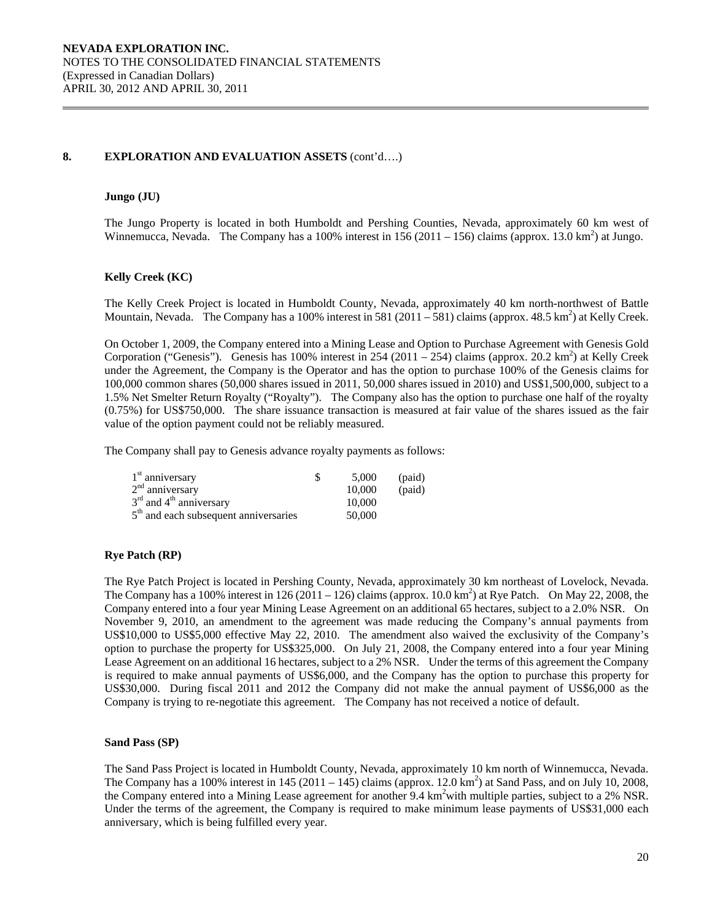# **8. EXPLORATION AND EVALUATION ASSETS** (cont'd….)

### **Jungo (JU)**

The Jungo Property is located in both Humboldt and Pershing Counties, Nevada, approximately 60 km west of Winnemucca, Nevada. The Company has a 100% interest in  $156(2011 - 156)$  claims (approx. 13.0 km<sup>2</sup>) at Jungo.

### **Kelly Creek (KC)**

The Kelly Creek Project is located in Humboldt County, Nevada, approximately 40 km north-northwest of Battle Mountain, Nevada. The Company has a 100% interest in 581 (2011 – 581) claims (approx. 48.5 km<sup>2</sup>) at Kelly Creek.

On October 1, 2009, the Company entered into a Mining Lease and Option to Purchase Agreement with Genesis Gold Corporation ("Genesis"). Genesis has 100% interest in 254 (2011 – 254) claims (approx. 20.2 km<sup>2</sup>) at Kelly Creek under the Agreement, the Company is the Operator and has the option to purchase 100% of the Genesis claims for 100,000 common shares (50,000 shares issued in 2011, 50,000 shares issued in 2010) and US\$1,500,000, subject to a 1.5% Net Smelter Return Royalty ("Royalty"). The Company also has the option to purchase one half of the royalty (0.75%) for US\$750,000. The share issuance transaction is measured at fair value of the shares issued as the fair value of the option payment could not be reliably measured.

The Company shall pay to Genesis advance royalty payments as follows:

| $1st$ anniversary                       | 5.000  | (paid) |
|-----------------------------------------|--------|--------|
| $2nd$ anniversary                       | 10,000 | (paid) |
| $3rd$ and $4th$ anniversary             | 10,000 |        |
| $5th$ and each subsequent anniversaries | 50,000 |        |

# **Rye Patch (RP)**

The Rye Patch Project is located in Pershing County, Nevada, approximately 30 km northeast of Lovelock, Nevada. The Company has a 100% interest in 126 (2011 – 126) claims (approx. 10.0 km<sup>2</sup>) at Rye Patch. On May 22, 2008, the Company entered into a four year Mining Lease Agreement on an additional 65 hectares, subject to a 2.0% NSR. On November 9, 2010, an amendment to the agreement was made reducing the Company's annual payments from US\$10,000 to US\$5,000 effective May 22, 2010. The amendment also waived the exclusivity of the Company's option to purchase the property for US\$325,000. On July 21, 2008, the Company entered into a four year Mining Lease Agreement on an additional 16 hectares, subject to a 2% NSR. Under the terms of this agreement the Company is required to make annual payments of US\$6,000, and the Company has the option to purchase this property for US\$30,000. During fiscal 2011 and 2012 the Company did not make the annual payment of US\$6,000 as the Company is trying to re-negotiate this agreement. The Company has not received a notice of default.

#### **Sand Pass (SP)**

The Sand Pass Project is located in Humboldt County, Nevada, approximately 10 km north of Winnemucca, Nevada. The Company has a 100% interest in  $145 (2011 - 145)$  claims (approx. 12.0 km<sup>2</sup>) at Sand Pass, and on July 10, 2008, the Company entered into a Mining Lease agreement for another 9.4 km<sup>2</sup> with multiple parties, subject to a 2% NSR. Under the terms of the agreement, the Company is required to make minimum lease payments of US\$31,000 each anniversary, which is being fulfilled every year.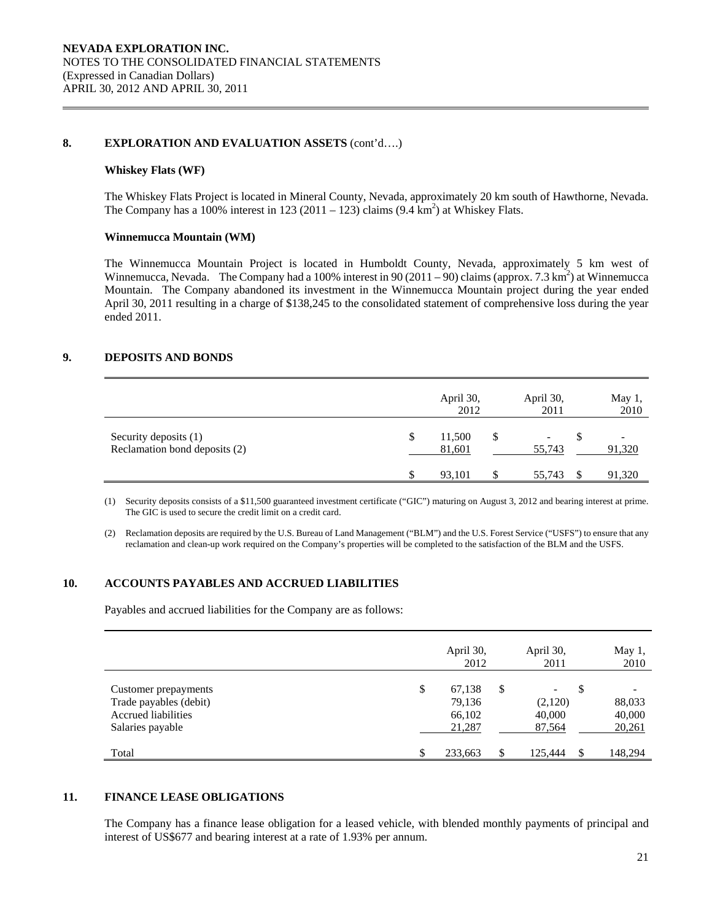### **8. EXPLORATION AND EVALUATION ASSETS** (cont'd….)

#### **Whiskey Flats (WF)**

The Whiskey Flats Project is located in Mineral County, Nevada, approximately 20 km south of Hawthorne, Nevada. The Company has a 100% interest in 123 (2011 – 123) claims  $(9.4 \text{ km}^2)$  at Whiskey Flats.

#### **Winnemucca Mountain (WM)**

The Winnemucca Mountain Project is located in Humboldt County, Nevada, approximately 5 km west of Winnemucca, Nevada. The Company had a 100% interest in 90 (2011 – 90) claims (approx. 7.3 km<sup>2</sup>) at Winnemucca Mountain. The Company abandoned its investment in the Winnemucca Mountain project during the year ended April 30, 2011 resulting in a charge of \$138,245 to the consolidated statement of comprehensive loss during the year ended 2011.

#### **9. DEPOSITS AND BONDS**

|                                                        |    | April 30,<br>2012 |     | April 30,<br>2011 | May 1,<br>2010 |
|--------------------------------------------------------|----|-------------------|-----|-------------------|----------------|
| Security deposits (1)<br>Reclamation bond deposits (2) | \$ | 11,500<br>81,601  | \$  | 55,743            | 91,320         |
|                                                        | S  | 93.101            | \$. | 55,743            | 91,320         |

(1) Security deposits consists of a \$11,500 guaranteed investment certificate ("GIC") maturing on August 3, 2012 and bearing interest at prime. The GIC is used to secure the credit limit on a credit card.

(2) Reclamation deposits are required by the U.S. Bureau of Land Management ("BLM") and the U.S. Forest Service ("USFS") to ensure that any reclamation and clean-up work required on the Company's properties will be completed to the satisfaction of the BLM and the USFS.

### **10. ACCOUNTS PAYABLES AND ACCRUED LIABILITIES**

Payables and accrued liabilities for the Company are as follows:

|                                                                                                  | April 30,<br>2012                          |    | April 30,<br>2011           |     | May 1,<br>2010             |
|--------------------------------------------------------------------------------------------------|--------------------------------------------|----|-----------------------------|-----|----------------------------|
| Customer prepayments<br>Trade payables (debit)<br><b>Accrued liabilities</b><br>Salaries payable | \$<br>67,138<br>79,136<br>66,102<br>21,287 | S  | (2,120)<br>40,000<br>87,564 | S   | 88,033<br>40,000<br>20,261 |
| Total                                                                                            | 233,663                                    | \$ | 125.444                     | \$. | 148,294                    |

### **11. FINANCE LEASE OBLIGATIONS**

The Company has a finance lease obligation for a leased vehicle, with blended monthly payments of principal and interest of US\$677 and bearing interest at a rate of 1.93% per annum.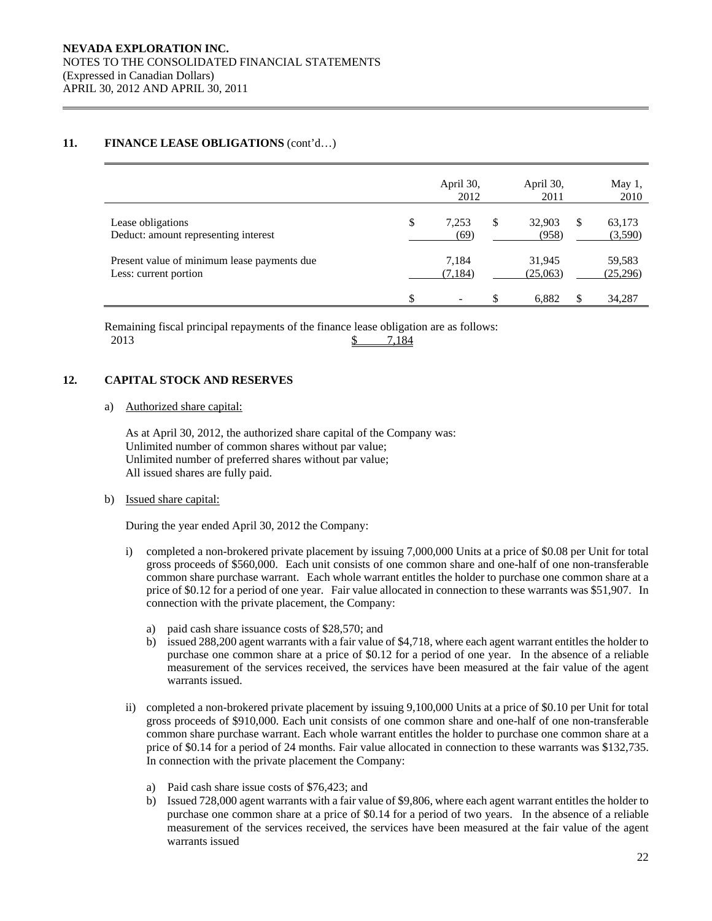# **11. FINANCE LEASE OBLIGATIONS** (cont'd…)

|                                                                      | April 30,<br>2012   | April 30,<br>2011     |     | May 1,<br>2010     |
|----------------------------------------------------------------------|---------------------|-----------------------|-----|--------------------|
| Lease obligations<br>Deduct: amount representing interest            | \$<br>7.253<br>(69) | \$<br>32,903<br>(958) | \$. | 63,173<br>(3,590)  |
| Present value of minimum lease payments due<br>Less: current portion | 7.184<br>(7, 184)   | 31,945<br>(25,063)    |     | 59,583<br>(25,296) |
|                                                                      | \$<br>۰             | \$<br>6.882           |     | 34,287             |

Remaining fiscal principal repayments of the finance lease obligation are as follows: 2013 \$ 7,184

# **12. CAPITAL STOCK AND RESERVES**

#### a) Authorized share capital:

As at April 30, 2012, the authorized share capital of the Company was: Unlimited number of common shares without par value; Unlimited number of preferred shares without par value; All issued shares are fully paid.

#### b) Issued share capital:

During the year ended April 30, 2012 the Company:

- i) completed a non-brokered private placement by issuing 7,000,000 Units at a price of \$0.08 per Unit for total gross proceeds of \$560,000. Each unit consists of one common share and one-half of one non-transferable common share purchase warrant. Each whole warrant entitles the holder to purchase one common share at a price of \$0.12 for a period of one year. Fair value allocated in connection to these warrants was \$51,907. In connection with the private placement, the Company:
	- a) paid cash share issuance costs of \$28,570; and
	- b) issued 288,200 agent warrants with a fair value of \$4,718, where each agent warrant entitles the holder to purchase one common share at a price of \$0.12 for a period of one year. In the absence of a reliable measurement of the services received, the services have been measured at the fair value of the agent warrants issued.
- ii) completed a non-brokered private placement by issuing 9,100,000 Units at a price of \$0.10 per Unit for total gross proceeds of \$910,000. Each unit consists of one common share and one-half of one non-transferable common share purchase warrant. Each whole warrant entitles the holder to purchase one common share at a price of \$0.14 for a period of 24 months. Fair value allocated in connection to these warrants was \$132,735. In connection with the private placement the Company:
	- a) Paid cash share issue costs of \$76,423; and
	- b) Issued 728,000 agent warrants with a fair value of \$9,806, where each agent warrant entitles the holder to purchase one common share at a price of \$0.14 for a period of two years. In the absence of a reliable measurement of the services received, the services have been measured at the fair value of the agent warrants issued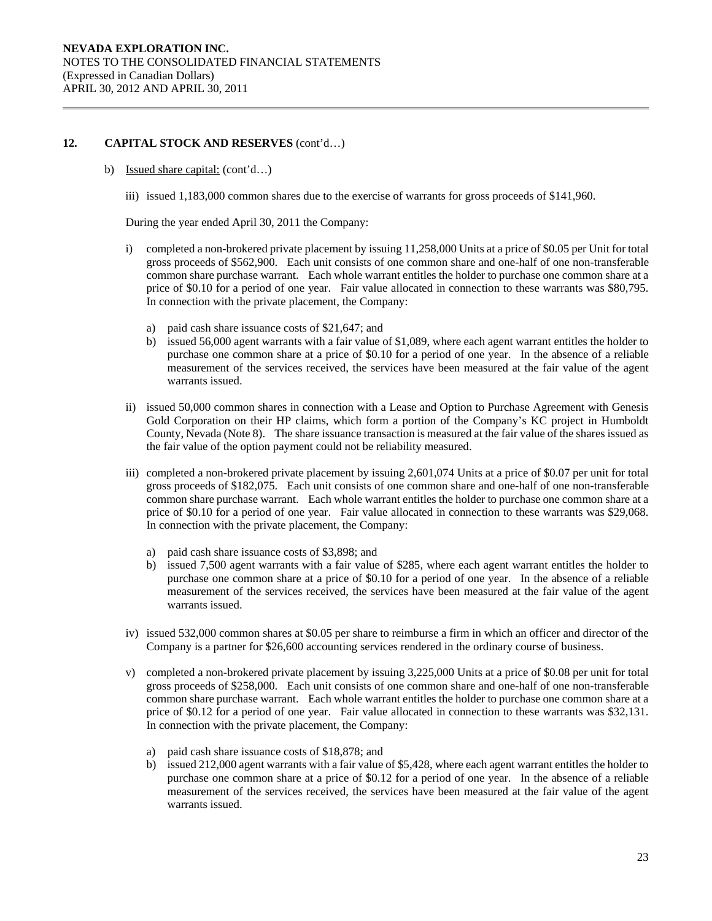b) Issued share capital: (cont'd...)

iii) issued 1,183,000 common shares due to the exercise of warrants for gross proceeds of \$141,960.

During the year ended April 30, 2011 the Company:

- i) completed a non-brokered private placement by issuing 11,258,000 Units at a price of \$0.05 per Unit for total gross proceeds of \$562,900. Each unit consists of one common share and one-half of one non-transferable common share purchase warrant. Each whole warrant entitles the holder to purchase one common share at a price of \$0.10 for a period of one year. Fair value allocated in connection to these warrants was \$80,795. In connection with the private placement, the Company:
	- a) paid cash share issuance costs of \$21,647; and
	- b) issued 56,000 agent warrants with a fair value of \$1,089, where each agent warrant entitles the holder to purchase one common share at a price of \$0.10 for a period of one year. In the absence of a reliable measurement of the services received, the services have been measured at the fair value of the agent warrants issued.
- ii) issued 50,000 common shares in connection with a Lease and Option to Purchase Agreement with Genesis Gold Corporation on their HP claims, which form a portion of the Company's KC project in Humboldt County, Nevada (Note 8). The share issuance transaction is measured at the fair value of the shares issued as the fair value of the option payment could not be reliability measured.
- iii) completed a non-brokered private placement by issuing 2,601,074 Units at a price of \$0.07 per unit for total gross proceeds of \$182,075. Each unit consists of one common share and one-half of one non-transferable common share purchase warrant. Each whole warrant entitles the holder to purchase one common share at a price of \$0.10 for a period of one year. Fair value allocated in connection to these warrants was \$29,068. In connection with the private placement, the Company:
	- a) paid cash share issuance costs of \$3,898; and
	- b) issued 7,500 agent warrants with a fair value of \$285, where each agent warrant entitles the holder to purchase one common share at a price of \$0.10 for a period of one year. In the absence of a reliable measurement of the services received, the services have been measured at the fair value of the agent warrants issued.
- iv) issued 532,000 common shares at \$0.05 per share to reimburse a firm in which an officer and director of the Company is a partner for \$26,600 accounting services rendered in the ordinary course of business.
- v) completed a non-brokered private placement by issuing 3,225,000 Units at a price of \$0.08 per unit for total gross proceeds of \$258,000. Each unit consists of one common share and one-half of one non-transferable common share purchase warrant. Each whole warrant entitles the holder to purchase one common share at a price of \$0.12 for a period of one year. Fair value allocated in connection to these warrants was \$32,131. In connection with the private placement, the Company:
	- a) paid cash share issuance costs of \$18,878; and
	- b) issued 212,000 agent warrants with a fair value of \$5,428, where each agent warrant entitles the holder to purchase one common share at a price of \$0.12 for a period of one year. In the absence of a reliable measurement of the services received, the services have been measured at the fair value of the agent warrants issued.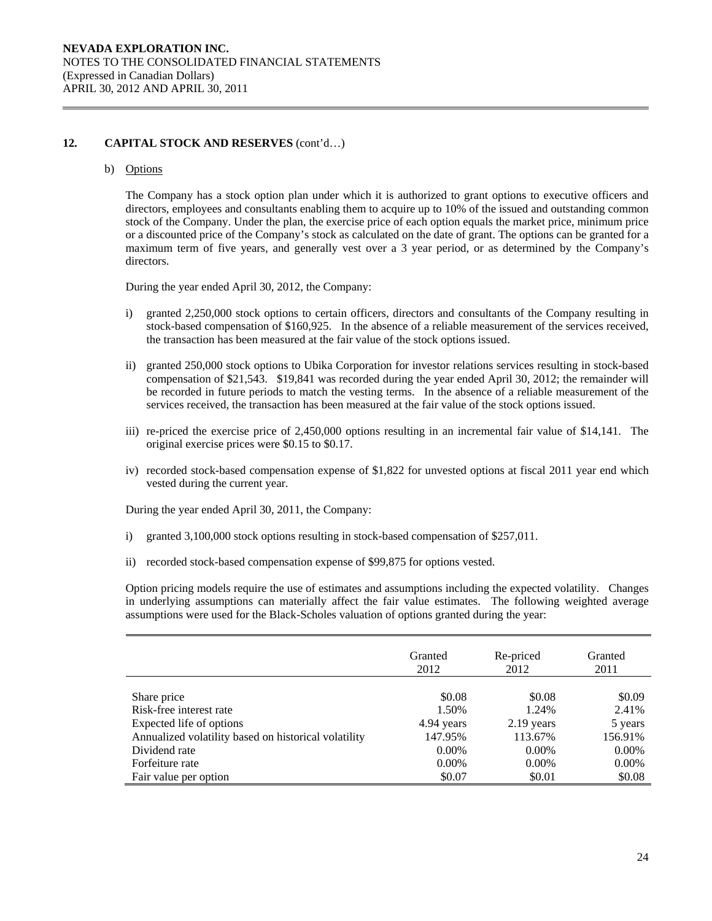### b) Options

The Company has a stock option plan under which it is authorized to grant options to executive officers and directors, employees and consultants enabling them to acquire up to 10% of the issued and outstanding common stock of the Company. Under the plan, the exercise price of each option equals the market price, minimum price or a discounted price of the Company's stock as calculated on the date of grant. The options can be granted for a maximum term of five years, and generally vest over a 3 year period, or as determined by the Company's directors.

During the year ended April 30, 2012, the Company:

- i) granted 2,250,000 stock options to certain officers, directors and consultants of the Company resulting in stock-based compensation of \$160,925. In the absence of a reliable measurement of the services received, the transaction has been measured at the fair value of the stock options issued.
- ii) granted 250,000 stock options to Ubika Corporation for investor relations services resulting in stock-based compensation of \$21,543. \$19,841 was recorded during the year ended April 30, 2012; the remainder will be recorded in future periods to match the vesting terms. In the absence of a reliable measurement of the services received, the transaction has been measured at the fair value of the stock options issued.
- iii) re-priced the exercise price of 2,450,000 options resulting in an incremental fair value of \$14,141. The original exercise prices were \$0.15 to \$0.17.
- iv) recorded stock-based compensation expense of \$1,822 for unvested options at fiscal 2011 year end which vested during the current year.

During the year ended April 30, 2011, the Company:

- i) granted 3,100,000 stock options resulting in stock-based compensation of \$257,011.
- ii) recorded stock-based compensation expense of \$99,875 for options vested.

Option pricing models require the use of estimates and assumptions including the expected volatility. Changes in underlying assumptions can materially affect the fair value estimates. The following weighted average assumptions were used for the Black-Scholes valuation of options granted during the year:

|                                                      | Granted    | Re-priced    | Granted  |
|------------------------------------------------------|------------|--------------|----------|
|                                                      | 2012       | 2012         | 2011     |
| Share price                                          | \$0.08     | \$0.08       | \$0.09   |
| Risk-free interest rate                              | 1.50%      | 1.24%        | 2.41%    |
| Expected life of options                             | 4.94 years | $2.19$ years | 5 years  |
| Annualized volatility based on historical volatility | 147.95%    | 113.67%      | 156.91%  |
| Dividend rate                                        | $0.00\%$   | $0.00\%$     | $0.00\%$ |
| Forfeiture rate                                      | $0.00\%$   | $0.00\%$     | $0.00\%$ |
| Fair value per option                                | \$0.07     | \$0.01       | \$0.08   |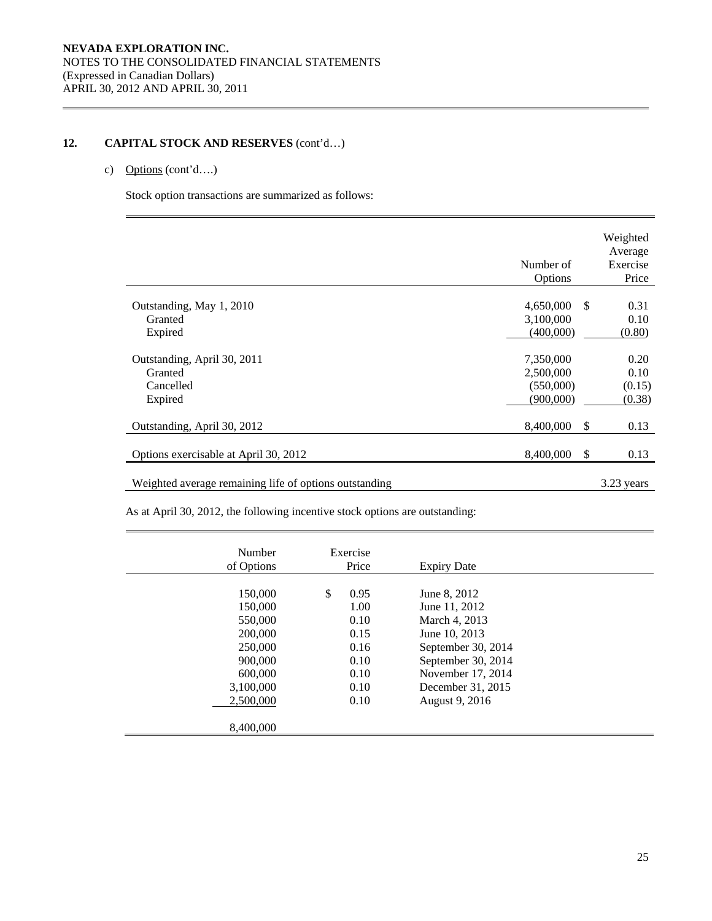# c) Options (cont'd….)

Stock option transactions are summarized as follows:

|                                                        | Number of<br>Options   |               | Weighted<br>Average<br>Exercise<br>Price |
|--------------------------------------------------------|------------------------|---------------|------------------------------------------|
| Outstanding, May 1, 2010                               | 4,650,000              | <sup>\$</sup> | 0.31                                     |
| Granted<br>Expired                                     | 3,100,000<br>(400,000) |               | 0.10<br>(0.80)                           |
| Outstanding, April 30, 2011                            | 7,350,000              |               | 0.20                                     |
| Granted<br>Cancelled                                   | 2,500,000<br>(550,000) |               | 0.10<br>(0.15)                           |
| Expired                                                | (900,000)              |               | (0.38)                                   |
| Outstanding, April 30, 2012                            | 8,400,000              | $\mathcal{S}$ | 0.13                                     |
| Options exercisable at April 30, 2012                  | 8,400,000              | $\mathcal{S}$ | 0.13                                     |
| Weighted average remaining life of options outstanding |                        |               | 3.23 years                               |

As at April 30, 2012, the following incentive stock options are outstanding:

| Number<br>of Options                                                                                             | Exercise<br>Price                                                          | <b>Expiry Date</b>                                                                                                                                                      |  |
|------------------------------------------------------------------------------------------------------------------|----------------------------------------------------------------------------|-------------------------------------------------------------------------------------------------------------------------------------------------------------------------|--|
| 150,000<br>150,000<br>550,000<br>200,000<br>250,000<br>900,000<br>600,000<br>3,100,000<br>2,500,000<br>8,400,000 | \$<br>0.95<br>1.00<br>0.10<br>0.15<br>0.16<br>0.10<br>0.10<br>0.10<br>0.10 | June 8, 2012<br>June 11, 2012<br>March 4, 2013<br>June 10, 2013<br>September 30, 2014<br>September 30, 2014<br>November 17, 2014<br>December 31, 2015<br>August 9, 2016 |  |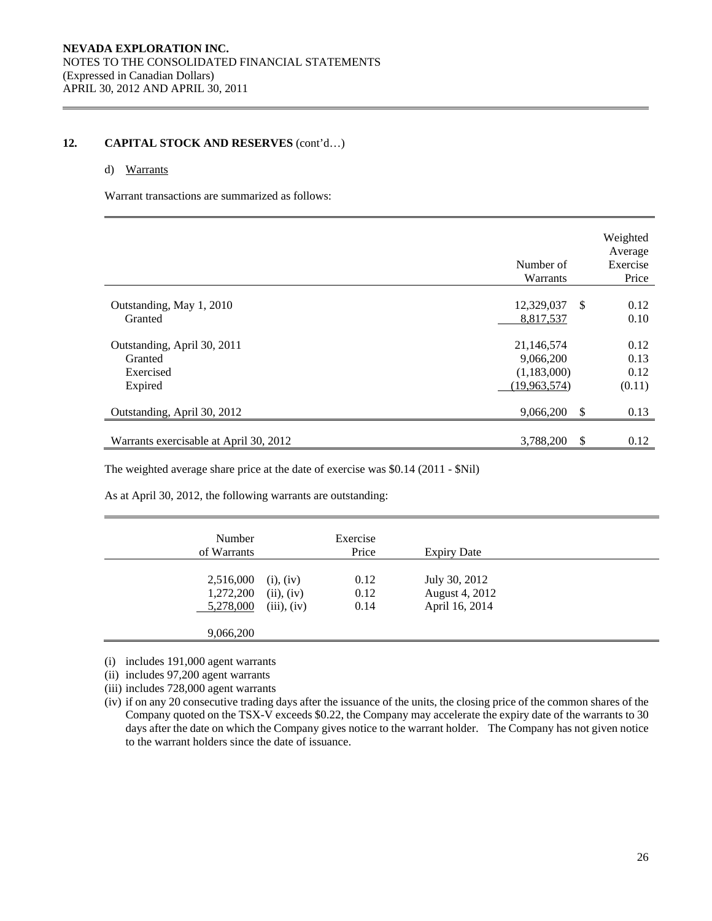### d) Warrants

Warrant transactions are summarized as follows:

|                                                                | Number of<br>Warrants                                    |     | Weighted<br>Average<br>Exercise<br>Price |
|----------------------------------------------------------------|----------------------------------------------------------|-----|------------------------------------------|
| Outstanding, May 1, 2010<br>Granted                            | 12,329,037<br>8,817,537                                  | -\$ | 0.12<br>0.10                             |
| Outstanding, April 30, 2011<br>Granted<br>Exercised<br>Expired | 21,146,574<br>9,066,200<br>(1,183,000)<br>(19, 963, 574) |     | 0.12<br>0.13<br>0.12<br>(0.11)           |
| Outstanding, April 30, 2012                                    | 9,066,200                                                | -S  | 0.13                                     |
| Warrants exercisable at April 30, 2012                         | 3,788,200                                                | S   | 0.12                                     |

The weighted average share price at the date of exercise was \$0.14 (2011 - \$Nil)

As at April 30, 2012, the following warrants are outstanding:

| Number<br>of Warrants               |                                             | Exercise<br>Price    | <b>Expiry Date</b>                                |  |
|-------------------------------------|---------------------------------------------|----------------------|---------------------------------------------------|--|
| 2,516,000<br>1,272,200<br>5,278,000 | $(i)$ , $(iv)$<br>(ii), (iv)<br>(iii), (iv) | 0.12<br>0.12<br>0.14 | July 30, 2012<br>August 4, 2012<br>April 16, 2014 |  |
| 9,066,200                           |                                             |                      |                                                   |  |

(i) includes 191,000 agent warrants

(ii) includes 97,200 agent warrants

(iii) includes 728,000 agent warrants

(iv) if on any 20 consecutive trading days after the issuance of the units, the closing price of the common shares of the Company quoted on the TSX-V exceeds \$0.22, the Company may accelerate the expiry date of the warrants to 30 days after the date on which the Company gives notice to the warrant holder. The Company has not given notice to the warrant holders since the date of issuance.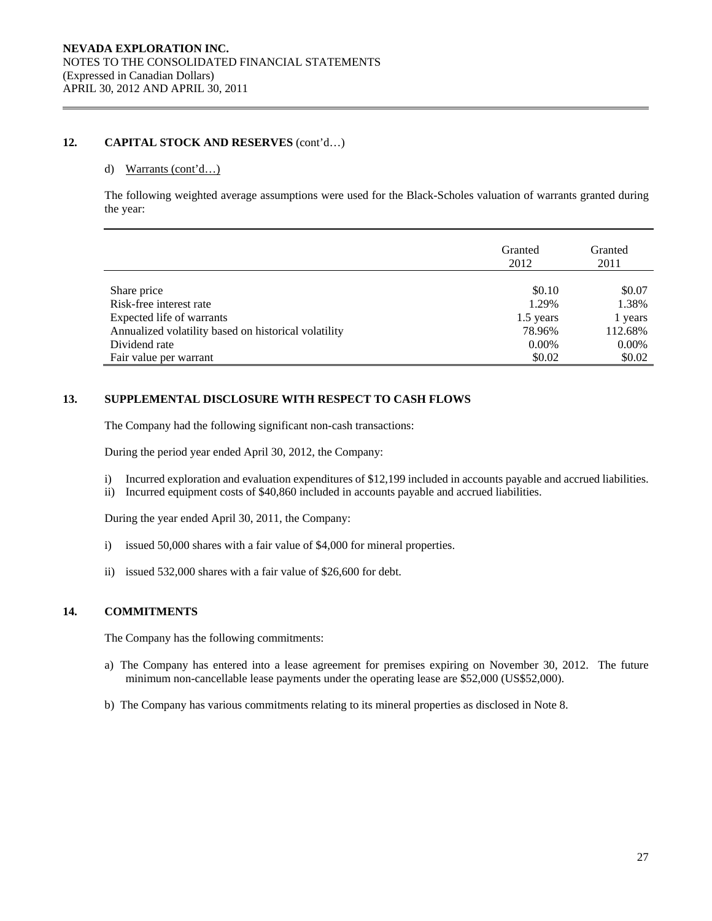#### d) Warrants (cont'd…)

The following weighted average assumptions were used for the Black-Scholes valuation of warrants granted during the year:

|                                                      | Granted<br>2012 | Granted<br>2011 |
|------------------------------------------------------|-----------------|-----------------|
|                                                      |                 |                 |
| Share price                                          | \$0.10          | \$0.07          |
| Risk-free interest rate                              | 1.29%           | 1.38%           |
| Expected life of warrants                            | 1.5 years       | 1 years         |
| Annualized volatility based on historical volatility | 78.96%          | 112.68%         |
| Dividend rate                                        | $0.00\%$        | 0.00%           |
| Fair value per warrant                               | \$0.02          | \$0.02          |

### **13. SUPPLEMENTAL DISCLOSURE WITH RESPECT TO CASH FLOWS**

The Company had the following significant non-cash transactions:

During the period year ended April 30, 2012, the Company:

- i) Incurred exploration and evaluation expenditures of \$12,199 included in accounts payable and accrued liabilities.
- ii) Incurred equipment costs of \$40,860 included in accounts payable and accrued liabilities.

During the year ended April 30, 2011, the Company:

- i) issued 50,000 shares with a fair value of \$4,000 for mineral properties.
- ii) issued 532,000 shares with a fair value of \$26,600 for debt.

# **14. COMMITMENTS**

The Company has the following commitments:

- a) The Company has entered into a lease agreement for premises expiring on November 30, 2012. The future minimum non-cancellable lease payments under the operating lease are \$52,000 (US\$52,000).
- b) The Company has various commitments relating to its mineral properties as disclosed in Note 8.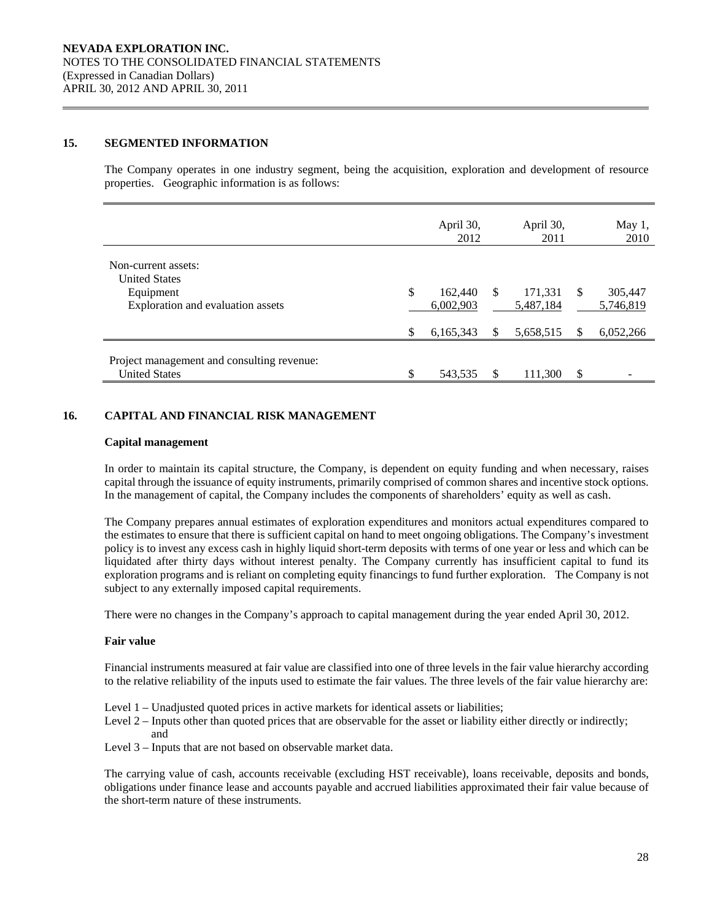### **15. SEGMENTED INFORMATION**

The Company operates in one industry segment, being the acquisition, exploration and development of resource properties. Geographic information is as follows:

|                                                                    |    | April 30,<br>2012    |   | April 30,<br>2011    |               | May 1,<br>2010       |
|--------------------------------------------------------------------|----|----------------------|---|----------------------|---------------|----------------------|
| Non-current assets:<br><b>United States</b>                        |    |                      |   |                      |               |                      |
| Equipment<br>Exploration and evaluation assets                     | \$ | 162,440<br>6,002,903 | S | 171,331<br>5,487,184 | <sup>\$</sup> | 305,447<br>5,746,819 |
|                                                                    | S  | 6,165,343            |   | 5,658,515            | \$.           | 6,052,266            |
| Project management and consulting revenue:<br><b>United States</b> | \$ | 543,535              | S | 111,300              | S             |                      |

# **16. CAPITAL AND FINANCIAL RISK MANAGEMENT**

#### **Capital management**

In order to maintain its capital structure, the Company, is dependent on equity funding and when necessary, raises capital through the issuance of equity instruments, primarily comprised of common shares and incentive stock options. In the management of capital, the Company includes the components of shareholders' equity as well as cash.

The Company prepares annual estimates of exploration expenditures and monitors actual expenditures compared to the estimates to ensure that there is sufficient capital on hand to meet ongoing obligations. The Company's investment policy is to invest any excess cash in highly liquid short-term deposits with terms of one year or less and which can be liquidated after thirty days without interest penalty. The Company currently has insufficient capital to fund its exploration programs and is reliant on completing equity financings to fund further exploration. The Company is not subject to any externally imposed capital requirements.

There were no changes in the Company's approach to capital management during the year ended April 30, 2012.

#### **Fair value**

Financial instruments measured at fair value are classified into one of three levels in the fair value hierarchy according to the relative reliability of the inputs used to estimate the fair values. The three levels of the fair value hierarchy are:

- Level 1 Unadjusted quoted prices in active markets for identical assets or liabilities;
- Level 2 Inputs other than quoted prices that are observable for the asset or liability either directly or indirectly; and
- Level 3 Inputs that are not based on observable market data.

The carrying value of cash, accounts receivable (excluding HST receivable), loans receivable, deposits and bonds, obligations under finance lease and accounts payable and accrued liabilities approximated their fair value because of the short-term nature of these instruments.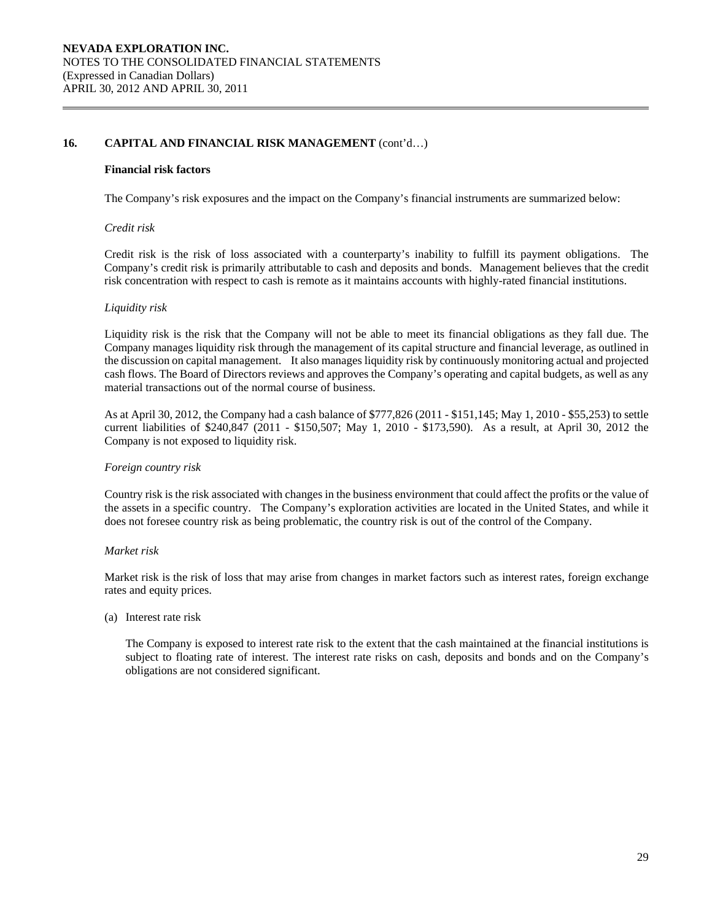### 16. CAPITAL AND FINANCIAL RISK MANAGEMENT  $(cont'd...)$

#### **Financial risk factors**

The Company's risk exposures and the impact on the Company's financial instruments are summarized below:

#### *Credit risk*

 Credit risk is the risk of loss associated with a counterparty's inability to fulfill its payment obligations. The Company's credit risk is primarily attributable to cash and deposits and bonds. Management believes that the credit risk concentration with respect to cash is remote as it maintains accounts with highly-rated financial institutions.

#### *Liquidity risk*

Liquidity risk is the risk that the Company will not be able to meet its financial obligations as they fall due. The Company manages liquidity risk through the management of its capital structure and financial leverage, as outlined in the discussion on capital management. It also manages liquidity risk by continuously monitoring actual and projected cash flows. The Board of Directors reviews and approves the Company's operating and capital budgets, as well as any material transactions out of the normal course of business.

As at April 30, 2012, the Company had a cash balance of \$777,826 (2011 - \$151,145; May 1, 2010 - \$55,253) to settle current liabilities of \$240,847 (2011 - \$150,507; May 1, 2010 - \$173,590). As a result, at April 30, 2012 the Company is not exposed to liquidity risk.

#### *Foreign country risk*

Country risk is the risk associated with changes in the business environment that could affect the profits or the value of the assets in a specific country. The Company's exploration activities are located in the United States, and while it does not foresee country risk as being problematic, the country risk is out of the control of the Company.

#### *Market risk*

Market risk is the risk of loss that may arise from changes in market factors such as interest rates, foreign exchange rates and equity prices.

(a) Interest rate risk

 The Company is exposed to interest rate risk to the extent that the cash maintained at the financial institutions is subject to floating rate of interest. The interest rate risks on cash, deposits and bonds and on the Company's obligations are not considered significant.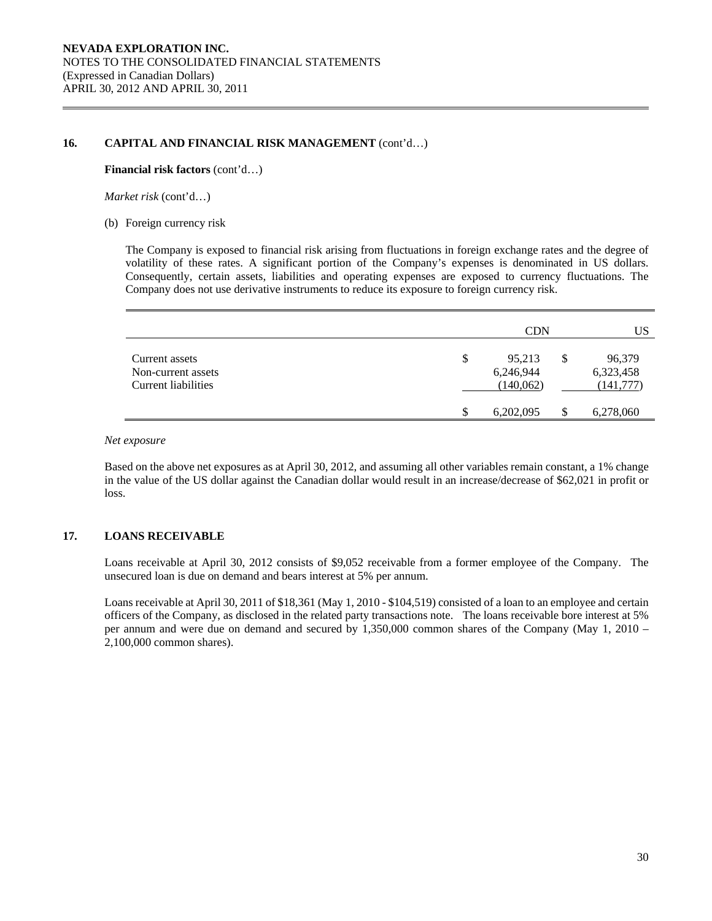### 16. CAPITAL AND FINANCIAL RISK MANAGEMENT  $(cont'd...)$

#### **Financial risk factors** (cont'd…)

*Market risk* (cont'd…)

(b) Foreign currency risk

The Company is exposed to financial risk arising from fluctuations in foreign exchange rates and the degree of volatility of these rates. A significant portion of the Company's expenses is denominated in US dollars. Consequently, certain assets, liabilities and operating expenses are exposed to currency fluctuations. The Company does not use derivative instruments to reduce its exposure to foreign currency risk.

|                                                             |    | <b>CDN</b>                       | US                                      |
|-------------------------------------------------------------|----|----------------------------------|-----------------------------------------|
| Current assets<br>Non-current assets<br>Current liabilities | \$ | 95,213<br>6,246,944<br>(140,062) | \$<br>96,379<br>6,323,458<br>(141, 777) |
|                                                             | S  | 6,202,095                        | 6,278,060                               |

*Net exposure* 

Based on the above net exposures as at April 30, 2012, and assuming all other variables remain constant, a 1% change in the value of the US dollar against the Canadian dollar would result in an increase/decrease of \$62,021 in profit or loss.

# **17. LOANS RECEIVABLE**

Loans receivable at April 30, 2012 consists of \$9,052 receivable from a former employee of the Company. The unsecured loan is due on demand and bears interest at 5% per annum.

Loans receivable at April 30, 2011 of \$18,361 (May 1, 2010 - \$104,519) consisted of a loan to an employee and certain officers of the Company, as disclosed in the related party transactions note. The loans receivable bore interest at 5% per annum and were due on demand and secured by 1,350,000 common shares of the Company (May 1, 2010 – 2,100,000 common shares).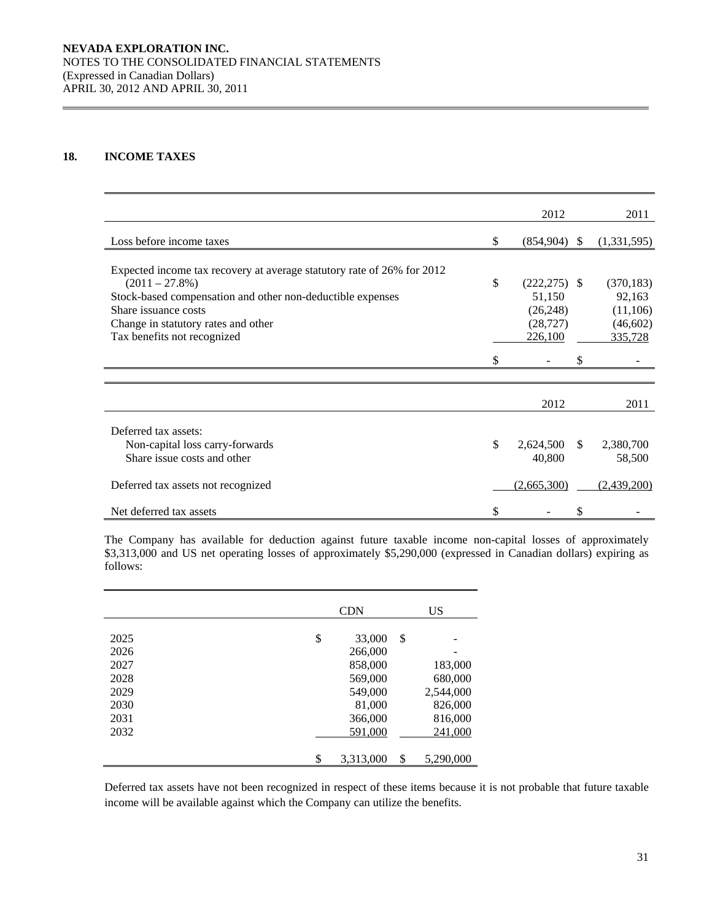# **18. INCOME TAXES**

|                                                                        | 2012                  |               | 2011        |
|------------------------------------------------------------------------|-----------------------|---------------|-------------|
| Loss before income taxes                                               | \$<br>(854,904)       | <sup>\$</sup> | (1,331,595) |
|                                                                        |                       |               |             |
| Expected income tax recovery at average statutory rate of 26% for 2012 |                       |               |             |
| $(2011 - 27.8\%)$                                                      | \$<br>$(222, 275)$ \$ |               | (370, 183)  |
| Stock-based compensation and other non-deductible expenses             | 51,150                |               | 92,163      |
| Share issuance costs                                                   | (26, 248)             |               | (11,106)    |
| Change in statutory rates and other                                    | (28, 727)             |               | (46, 602)   |
| Tax benefits not recognized                                            | 226,100               |               | 335,728     |
|                                                                        |                       |               |             |
|                                                                        |                       |               |             |
|                                                                        | 2012                  |               | 2011        |
|                                                                        |                       |               |             |
| Deferred tax assets:                                                   |                       |               |             |
| Non-capital loss carry-forwards                                        | \$<br>2,624,500       | <sup>\$</sup> | 2,380,700   |
| Share issue costs and other                                            | 40,800                |               | 58,500      |
| Deferred tax assets not recognized                                     | (2,665,300)           |               | (2,439,200) |
| Net deferred tax assets                                                | \$                    | \$            |             |

 The Company has available for deduction against future taxable income non-capital losses of approximately \$3,313,000 and US net operating losses of approximately \$5,290,000 (expressed in Canadian dollars) expiring as follows:

|              | <b>CDN</b>              | <b>US</b>       |
|--------------|-------------------------|-----------------|
|              |                         |                 |
| 2025<br>2026 | \$<br>33,000<br>266,000 | \$              |
| 2027         | 858,000                 | 183,000         |
| 2028         | 569,000                 | 680,000         |
| 2029         | 549,000                 | 2,544,000       |
| 2030         | 81,000                  | 826,000         |
| 2031         | 366,000                 | 816,000         |
| 2032         | 591,000                 | 241,000         |
|              | \$<br>3,313,000         | \$<br>5,290,000 |

Deferred tax assets have not been recognized in respect of these items because it is not probable that future taxable income will be available against which the Company can utilize the benefits.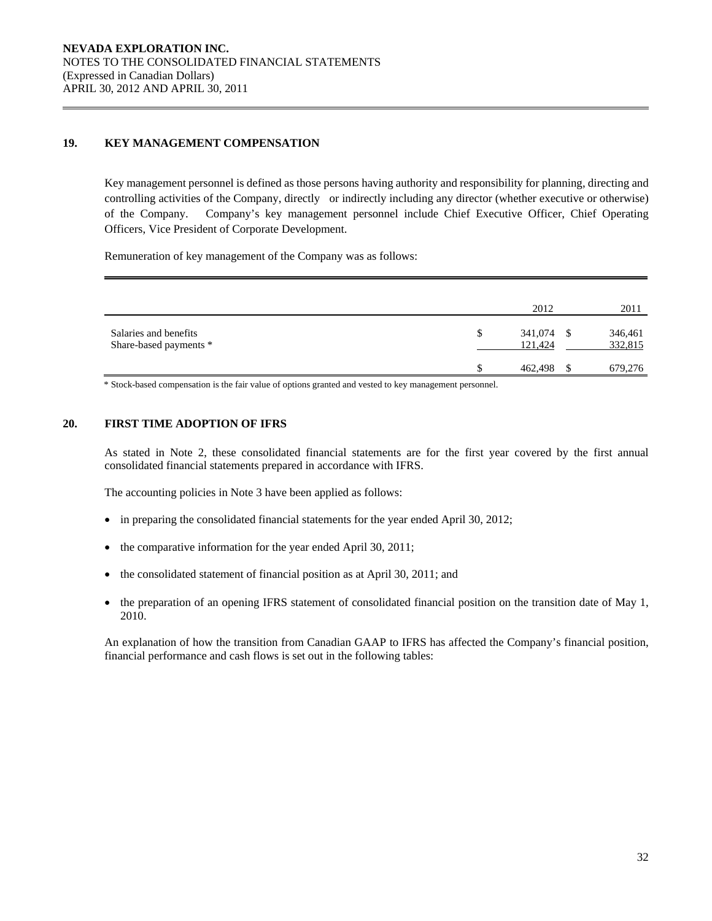# **19. KEY MANAGEMENT COMPENSATION**

Key management personnel is defined as those persons having authority and responsibility for planning, directing and controlling activities of the Company, directly or indirectly including any director (whether executive or otherwise) of the Company. Company's key management personnel include Chief Executive Officer, Chief Operating Officers, Vice President of Corporate Development.

Remuneration of key management of the Company was as follows:

|                                                 |   | 2012               |      | 2011               |
|-------------------------------------------------|---|--------------------|------|--------------------|
| Salaries and benefits<br>Share-based payments * | S | 341,074<br>121,424 | - \$ | 346,461<br>332,815 |
|                                                 |   | 462,498            |      | 679,276            |

\* Stock-based compensation is the fair value of options granted and vested to key management personnel.

### **20. FIRST TIME ADOPTION OF IFRS**

 As stated in Note 2, these consolidated financial statements are for the first year covered by the first annual consolidated financial statements prepared in accordance with IFRS.

The accounting policies in Note 3 have been applied as follows:

- $\bullet$  in preparing the consolidated financial statements for the year ended April 30, 2012;
- the comparative information for the year ended April 30, 2011;
- the consolidated statement of financial position as at April 30, 2011; and
- $\bullet$  the preparation of an opening IFRS statement of consolidated financial position on the transition date of May 1, 2010.

 An explanation of how the transition from Canadian GAAP to IFRS has affected the Company's financial position, financial performance and cash flows is set out in the following tables: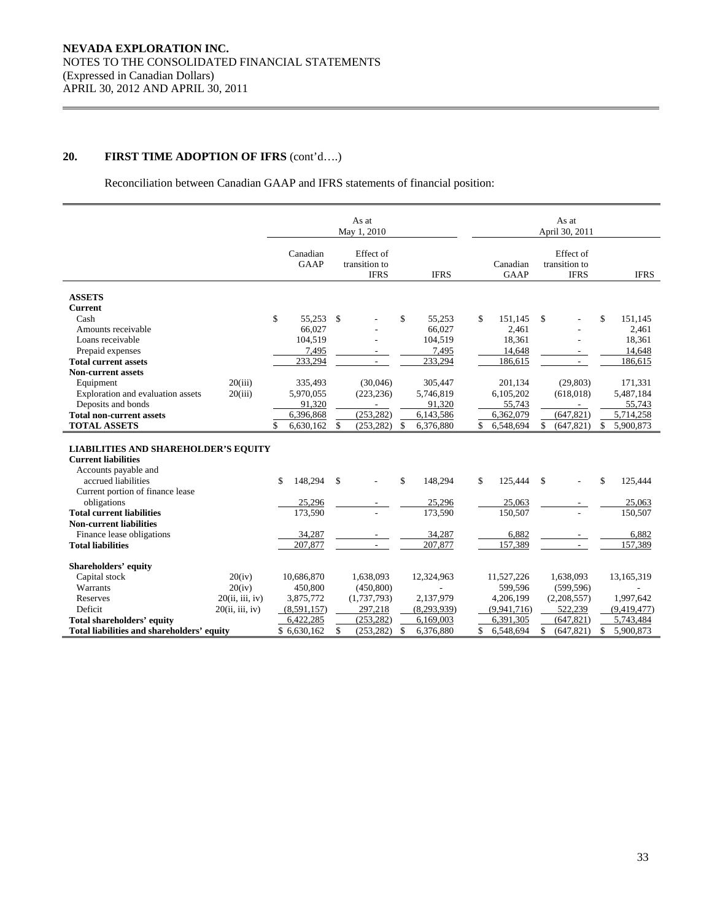Reconciliation between Canadian GAAP and IFRS statements of financial position:

|                                                                                                                          |                 |                         |              | As at<br>May 1, 2010                      |    |             |                         |              | As at<br>April 30, 2011                   |                 |
|--------------------------------------------------------------------------------------------------------------------------|-----------------|-------------------------|--------------|-------------------------------------------|----|-------------|-------------------------|--------------|-------------------------------------------|-----------------|
|                                                                                                                          |                 | Canadian<br><b>GAAP</b> |              | Effect of<br>transition to<br><b>IFRS</b> |    | <b>IFRS</b> | Canadian<br><b>GAAP</b> |              | Effect of<br>transition to<br><b>IFRS</b> | <b>IFRS</b>     |
|                                                                                                                          |                 |                         |              |                                           |    |             |                         |              |                                           |                 |
| <b>ASSETS</b>                                                                                                            |                 |                         |              |                                           |    |             |                         |              |                                           |                 |
| <b>Current</b>                                                                                                           |                 |                         |              |                                           |    |             |                         |              |                                           |                 |
| Cash                                                                                                                     |                 | \$<br>55.253 \$         |              |                                           | \$ | 55.253      | \$<br>151.145           | \$           |                                           | \$<br>151.145   |
| Amounts receivable                                                                                                       |                 | 66.027                  |              |                                           |    | 66,027      | 2,461                   |              |                                           | 2,461           |
| Loans receivable                                                                                                         |                 | 104,519                 |              |                                           |    | 104,519     | 18,361                  |              |                                           | 18,361          |
| Prepaid expenses                                                                                                         |                 | 7,495                   |              |                                           |    | 7,495       | 14,648                  |              |                                           | 14,648          |
| <b>Total current assets</b>                                                                                              |                 | 233,294                 |              |                                           |    | 233,294     | 186,615                 |              |                                           | 186,615         |
| <b>Non-current assets</b>                                                                                                |                 |                         |              |                                           |    |             |                         |              |                                           |                 |
| Equipment                                                                                                                | 20(iii)         | 335,493                 |              | (30,046)                                  |    | 305,447     | 201,134                 |              | (29, 803)                                 | 171,331         |
| Exploration and evaluation assets                                                                                        | 20(iii)         | 5,970,055               |              | (223, 236)                                |    | 5,746,819   | 6,105,202               |              | (618, 018)                                | 5,487,184       |
| Deposits and bonds                                                                                                       |                 | 91,320                  |              |                                           |    | 91,320      | 55,743                  |              | $\blacksquare$                            | 55,743          |
| <b>Total non-current assets</b>                                                                                          |                 | 6,396,868               |              | (253, 282)                                |    | 6,143,586   | 6,362,079               |              | (647, 821)                                | 5,714,258       |
| <b>TOTAL ASSETS</b>                                                                                                      |                 | \$<br>6,630,162         | \$           | (253, 282)                                | \$ | 6,376,880   | \$<br>6,548,694         | \$           | (647, 821)                                | \$<br>5,900,873 |
| <b>LIABILITIES AND SHAREHOLDER'S EQUITY</b><br><b>Current liabilities</b><br>Accounts payable and<br>accrued liabilities |                 | \$<br>148,294           | \$           |                                           | \$ | 148,294     | \$<br>125,444           | \$           |                                           | \$<br>125,444   |
| Current portion of finance lease                                                                                         |                 | 25,296                  |              |                                           |    | 25,296      | 25,063                  |              |                                           | 25,063          |
| obligations<br><b>Total current liabilities</b>                                                                          |                 | 173,590                 |              |                                           |    | 173,590     | 150,507                 |              |                                           | 150,507         |
| <b>Non-current liabilities</b>                                                                                           |                 |                         |              |                                           |    |             |                         |              |                                           |                 |
| Finance lease obligations                                                                                                |                 | 34,287                  |              |                                           |    | 34,287      | 6,882                   |              |                                           | 6,882           |
| <b>Total liabilities</b>                                                                                                 |                 | 207,877                 |              |                                           |    | 207,877     | 157.389                 |              |                                           | 157,389         |
|                                                                                                                          |                 |                         |              |                                           |    |             |                         |              |                                           |                 |
| <b>Shareholders' equity</b>                                                                                              |                 |                         |              |                                           |    |             |                         |              |                                           |                 |
| Capital stock                                                                                                            | 20(iv)          | 10,686,870              |              | 1,638,093                                 |    | 12,324,963  | 11,527,226              |              | 1,638,093                                 | 13,165,319      |
| Warrants                                                                                                                 | 20(iv)          | 450,800                 |              | (450, 800)                                |    |             | 599,596                 |              | (599, 596)                                |                 |
| Reserves                                                                                                                 | 20(ii, iii, iv) | 3,875,772               |              | (1,737,793)                               |    | 2,137,979   | 4,206,199               |              | (2,208,557)                               | 1,997,642       |
| Deficit                                                                                                                  | 20(ii, iii, iv) | (8,591,157)             |              | 297,218                                   |    | (8,293,939) | (9,941,716)             |              | 522,239                                   | (9,419,477)     |
| <b>Total shareholders' equity</b>                                                                                        |                 | 6,422,285               |              | (253.282)                                 |    | 6,169,003   | 6.391.305               |              | (647, 821)                                | 5,743,484       |
| Total liabilities and shareholders' equity                                                                               |                 | \$6,630,162             | $\mathbb{S}$ | (253, 282)                                | -S | 6,376,880   | \$<br>6,548,694         | $\mathbb{S}$ | (647, 821)                                | \$<br>5,900,873 |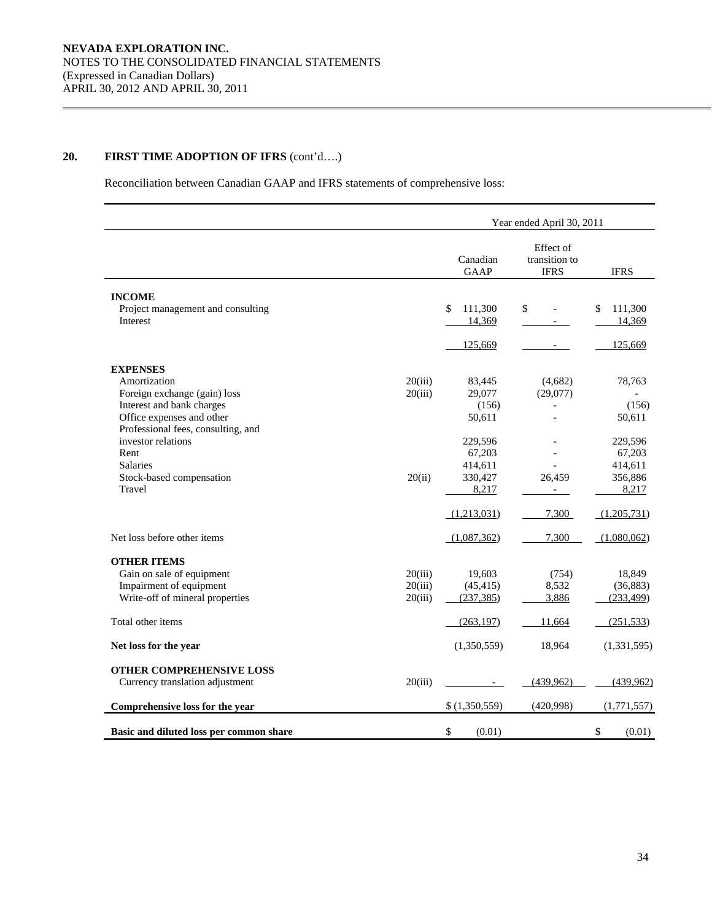Reconciliation between Canadian GAAP and IFRS statements of comprehensive loss:

|                                                                           |                    |                           | Year ended April 30, 2011                 |                         |
|---------------------------------------------------------------------------|--------------------|---------------------------|-------------------------------------------|-------------------------|
|                                                                           |                    | Canadian<br><b>GAAP</b>   | Effect of<br>transition to<br><b>IFRS</b> | <b>IFRS</b>             |
| <b>INCOME</b>                                                             |                    |                           |                                           |                         |
| Project management and consulting<br>Interest                             |                    | \$<br>111,300<br>14,369   | \$                                        | \$<br>111,300<br>14,369 |
|                                                                           |                    | 125,669                   |                                           | 125,669                 |
| <b>EXPENSES</b>                                                           |                    |                           |                                           |                         |
| Amortization<br>Foreign exchange (gain) loss<br>Interest and bank charges | 20(iii)<br>20(iii) | 83,445<br>29,077<br>(156) | (4,682)<br>(29,077)                       | 78,763<br>(156)         |
| Office expenses and other<br>Professional fees, consulting, and           |                    | 50,611                    |                                           | 50,611                  |
| investor relations<br>Rent                                                |                    | 229,596<br>67,203         |                                           | 229,596<br>67,203       |
| <b>Salaries</b>                                                           |                    | 414,611                   |                                           | 414,611                 |
| Stock-based compensation<br>Travel                                        | 20(ii)             | 330,427<br>8,217          | 26,459                                    | 356,886<br>8,217        |
|                                                                           |                    | (1,213,031)               | 7,300                                     | (1,205,731)             |
| Net loss before other items                                               |                    | (1,087,362)               | 7,300                                     | (1,080,062)             |
| <b>OTHER ITEMS</b>                                                        |                    |                           |                                           |                         |
| Gain on sale of equipment                                                 | 20(iii)            | 19,603                    | (754)                                     | 18,849                  |
| Impairment of equipment<br>Write-off of mineral properties                | 20(iii)<br>20(iii) | (45, 415)<br>(237, 385)   | 8,532<br>3,886                            | (36, 883)<br>(233, 499) |
|                                                                           |                    |                           |                                           |                         |
| Total other items                                                         |                    | (263, 197)                | 11,664                                    | (251, 533)              |
| Net loss for the year                                                     |                    | (1,350,559)               | 18,964                                    | (1, 331, 595)           |
| OTHER COMPREHENSIVE LOSS<br>Currency translation adjustment               | 20(iii)            |                           | (439, 962)                                | (439,962)               |
| Comprehensive loss for the year                                           |                    | \$(1,350,559)             | (420,998)                                 | (1,771,557)             |
| Basic and diluted loss per common share                                   |                    | \$<br>(0.01)              |                                           | \$<br>(0.01)            |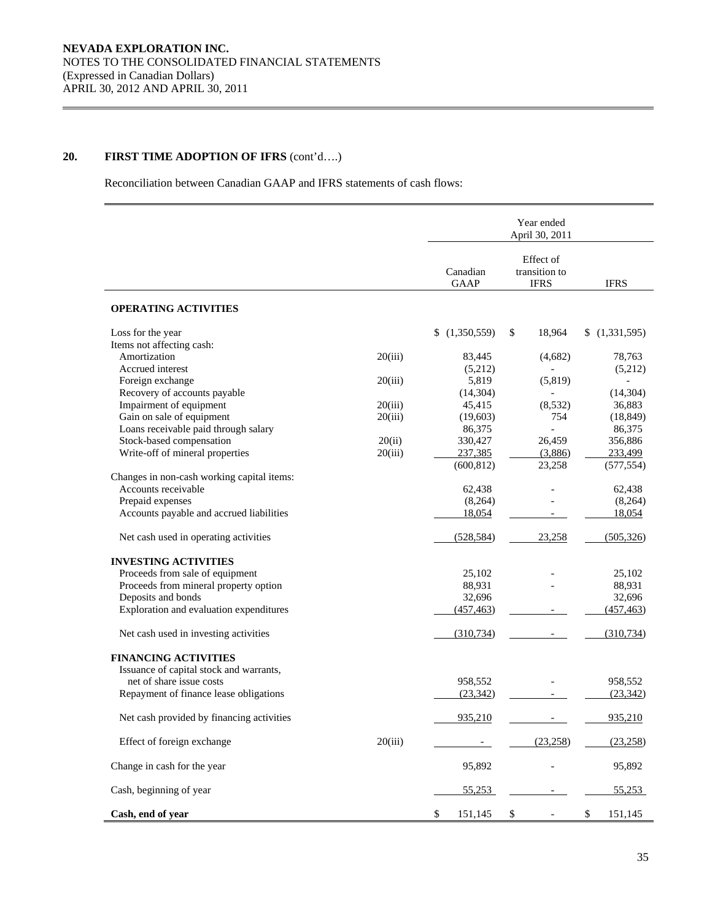Reconciliation between Canadian GAAP and IFRS statements of cash flows:

|                                            |         |                         | Year ended<br>April 30, 2011              |               |
|--------------------------------------------|---------|-------------------------|-------------------------------------------|---------------|
|                                            |         | Canadian<br><b>GAAP</b> | Effect of<br>transition to<br><b>IFRS</b> | <b>IFRS</b>   |
| <b>OPERATING ACTIVITIES</b>                |         |                         |                                           |               |
| Loss for the year                          |         | \$<br>(1,350,559)       | \$<br>18,964                              | (1,331,595)   |
| Items not affecting cash:                  |         |                         |                                           |               |
| Amortization                               | 20(iii) | 83,445                  | (4,682)                                   | 78,763        |
| Accrued interest                           |         | (5,212)                 |                                           | (5,212)       |
| Foreign exchange                           | 20(iii) | 5,819                   | (5,819)                                   |               |
| Recovery of accounts payable               |         | (14, 304)               |                                           | (14, 304)     |
| Impairment of equipment                    | 20(iii) | 45,415                  | (8,532)                                   | 36,883        |
| Gain on sale of equipment                  | 20(iii) | (19,603)                | 754                                       | (18, 849)     |
| Loans receivable paid through salary       |         | 86,375                  |                                           | 86,375        |
| Stock-based compensation                   |         |                         | 26,459                                    |               |
|                                            | 20(ii)  | 330,427                 |                                           | 356,886       |
| Write-off of mineral properties            | 20(iii) | 237,385                 | (3,886)                                   | 233,499       |
|                                            |         | (600, 812)              | 23,258                                    | (577, 554)    |
| Changes in non-cash working capital items: |         |                         |                                           |               |
| Accounts receivable                        |         | 62,438                  |                                           | 62,438        |
| Prepaid expenses                           |         | (8,264)                 |                                           | (8,264)       |
| Accounts payable and accrued liabilities   |         | 18,054                  |                                           | 18,054        |
| Net cash used in operating activities      |         | (528, 584)              | 23,258                                    | (505, 326)    |
| <b>INVESTING ACTIVITIES</b>                |         |                         |                                           |               |
| Proceeds from sale of equipment            |         | 25,102                  |                                           | 25,102        |
| Proceeds from mineral property option      |         | 88,931                  |                                           | 88,931        |
| Deposits and bonds                         |         | 32,696                  |                                           | 32,696        |
| Exploration and evaluation expenditures    |         | (457, 463)              |                                           | (457, 463)    |
|                                            |         |                         |                                           |               |
| Net cash used in investing activities      |         | (310, 734)              |                                           | (310, 734)    |
| <b>FINANCING ACTIVITIES</b>                |         |                         |                                           |               |
| Issuance of capital stock and warrants,    |         |                         |                                           |               |
| net of share issue costs                   |         | 958,552                 |                                           | 958,552       |
| Repayment of finance lease obligations     |         | (23, 342)               |                                           | (23, 342)     |
|                                            |         |                         |                                           |               |
| Net cash provided by financing activities  |         | 935,210                 |                                           | 935,210       |
|                                            |         |                         |                                           |               |
| Effect of foreign exchange                 | 20(iii) |                         | (23, 258)                                 | (23,258)      |
| Change in cash for the year                |         | 95,892                  |                                           | 95,892        |
| Cash, beginning of year                    |         | 55,253                  |                                           | 55,253        |
| Cash, end of year                          |         | 151,145<br>\$           | $\mathbb{S}$                              | \$<br>151,145 |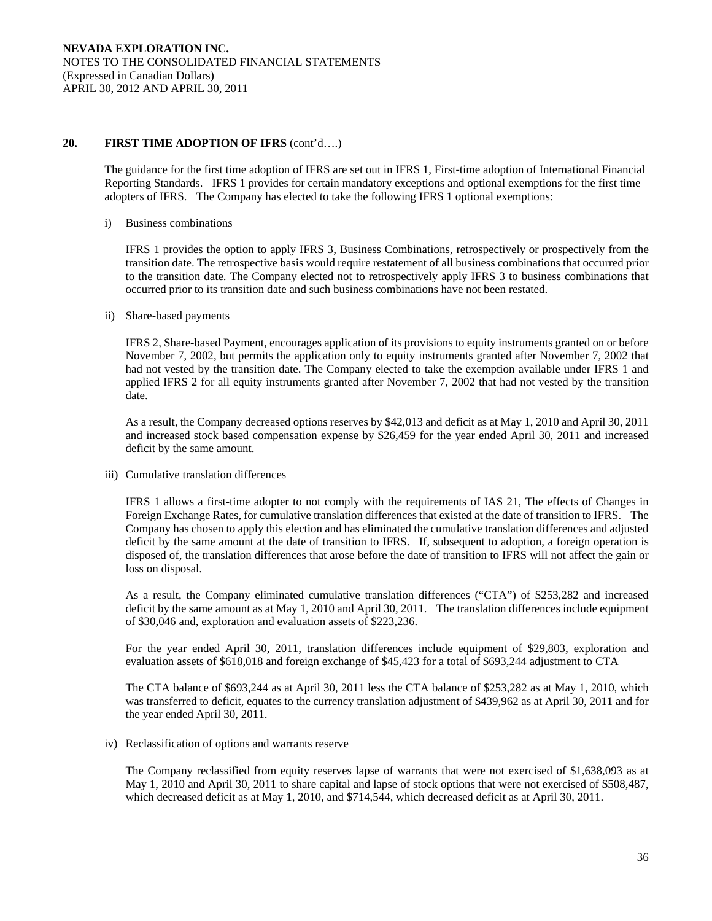The guidance for the first time adoption of IFRS are set out in IFRS 1, First-time adoption of International Financial Reporting Standards. IFRS 1 provides for certain mandatory exceptions and optional exemptions for the first time adopters of IFRS. The Company has elected to take the following IFRS 1 optional exemptions:

i) Business combinations

IFRS 1 provides the option to apply IFRS 3, Business Combinations, retrospectively or prospectively from the transition date. The retrospective basis would require restatement of all business combinations that occurred prior to the transition date. The Company elected not to retrospectively apply IFRS 3 to business combinations that occurred prior to its transition date and such business combinations have not been restated.

ii) Share-based payments

IFRS 2, Share-based Payment, encourages application of its provisions to equity instruments granted on or before November 7, 2002, but permits the application only to equity instruments granted after November 7, 2002 that had not vested by the transition date. The Company elected to take the exemption available under IFRS 1 and applied IFRS 2 for all equity instruments granted after November 7, 2002 that had not vested by the transition date.

As a result, the Company decreased options reserves by \$42,013 and deficit as at May 1, 2010 and April 30, 2011 and increased stock based compensation expense by \$26,459 for the year ended April 30, 2011 and increased deficit by the same amount.

iii) Cumulative translation differences

IFRS 1 allows a first-time adopter to not comply with the requirements of IAS 21, The effects of Changes in Foreign Exchange Rates, for cumulative translation differences that existed at the date of transition to IFRS. The Company has chosen to apply this election and has eliminated the cumulative translation differences and adjusted deficit by the same amount at the date of transition to IFRS. If, subsequent to adoption, a foreign operation is disposed of, the translation differences that arose before the date of transition to IFRS will not affect the gain or loss on disposal.

As a result, the Company eliminated cumulative translation differences ("CTA") of \$253,282 and increased deficit by the same amount as at May 1, 2010 and April 30, 2011. The translation differences include equipment of \$30,046 and, exploration and evaluation assets of \$223,236.

For the year ended April 30, 2011, translation differences include equipment of \$29,803, exploration and evaluation assets of \$618,018 and foreign exchange of \$45,423 for a total of \$693,244 adjustment to CTA

The CTA balance of \$693,244 as at April 30, 2011 less the CTA balance of \$253,282 as at May 1, 2010, which was transferred to deficit, equates to the currency translation adjustment of \$439,962 as at April 30, 2011 and for the year ended April 30, 2011.

iv) Reclassification of options and warrants reserve

The Company reclassified from equity reserves lapse of warrants that were not exercised of \$1,638,093 as at May 1, 2010 and April 30, 2011 to share capital and lapse of stock options that were not exercised of \$508,487, which decreased deficit as at May 1, 2010, and \$714,544, which decreased deficit as at April 30, 2011.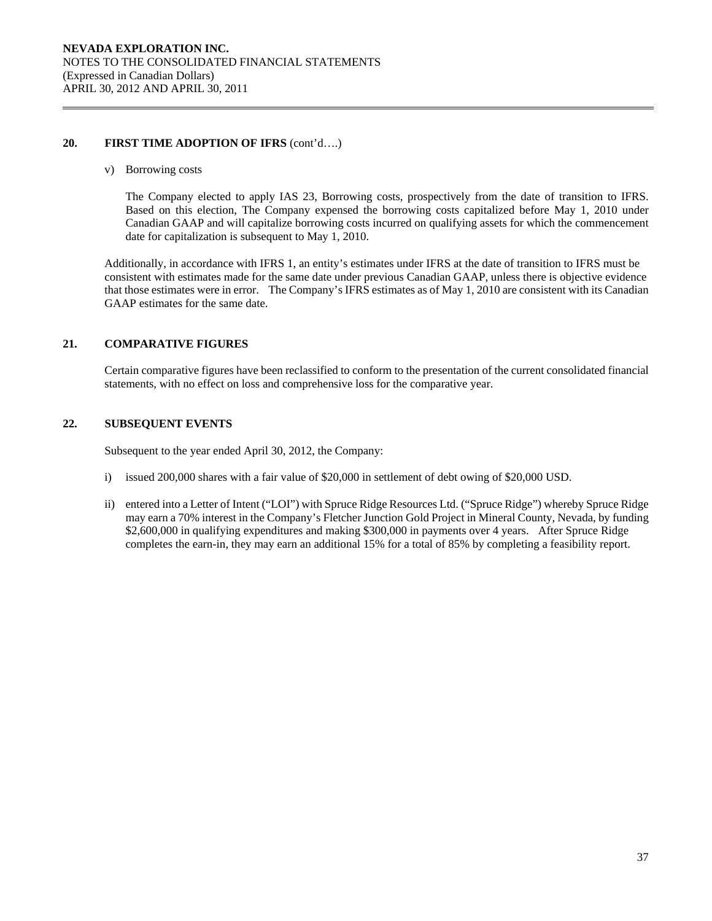v) Borrowing costs

The Company elected to apply IAS 23, Borrowing costs, prospectively from the date of transition to IFRS. Based on this election, The Company expensed the borrowing costs capitalized before May 1, 2010 under Canadian GAAP and will capitalize borrowing costs incurred on qualifying assets for which the commencement date for capitalization is subsequent to May 1, 2010.

Additionally, in accordance with IFRS 1, an entity's estimates under IFRS at the date of transition to IFRS must be consistent with estimates made for the same date under previous Canadian GAAP, unless there is objective evidence that those estimates were in error. The Company's IFRS estimates as of May 1, 2010 are consistent with its Canadian GAAP estimates for the same date.

# **21. COMPARATIVE FIGURES**

Certain comparative figures have been reclassified to conform to the presentation of the current consolidated financial statements, with no effect on loss and comprehensive loss for the comparative year.

# **22. SUBSEQUENT EVENTS**

Subsequent to the year ended April 30, 2012, the Company:

- i) issued 200,000 shares with a fair value of \$20,000 in settlement of debt owing of \$20,000 USD.
- ii) entered into a Letter of Intent ("LOI") with Spruce Ridge Resources Ltd. ("Spruce Ridge") whereby Spruce Ridge may earn a 70% interest in the Company's Fletcher Junction Gold Project in Mineral County, Nevada, by funding \$2,600,000 in qualifying expenditures and making \$300,000 in payments over 4 years. After Spruce Ridge completes the earn-in, they may earn an additional 15% for a total of 85% by completing a feasibility report.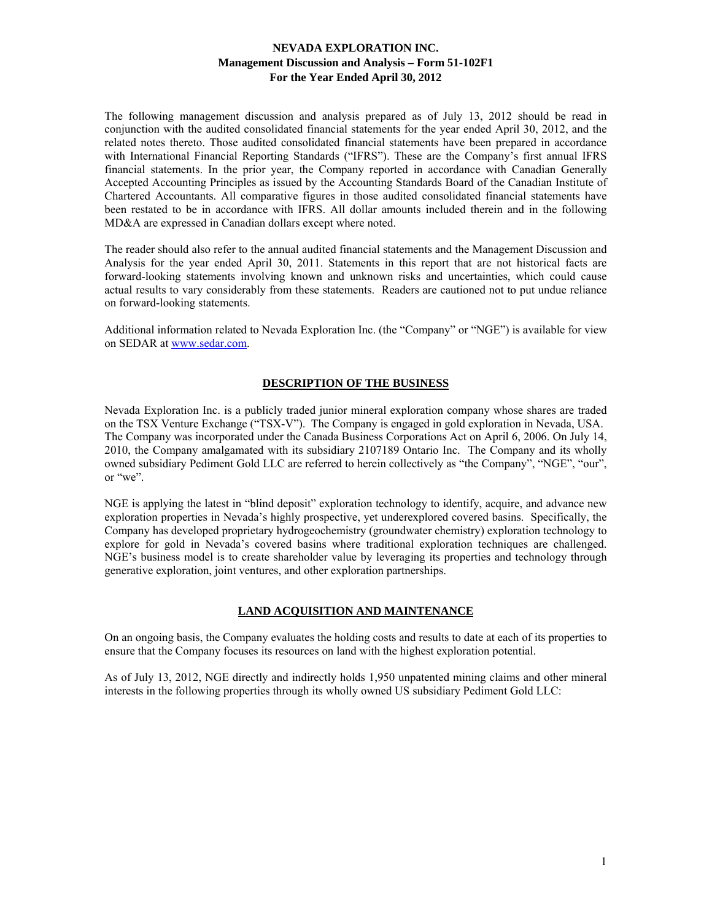The following management discussion and analysis prepared as of July 13, 2012 should be read in conjunction with the audited consolidated financial statements for the year ended April 30, 2012, and the related notes thereto. Those audited consolidated financial statements have been prepared in accordance with International Financial Reporting Standards ("IFRS"). These are the Company's first annual IFRS financial statements. In the prior year, the Company reported in accordance with Canadian Generally Accepted Accounting Principles as issued by the Accounting Standards Board of the Canadian Institute of Chartered Accountants. All comparative figures in those audited consolidated financial statements have been restated to be in accordance with IFRS. All dollar amounts included therein and in the following MD&A are expressed in Canadian dollars except where noted.

The reader should also refer to the annual audited financial statements and the Management Discussion and Analysis for the year ended April 30, 2011. Statements in this report that are not historical facts are forward-looking statements involving known and unknown risks and uncertainties, which could cause actual results to vary considerably from these statements. Readers are cautioned not to put undue reliance on forward-looking statements.

Additional information related to Nevada Exploration Inc. (the "Company" or "NGE") is available for view on SEDAR at www.sedar.com.

# **DESCRIPTION OF THE BUSINESS**

Nevada Exploration Inc. is a publicly traded junior mineral exploration company whose shares are traded on the TSX Venture Exchange ("TSX-V"). The Company is engaged in gold exploration in Nevada, USA. The Company was incorporated under the Canada Business Corporations Act on April 6, 2006. On July 14, 2010, the Company amalgamated with its subsidiary 2107189 Ontario Inc. The Company and its wholly owned subsidiary Pediment Gold LLC are referred to herein collectively as "the Company", "NGE", "our", or "we".

NGE is applying the latest in "blind deposit" exploration technology to identify, acquire, and advance new exploration properties in Nevada's highly prospective, yet underexplored covered basins. Specifically, the Company has developed proprietary hydrogeochemistry (groundwater chemistry) exploration technology to explore for gold in Nevada's covered basins where traditional exploration techniques are challenged. NGE's business model is to create shareholder value by leveraging its properties and technology through generative exploration, joint ventures, and other exploration partnerships.

# **LAND ACQUISITION AND MAINTENANCE**

On an ongoing basis, the Company evaluates the holding costs and results to date at each of its properties to ensure that the Company focuses its resources on land with the highest exploration potential.

As of July 13, 2012, NGE directly and indirectly holds 1,950 unpatented mining claims and other mineral interests in the following properties through its wholly owned US subsidiary Pediment Gold LLC: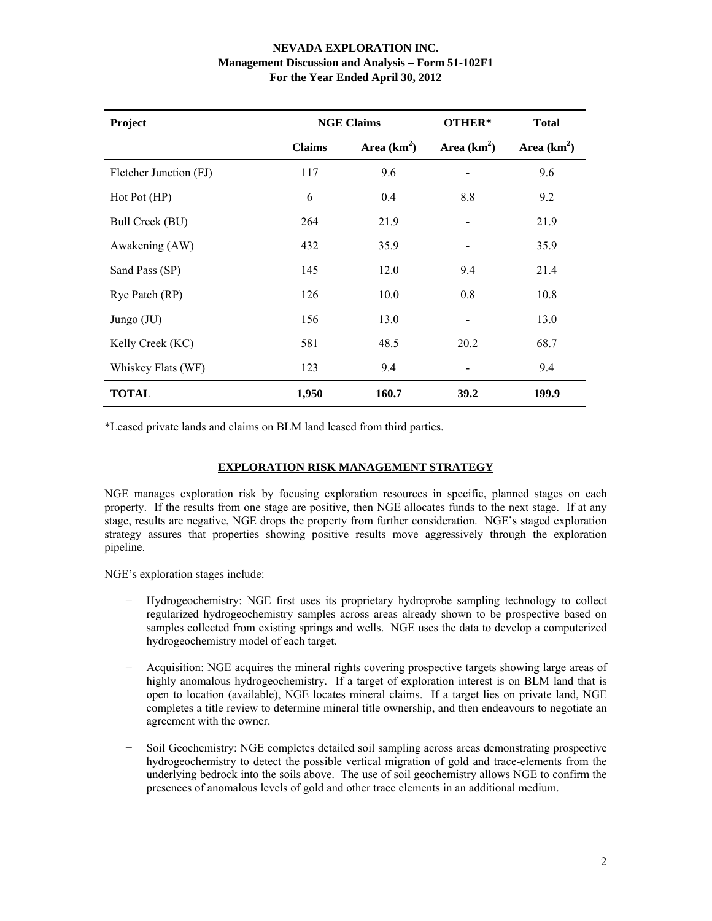| Project                |               | <b>NGE Claims</b> | OTHER*                       | <b>Total</b> |
|------------------------|---------------|-------------------|------------------------------|--------------|
|                        | <b>Claims</b> | Area $(km^2)$     | Area $(km2)$                 | Area $(km2)$ |
| Fletcher Junction (FJ) | 117           | 9.6               |                              | 9.6          |
| Hot Pot (HP)           | 6             | 0.4               | 8.8                          | 9.2          |
| Bull Creek (BU)        | 264           | 21.9              |                              | 21.9         |
| Awakening (AW)         | 432           | 35.9              |                              | 35.9         |
| Sand Pass (SP)         | 145           | 12.0              | 9.4                          | 21.4         |
| Rye Patch (RP)         | 126           | 10.0              | 0.8                          | 10.8         |
| Jungo (JU)             | 156           | 13.0              | $\qquad \qquad \blacksquare$ | 13.0         |
| Kelly Creek (KC)       | 581           | 48.5              | 20.2                         | 68.7         |
| Whiskey Flats (WF)     | 123           | 9.4               |                              | 9.4          |
| <b>TOTAL</b>           | 1,950         | 160.7             | 39.2                         | 199.9        |

\*Leased private lands and claims on BLM land leased from third parties.

# **EXPLORATION RISK MANAGEMENT STRATEGY**

NGE manages exploration risk by focusing exploration resources in specific, planned stages on each property. If the results from one stage are positive, then NGE allocates funds to the next stage. If at any stage, results are negative, NGE drops the property from further consideration. NGE's staged exploration strategy assures that properties showing positive results move aggressively through the exploration pipeline.

NGE's exploration stages include:

- − Hydrogeochemistry: NGE first uses its proprietary hydroprobe sampling technology to collect regularized hydrogeochemistry samples across areas already shown to be prospective based on samples collected from existing springs and wells. NGE uses the data to develop a computerized hydrogeochemistry model of each target.
- − Acquisition: NGE acquires the mineral rights covering prospective targets showing large areas of highly anomalous hydrogeochemistry. If a target of exploration interest is on BLM land that is open to location (available), NGE locates mineral claims. If a target lies on private land, NGE completes a title review to determine mineral title ownership, and then endeavours to negotiate an agreement with the owner.
- − Soil Geochemistry: NGE completes detailed soil sampling across areas demonstrating prospective hydrogeochemistry to detect the possible vertical migration of gold and trace-elements from the underlying bedrock into the soils above. The use of soil geochemistry allows NGE to confirm the presences of anomalous levels of gold and other trace elements in an additional medium.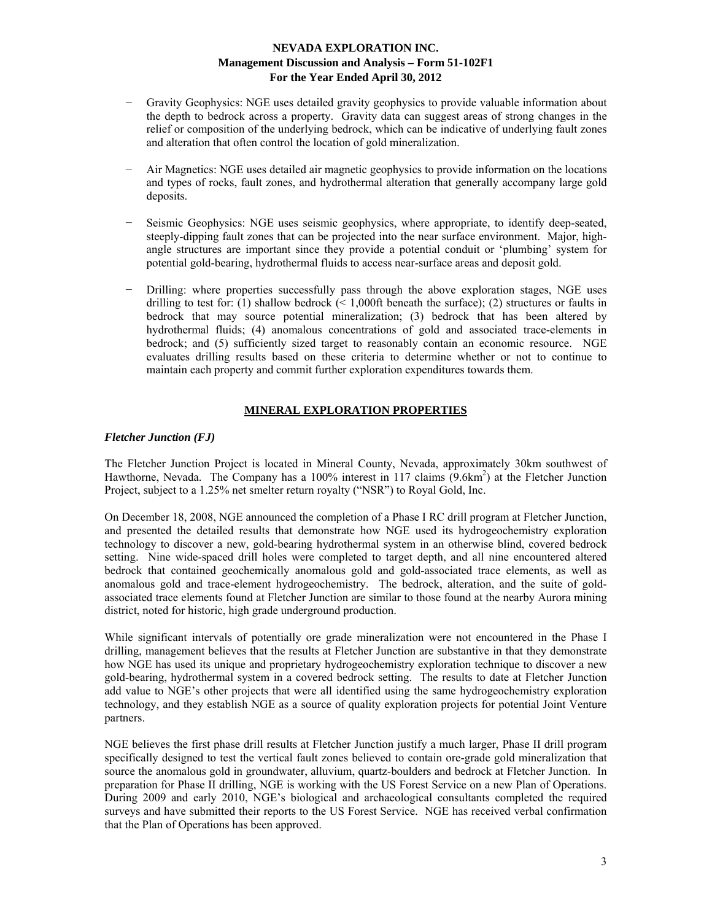- − Gravity Geophysics: NGE uses detailed gravity geophysics to provide valuable information about the depth to bedrock across a property. Gravity data can suggest areas of strong changes in the relief or composition of the underlying bedrock, which can be indicative of underlying fault zones and alteration that often control the location of gold mineralization.
- Air Magnetics: NGE uses detailed air magnetic geophysics to provide information on the locations and types of rocks, fault zones, and hydrothermal alteration that generally accompany large gold deposits.
- Seismic Geophysics: NGE uses seismic geophysics, where appropriate, to identify deep-seated, steeply-dipping fault zones that can be projected into the near surface environment. Major, highangle structures are important since they provide a potential conduit or 'plumbing' system for potential gold-bearing, hydrothermal fluids to access near-surface areas and deposit gold.
- − Drilling: where properties successfully pass through the above exploration stages, NGE uses drilling to test for: (1) shallow bedrock  $($  < 1,000ft beneath the surface); (2) structures or faults in bedrock that may source potential mineralization; (3) bedrock that has been altered by hydrothermal fluids; (4) anomalous concentrations of gold and associated trace-elements in bedrock; and (5) sufficiently sized target to reasonably contain an economic resource. NGE evaluates drilling results based on these criteria to determine whether or not to continue to maintain each property and commit further exploration expenditures towards them.

# **MINERAL EXPLORATION PROPERTIES**

### *Fletcher Junction (FJ)*

The Fletcher Junction Project is located in Mineral County, Nevada, approximately 30km southwest of Hawthorne, Nevada. The Company has a 100% interest in 117 claims (9.6km<sup>2</sup>) at the Fletcher Junction Project, subject to a 1.25% net smelter return royalty ("NSR") to Royal Gold, Inc.

On December 18, 2008, NGE announced the completion of a Phase I RC drill program at Fletcher Junction, and presented the detailed results that demonstrate how NGE used its hydrogeochemistry exploration technology to discover a new, gold-bearing hydrothermal system in an otherwise blind, covered bedrock setting. Nine wide-spaced drill holes were completed to target depth, and all nine encountered altered bedrock that contained geochemically anomalous gold and gold-associated trace elements, as well as anomalous gold and trace-element hydrogeochemistry. The bedrock, alteration, and the suite of goldassociated trace elements found at Fletcher Junction are similar to those found at the nearby Aurora mining district, noted for historic, high grade underground production.

While significant intervals of potentially ore grade mineralization were not encountered in the Phase I drilling, management believes that the results at Fletcher Junction are substantive in that they demonstrate how NGE has used its unique and proprietary hydrogeochemistry exploration technique to discover a new gold-bearing, hydrothermal system in a covered bedrock setting. The results to date at Fletcher Junction add value to NGE's other projects that were all identified using the same hydrogeochemistry exploration technology, and they establish NGE as a source of quality exploration projects for potential Joint Venture partners.

NGE believes the first phase drill results at Fletcher Junction justify a much larger, Phase II drill program specifically designed to test the vertical fault zones believed to contain ore-grade gold mineralization that source the anomalous gold in groundwater, alluvium, quartz-boulders and bedrock at Fletcher Junction. In preparation for Phase II drilling, NGE is working with the US Forest Service on a new Plan of Operations. During 2009 and early 2010, NGE's biological and archaeological consultants completed the required surveys and have submitted their reports to the US Forest Service. NGE has received verbal confirmation that the Plan of Operations has been approved.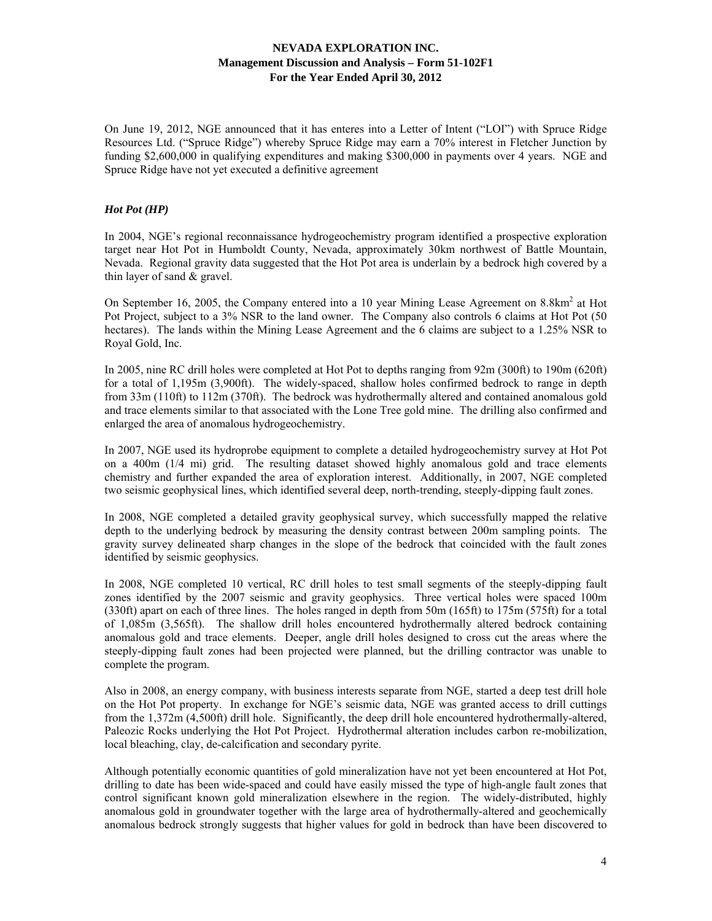On June 19, 2012, NGE announced that it has enteres into a Letter of Intent ("LOI") with Spruce Ridge Resources Ltd. ("Spruce Ridge") whereby Spruce Ridge may earn a 70% interest in Fletcher Junction by funding \$2,600,000 in qualifying expenditures and making \$300,000 in payments over 4 years. NGE and Spruce Ridge have not yet executed a definitive agreement

### *Hot Pot (HP)*

In 2004, NGE's regional reconnaissance hydrogeochemistry program identified a prospective exploration target near Hot Pot in Humboldt County, Nevada, approximately 30km northwest of Battle Mountain, Nevada. Regional gravity data suggested that the Hot Pot area is underlain by a bedrock high covered by a thin layer of sand & gravel.

On September 16, 2005, the Company entered into a 10 year Mining Lease Agreement on 8.8km<sup>2</sup> at Hot Pot Project, subject to a 3% NSR to the land owner. The Company also controls 6 claims at Hot Pot (50 hectares). The lands within the Mining Lease Agreement and the 6 claims are subject to a 1.25% NSR to Royal Gold, Inc.

In 2005, nine RC drill holes were completed at Hot Pot to depths ranging from 92m (300ft) to 190m (620ft) for a total of 1,195m (3,900ft). The widely-spaced, shallow holes confirmed bedrock to range in depth from 33m (110ft) to 112m (370ft). The bedrock was hydrothermally altered and contained anomalous gold and trace elements similar to that associated with the Lone Tree gold mine. The drilling also confirmed and enlarged the area of anomalous hydrogeochemistry.

In 2007, NGE used its hydroprobe equipment to complete a detailed hydrogeochemistry survey at Hot Pot on a 400m (1/4 mi) grid. The resulting dataset showed highly anomalous gold and trace elements chemistry and further expanded the area of exploration interest. Additionally, in 2007, NGE completed two seismic geophysical lines, which identified several deep, north-trending, steeply-dipping fault zones.

In 2008, NGE completed a detailed gravity geophysical survey, which successfully mapped the relative depth to the underlying bedrock by measuring the density contrast between 200m sampling points. The gravity survey delineated sharp changes in the slope of the bedrock that coincided with the fault zones identified by seismic geophysics.

In 2008, NGE completed 10 vertical, RC drill holes to test small segments of the steeply-dipping fault zones identified by the 2007 seismic and gravity geophysics. Three vertical holes were spaced 100m (330ft) apart on each of three lines. The holes ranged in depth from 50m (165ft) to 175m (575ft) for a total of 1,085m (3,565ft). The shallow drill holes encountered hydrothermally altered bedrock containing anomalous gold and trace elements. Deeper, angle drill holes designed to cross cut the areas where the steeply-dipping fault zones had been projected were planned, but the drilling contractor was unable to complete the program.

Also in 2008, an energy company, with business interests separate from NGE, started a deep test drill hole on the Hot Pot property. In exchange for NGE's seismic data, NGE was granted access to drill cuttings from the 1,372m (4,500ft) drill hole. Significantly, the deep drill hole encountered hydrothermally-altered, Paleozic Rocks underlying the Hot Pot Project. Hydrothermal alteration includes carbon re-mobilization, local bleaching, clay, de-calcification and secondary pyrite.

Although potentially economic quantities of gold mineralization have not yet been encountered at Hot Pot, drilling to date has been wide-spaced and could have easily missed the type of high-angle fault zones that control significant known gold mineralization elsewhere in the region. The widely-distributed, highly anomalous gold in groundwater together with the large area of hydrothermally-altered and geochemically anomalous bedrock strongly suggests that higher values for gold in bedrock than have been discovered to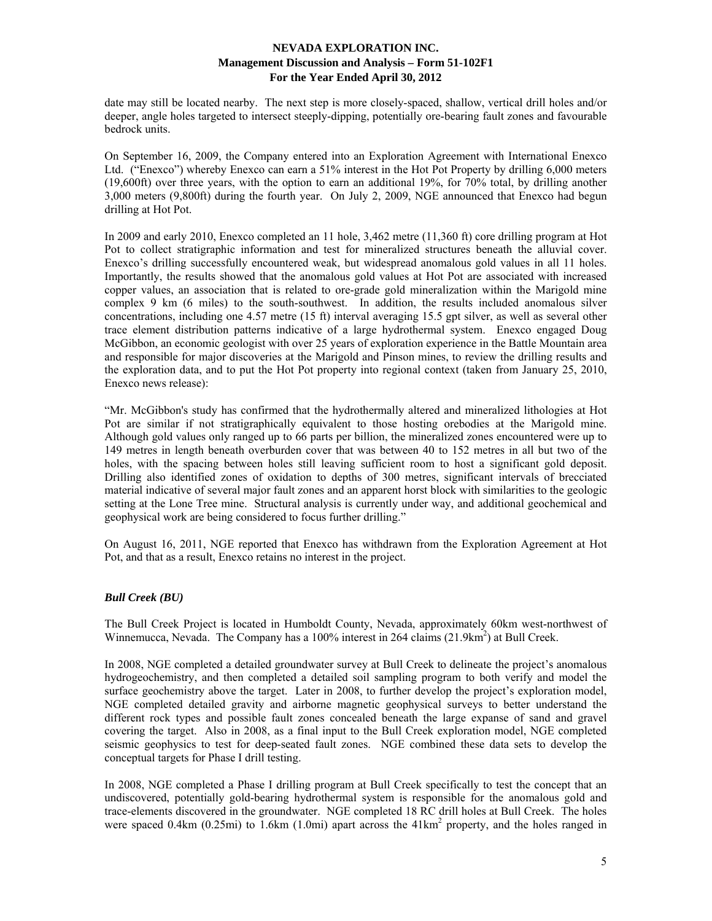date may still be located nearby. The next step is more closely-spaced, shallow, vertical drill holes and/or deeper, angle holes targeted to intersect steeply-dipping, potentially ore-bearing fault zones and favourable bedrock units.

On September 16, 2009, the Company entered into an Exploration Agreement with International Enexco Ltd. ("Enexco") whereby Enexco can earn a 51% interest in the Hot Pot Property by drilling 6,000 meters (19,600ft) over three years, with the option to earn an additional 19%, for 70% total, by drilling another 3,000 meters (9,800ft) during the fourth year. On July 2, 2009, NGE announced that Enexco had begun drilling at Hot Pot.

In 2009 and early 2010, Enexco completed an 11 hole, 3,462 metre (11,360 ft) core drilling program at Hot Pot to collect stratigraphic information and test for mineralized structures beneath the alluvial cover. Enexco's drilling successfully encountered weak, but widespread anomalous gold values in all 11 holes. Importantly, the results showed that the anomalous gold values at Hot Pot are associated with increased copper values, an association that is related to ore-grade gold mineralization within the Marigold mine complex 9 km (6 miles) to the south-southwest. In addition, the results included anomalous silver concentrations, including one 4.57 metre (15 ft) interval averaging 15.5 gpt silver, as well as several other trace element distribution patterns indicative of a large hydrothermal system. Enexco engaged Doug McGibbon, an economic geologist with over 25 years of exploration experience in the Battle Mountain area and responsible for major discoveries at the Marigold and Pinson mines, to review the drilling results and the exploration data, and to put the Hot Pot property into regional context (taken from January 25, 2010, Enexco news release):

"Mr. McGibbon's study has confirmed that the hydrothermally altered and mineralized lithologies at Hot Pot are similar if not stratigraphically equivalent to those hosting orebodies at the Marigold mine. Although gold values only ranged up to 66 parts per billion, the mineralized zones encountered were up to 149 metres in length beneath overburden cover that was between 40 to 152 metres in all but two of the holes, with the spacing between holes still leaving sufficient room to host a significant gold deposit. Drilling also identified zones of oxidation to depths of 300 metres, significant intervals of brecciated material indicative of several major fault zones and an apparent horst block with similarities to the geologic setting at the Lone Tree mine. Structural analysis is currently under way, and additional geochemical and geophysical work are being considered to focus further drilling."

On August 16, 2011, NGE reported that Enexco has withdrawn from the Exploration Agreement at Hot Pot, and that as a result, Enexco retains no interest in the project.

# *Bull Creek (BU)*

The Bull Creek Project is located in Humboldt County, Nevada, approximately 60km west-northwest of Winnemucca, Nevada. The Company has a 100% interest in 264 claims (21.9km<sup>2</sup>) at Bull Creek.

In 2008, NGE completed a detailed groundwater survey at Bull Creek to delineate the project's anomalous hydrogeochemistry, and then completed a detailed soil sampling program to both verify and model the surface geochemistry above the target. Later in 2008, to further develop the project's exploration model, NGE completed detailed gravity and airborne magnetic geophysical surveys to better understand the different rock types and possible fault zones concealed beneath the large expanse of sand and gravel covering the target. Also in 2008, as a final input to the Bull Creek exploration model, NGE completed seismic geophysics to test for deep-seated fault zones. NGE combined these data sets to develop the conceptual targets for Phase I drill testing.

In 2008, NGE completed a Phase I drilling program at Bull Creek specifically to test the concept that an undiscovered, potentially gold-bearing hydrothermal system is responsible for the anomalous gold and trace-elements discovered in the groundwater. NGE completed 18 RC drill holes at Bull Creek. The holes were spaced  $0.4 \text{km}$  ( $0.25 \text{mi}$ ) to  $1.6 \text{km}$  ( $1.0 \text{mi}$ ) apart across the  $41 \text{km}^2$  property, and the holes ranged in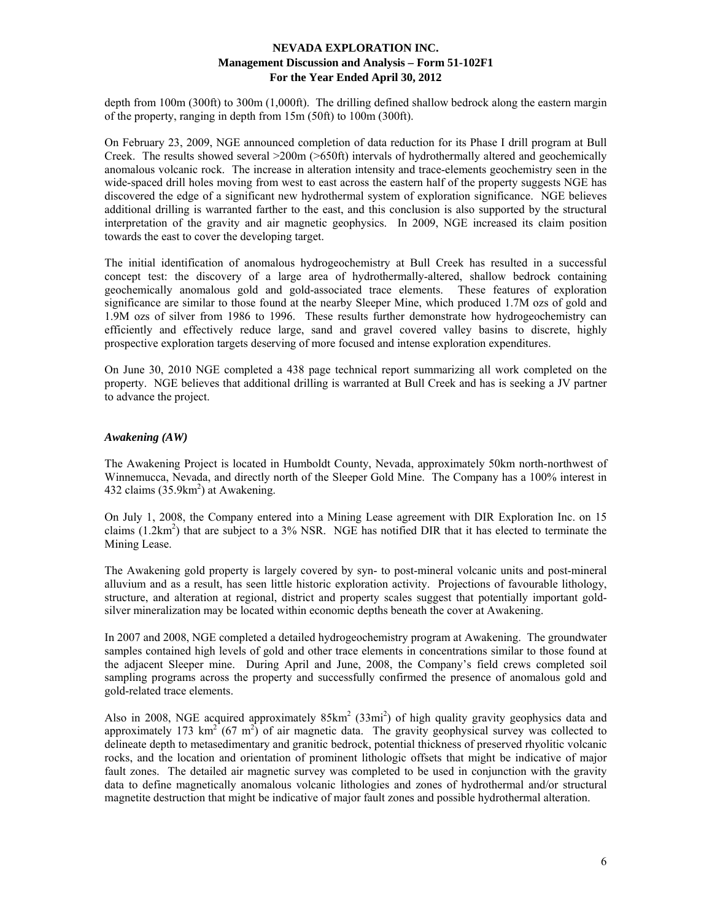depth from 100m (300ft) to 300m (1,000ft). The drilling defined shallow bedrock along the eastern margin of the property, ranging in depth from 15m (50ft) to 100m (300ft).

On February 23, 2009, NGE announced completion of data reduction for its Phase I drill program at Bull Creek. The results showed several >200m (>650ft) intervals of hydrothermally altered and geochemically anomalous volcanic rock. The increase in alteration intensity and trace-elements geochemistry seen in the wide-spaced drill holes moving from west to east across the eastern half of the property suggests NGE has discovered the edge of a significant new hydrothermal system of exploration significance. NGE believes additional drilling is warranted farther to the east, and this conclusion is also supported by the structural interpretation of the gravity and air magnetic geophysics. In 2009, NGE increased its claim position towards the east to cover the developing target.

The initial identification of anomalous hydrogeochemistry at Bull Creek has resulted in a successful concept test: the discovery of a large area of hydrothermally-altered, shallow bedrock containing geochemically anomalous gold and gold-associated trace elements. These features of exploration significance are similar to those found at the nearby Sleeper Mine, which produced 1.7M ozs of gold and 1.9M ozs of silver from 1986 to 1996. These results further demonstrate how hydrogeochemistry can efficiently and effectively reduce large, sand and gravel covered valley basins to discrete, highly prospective exploration targets deserving of more focused and intense exploration expenditures.

On June 30, 2010 NGE completed a 438 page technical report summarizing all work completed on the property. NGE believes that additional drilling is warranted at Bull Creek and has is seeking a JV partner to advance the project.

### *Awakening (AW)*

The Awakening Project is located in Humboldt County, Nevada, approximately 50km north-northwest of Winnemucca, Nevada, and directly north of the Sleeper Gold Mine. The Company has a 100% interest in 432 claims  $(35.9 \text{km}^2)$  at Awakening.

On July 1, 2008, the Company entered into a Mining Lease agreement with DIR Exploration Inc. on 15 claims  $(1.2 \text{km}^2)$  that are subject to a 3% NSR. NGE has notified DIR that it has elected to terminate the Mining Lease.

The Awakening gold property is largely covered by syn- to post-mineral volcanic units and post-mineral alluvium and as a result, has seen little historic exploration activity. Projections of favourable lithology, structure, and alteration at regional, district and property scales suggest that potentially important goldsilver mineralization may be located within economic depths beneath the cover at Awakening.

In 2007 and 2008, NGE completed a detailed hydrogeochemistry program at Awakening. The groundwater samples contained high levels of gold and other trace elements in concentrations similar to those found at the adjacent Sleeper mine. During April and June, 2008, the Company's field crews completed soil sampling programs across the property and successfully confirmed the presence of anomalous gold and gold-related trace elements.

Also in 2008, NGE acquired approximately  $85 \text{km}^2$  (33mi<sup>2</sup>) of high quality gravity geophysics data and approximately 173  $\text{km}^2$  (67 m<sup>2</sup>) of air magnetic data. The gravity geophysical survey was collected to delineate depth to metasedimentary and granitic bedrock, potential thickness of preserved rhyolitic volcanic rocks, and the location and orientation of prominent lithologic offsets that might be indicative of major fault zones. The detailed air magnetic survey was completed to be used in conjunction with the gravity data to define magnetically anomalous volcanic lithologies and zones of hydrothermal and/or structural magnetite destruction that might be indicative of major fault zones and possible hydrothermal alteration.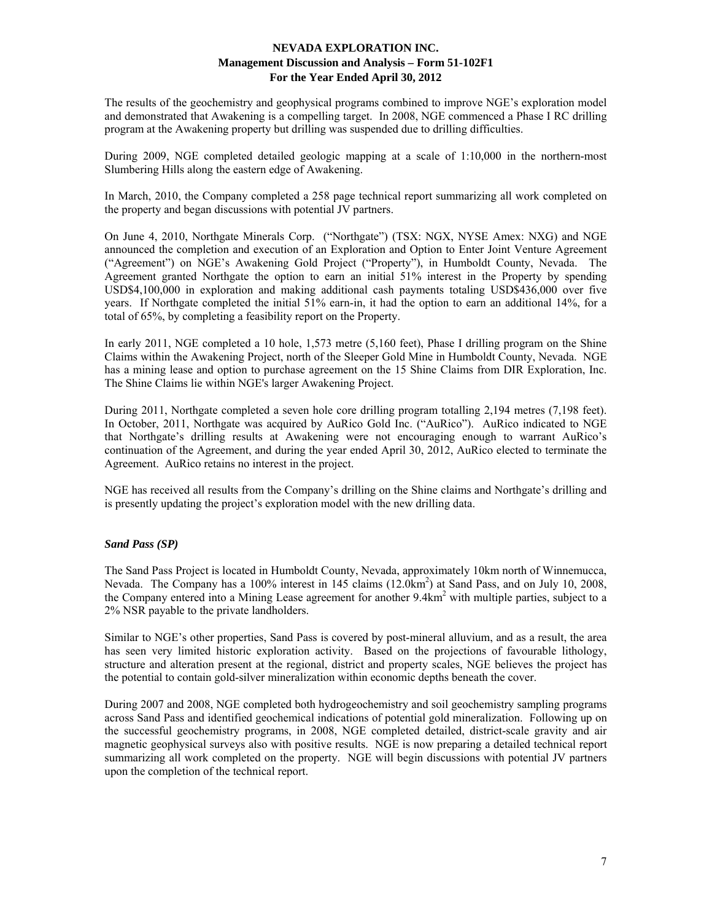The results of the geochemistry and geophysical programs combined to improve NGE's exploration model and demonstrated that Awakening is a compelling target. In 2008, NGE commenced a Phase I RC drilling program at the Awakening property but drilling was suspended due to drilling difficulties.

During 2009, NGE completed detailed geologic mapping at a scale of 1:10,000 in the northern-most Slumbering Hills along the eastern edge of Awakening.

In March, 2010, the Company completed a 258 page technical report summarizing all work completed on the property and began discussions with potential JV partners.

On June 4, 2010, Northgate Minerals Corp. ("Northgate") (TSX: NGX, NYSE Amex: NXG) and NGE announced the completion and execution of an Exploration and Option to Enter Joint Venture Agreement ("Agreement") on NGE's Awakening Gold Project ("Property"), in Humboldt County, Nevada. The Agreement granted Northgate the option to earn an initial 51% interest in the Property by spending USD\$4,100,000 in exploration and making additional cash payments totaling USD\$436,000 over five years. If Northgate completed the initial 51% earn-in, it had the option to earn an additional 14%, for a total of 65%, by completing a feasibility report on the Property.

In early 2011, NGE completed a 10 hole, 1,573 metre (5,160 feet), Phase I drilling program on the Shine Claims within the Awakening Project, north of the Sleeper Gold Mine in Humboldt County, Nevada. NGE has a mining lease and option to purchase agreement on the 15 Shine Claims from DIR Exploration, Inc. The Shine Claims lie within NGE's larger Awakening Project.

During 2011, Northgate completed a seven hole core drilling program totalling 2,194 metres (7,198 feet). In October, 2011, Northgate was acquired by AuRico Gold Inc. ("AuRico"). AuRico indicated to NGE that Northgate's drilling results at Awakening were not encouraging enough to warrant AuRico's continuation of the Agreement, and during the year ended April 30, 2012, AuRico elected to terminate the Agreement. AuRico retains no interest in the project.

NGE has received all results from the Company's drilling on the Shine claims and Northgate's drilling and is presently updating the project's exploration model with the new drilling data.

# *Sand Pass (SP)*

The Sand Pass Project is located in Humboldt County, Nevada, approximately 10km north of Winnemucca, Nevada. The Company has a 100% interest in 145 claims (12.0km<sup>2</sup>) at Sand Pass, and on July 10, 2008, the Company entered into a Mining Lease agreement for another 9.4km<sup>2</sup> with multiple parties, subject to a 2% NSR payable to the private landholders.

Similar to NGE's other properties, Sand Pass is covered by post-mineral alluvium, and as a result, the area has seen very limited historic exploration activity. Based on the projections of favourable lithology, structure and alteration present at the regional, district and property scales, NGE believes the project has the potential to contain gold-silver mineralization within economic depths beneath the cover.

During 2007 and 2008, NGE completed both hydrogeochemistry and soil geochemistry sampling programs across Sand Pass and identified geochemical indications of potential gold mineralization. Following up on the successful geochemistry programs, in 2008, NGE completed detailed, district-scale gravity and air magnetic geophysical surveys also with positive results. NGE is now preparing a detailed technical report summarizing all work completed on the property. NGE will begin discussions with potential JV partners upon the completion of the technical report.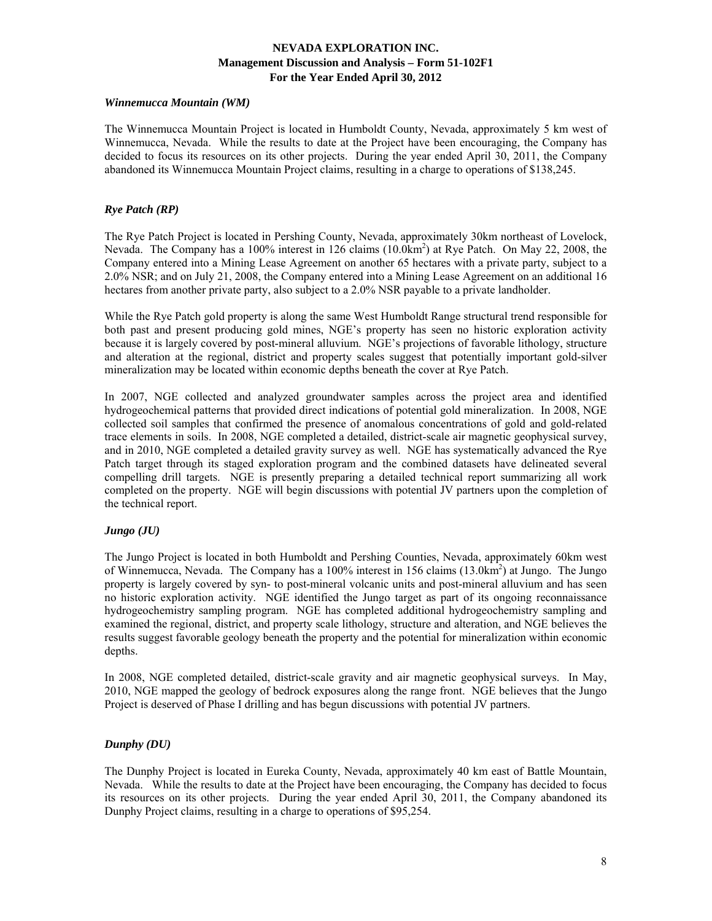### *Winnemucca Mountain (WM)*

The Winnemucca Mountain Project is located in Humboldt County, Nevada, approximately 5 km west of Winnemucca, Nevada. While the results to date at the Project have been encouraging, the Company has decided to focus its resources on its other projects. During the year ended April 30, 2011, the Company abandoned its Winnemucca Mountain Project claims, resulting in a charge to operations of \$138,245.

# *Rye Patch (RP)*

The Rye Patch Project is located in Pershing County, Nevada, approximately 30km northeast of Lovelock, Nevada. The Company has a 100% interest in 126 claims (10.0km<sup>2</sup>) at Rye Patch. On May 22, 2008, the Company entered into a Mining Lease Agreement on another 65 hectares with a private party, subject to a 2.0% NSR; and on July 21, 2008, the Company entered into a Mining Lease Agreement on an additional 16 hectares from another private party, also subject to a 2.0% NSR payable to a private landholder.

While the Rye Patch gold property is along the same West Humboldt Range structural trend responsible for both past and present producing gold mines, NGE's property has seen no historic exploration activity because it is largely covered by post-mineral alluvium. NGE's projections of favorable lithology, structure and alteration at the regional, district and property scales suggest that potentially important gold-silver mineralization may be located within economic depths beneath the cover at Rye Patch.

In 2007, NGE collected and analyzed groundwater samples across the project area and identified hydrogeochemical patterns that provided direct indications of potential gold mineralization. In 2008, NGE collected soil samples that confirmed the presence of anomalous concentrations of gold and gold-related trace elements in soils. In 2008, NGE completed a detailed, district-scale air magnetic geophysical survey, and in 2010, NGE completed a detailed gravity survey as well. NGE has systematically advanced the Rye Patch target through its staged exploration program and the combined datasets have delineated several compelling drill targets. NGE is presently preparing a detailed technical report summarizing all work completed on the property. NGE will begin discussions with potential JV partners upon the completion of the technical report.

# *Jungo (JU)*

The Jungo Project is located in both Humboldt and Pershing Counties, Nevada, approximately 60km west of Winnemucca, Nevada. The Company has a 100% interest in 156 claims (13.0km<sup>2</sup>) at Jungo. The Jungo property is largely covered by syn- to post-mineral volcanic units and post-mineral alluvium and has seen no historic exploration activity. NGE identified the Jungo target as part of its ongoing reconnaissance hydrogeochemistry sampling program. NGE has completed additional hydrogeochemistry sampling and examined the regional, district, and property scale lithology, structure and alteration, and NGE believes the results suggest favorable geology beneath the property and the potential for mineralization within economic depths.

In 2008, NGE completed detailed, district-scale gravity and air magnetic geophysical surveys. In May, 2010, NGE mapped the geology of bedrock exposures along the range front. NGE believes that the Jungo Project is deserved of Phase I drilling and has begun discussions with potential JV partners.

# *Dunphy (DU)*

The Dunphy Project is located in Eureka County, Nevada, approximately 40 km east of Battle Mountain, Nevada. While the results to date at the Project have been encouraging, the Company has decided to focus its resources on its other projects. During the year ended April 30, 2011, the Company abandoned its Dunphy Project claims, resulting in a charge to operations of \$95,254.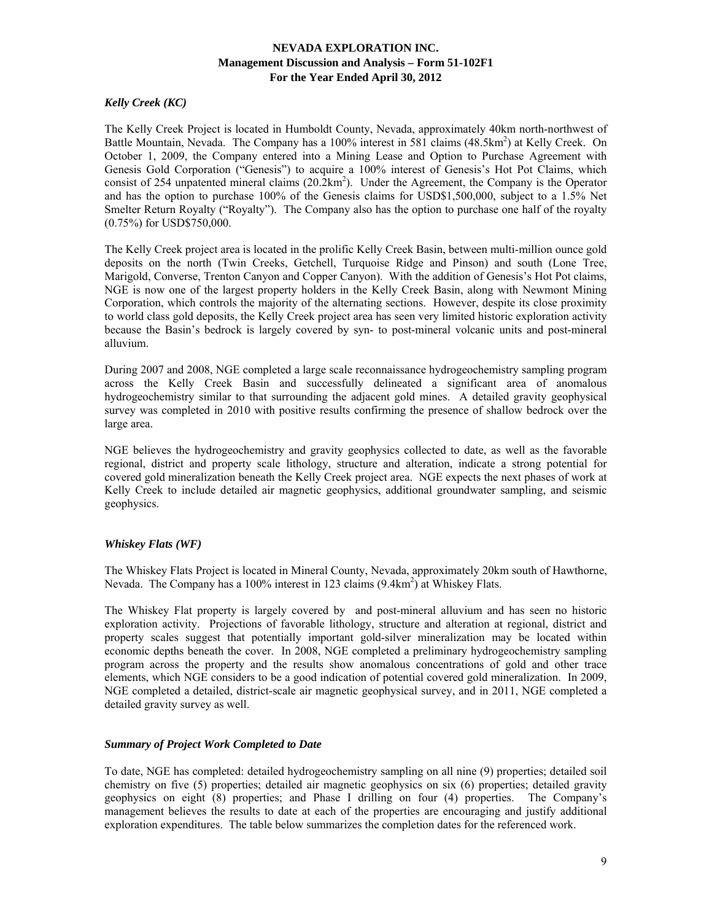# *Kelly Creek (KC)*

The Kelly Creek Project is located in Humboldt County, Nevada, approximately 40km north-northwest of Battle Mountain, Nevada. The Company has a 100% interest in 581 claims (48.5km<sup>2</sup>) at Kelly Creek. On October 1, 2009, the Company entered into a Mining Lease and Option to Purchase Agreement with Genesis Gold Corporation ("Genesis") to acquire a 100% interest of Genesis's Hot Pot Claims, which consist of 254 unpatented mineral claims  $(20.2 \text{km}^2)$ . Under the Agreement, the Company is the Operator and has the option to purchase 100% of the Genesis claims for USD\$1,500,000, subject to a 1.5% Net Smelter Return Royalty ("Royalty"). The Company also has the option to purchase one half of the royalty (0.75%) for USD\$750,000.

The Kelly Creek project area is located in the prolific Kelly Creek Basin, between multi-million ounce gold deposits on the north (Twin Creeks, Getchell, Turquoise Ridge and Pinson) and south (Lone Tree, Marigold, Converse, Trenton Canyon and Copper Canyon). With the addition of Genesis's Hot Pot claims, NGE is now one of the largest property holders in the Kelly Creek Basin, along with Newmont Mining Corporation, which controls the majority of the alternating sections. However, despite its close proximity to world class gold deposits, the Kelly Creek project area has seen very limited historic exploration activity because the Basin's bedrock is largely covered by syn- to post-mineral volcanic units and post-mineral alluvium.

During 2007 and 2008, NGE completed a large scale reconnaissance hydrogeochemistry sampling program across the Kelly Creek Basin and successfully delineated a significant area of anomalous hydrogeochemistry similar to that surrounding the adjacent gold mines. A detailed gravity geophysical survey was completed in 2010 with positive results confirming the presence of shallow bedrock over the large area.

NGE believes the hydrogeochemistry and gravity geophysics collected to date, as well as the favorable regional, district and property scale lithology, structure and alteration, indicate a strong potential for covered gold mineralization beneath the Kelly Creek project area. NGE expects the next phases of work at Kelly Creek to include detailed air magnetic geophysics, additional groundwater sampling, and seismic geophysics.

# *Whiskey Flats (WF)*

The Whiskey Flats Project is located in Mineral County, Nevada, approximately 20km south of Hawthorne, Nevada. The Company has a 100% interest in 123 claims (9.4km<sup>2</sup>) at Whiskey Flats.

The Whiskey Flat property is largely covered by and post-mineral alluvium and has seen no historic exploration activity. Projections of favorable lithology, structure and alteration at regional, district and property scales suggest that potentially important gold-silver mineralization may be located within economic depths beneath the cover. In 2008, NGE completed a preliminary hydrogeochemistry sampling program across the property and the results show anomalous concentrations of gold and other trace elements, which NGE considers to be a good indication of potential covered gold mineralization. In 2009, NGE completed a detailed, district-scale air magnetic geophysical survey, and in 2011, NGE completed a detailed gravity survey as well.

# *Summary of Project Work Completed to Date*

To date, NGE has completed: detailed hydrogeochemistry sampling on all nine (9) properties; detailed soil chemistry on five (5) properties; detailed air magnetic geophysics on six (6) properties; detailed gravity geophysics on eight (8) properties; and Phase I drilling on four (4) properties. The Company's management believes the results to date at each of the properties are encouraging and justify additional exploration expenditures. The table below summarizes the completion dates for the referenced work.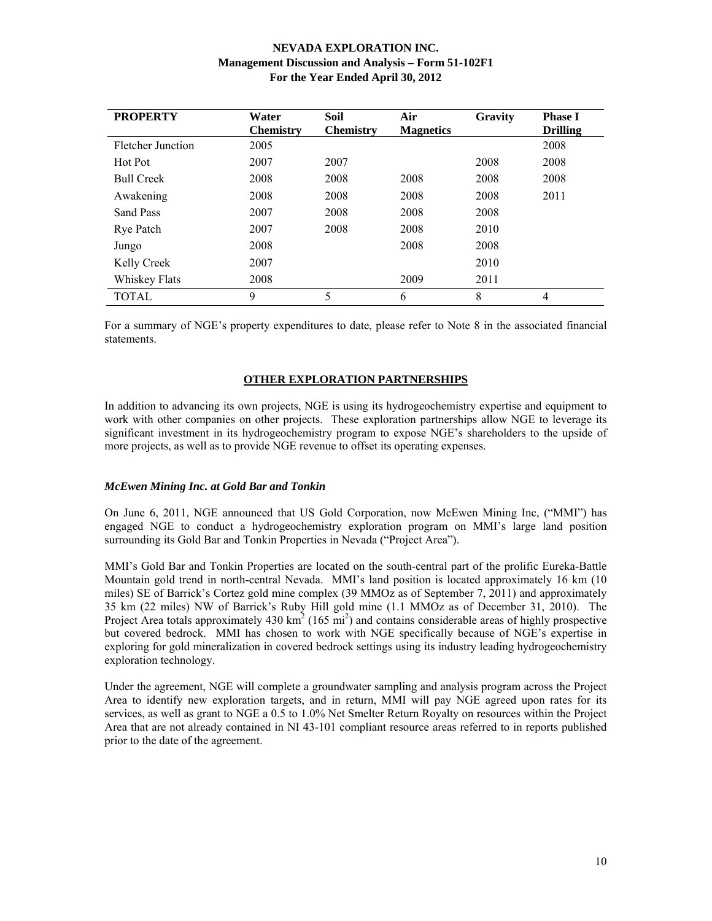| <b>PROPERTY</b>   | Water<br><b>Chemistry</b> | Soil<br><b>Chemistry</b> | Air<br><b>Magnetics</b> | Gravity | <b>Phase I</b><br><b>Drilling</b> |
|-------------------|---------------------------|--------------------------|-------------------------|---------|-----------------------------------|
| Fletcher Junction | 2005                      |                          |                         |         | 2008                              |
| Hot Pot           | 2007                      | 2007                     |                         | 2008    | 2008                              |
| <b>Bull Creek</b> | 2008                      | 2008                     | 2008                    | 2008    | 2008                              |
| Awakening         | 2008                      | 2008                     | 2008                    | 2008    | 2011                              |
| Sand Pass         | 2007                      | 2008                     | 2008                    | 2008    |                                   |
| <b>Rye Patch</b>  | 2007                      | 2008                     | 2008                    | 2010    |                                   |
| Jungo             | 2008                      |                          | 2008                    | 2008    |                                   |
| Kelly Creek       | 2007                      |                          |                         | 2010    |                                   |
| Whiskey Flats     | 2008                      |                          | 2009                    | 2011    |                                   |
| <b>TOTAL</b>      | 9                         | 5                        | 6                       | 8       | 4                                 |

For a summary of NGE's property expenditures to date, please refer to Note 8 in the associated financial statements.

# **OTHER EXPLORATION PARTNERSHIPS**

In addition to advancing its own projects, NGE is using its hydrogeochemistry expertise and equipment to work with other companies on other projects. These exploration partnerships allow NGE to leverage its significant investment in its hydrogeochemistry program to expose NGE's shareholders to the upside of more projects, as well as to provide NGE revenue to offset its operating expenses.

# *McEwen Mining Inc. at Gold Bar and Tonkin*

On June 6, 2011, NGE announced that US Gold Corporation, now McEwen Mining Inc, ("MMI") has engaged NGE to conduct a hydrogeochemistry exploration program on MMI's large land position surrounding its Gold Bar and Tonkin Properties in Nevada ("Project Area").

MMI's Gold Bar and Tonkin Properties are located on the south-central part of the prolific Eureka-Battle Mountain gold trend in north-central Nevada. MMI's land position is located approximately 16 km (10 miles) SE of Barrick's Cortez gold mine complex (39 MMOz as of September 7, 2011) and approximately 35 km (22 miles) NW of Barrick's Ruby Hill gold mine (1.1 MMOz as of December 31, 2010). The Project Area totals approximately 430  $\text{km}^2$  (165 mi<sup>2</sup>) and contains considerable areas of highly prospective but covered bedrock. MMI has chosen to work with NGE specifically because of NGE's expertise in exploring for gold mineralization in covered bedrock settings using its industry leading hydrogeochemistry exploration technology.

Under the agreement, NGE will complete a groundwater sampling and analysis program across the Project Area to identify new exploration targets, and in return, MMI will pay NGE agreed upon rates for its services, as well as grant to NGE a 0.5 to 1.0% Net Smelter Return Royalty on resources within the Project Area that are not already contained in NI 43-101 compliant resource areas referred to in reports published prior to the date of the agreement.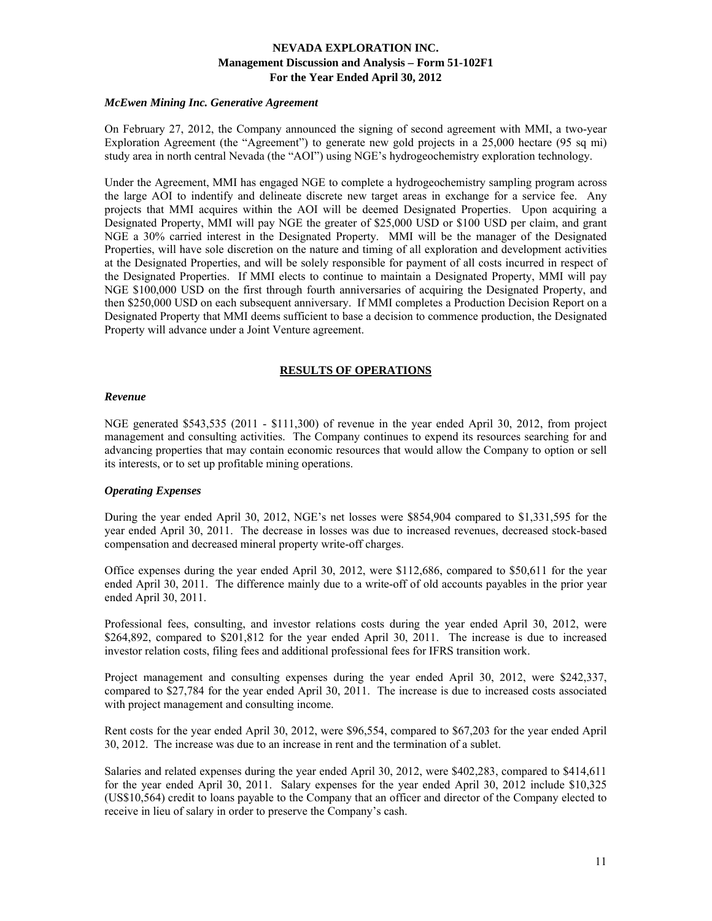### *McEwen Mining Inc. Generative Agreement*

On February 27, 2012, the Company announced the signing of second agreement with MMI, a two-year Exploration Agreement (the "Agreement") to generate new gold projects in a 25,000 hectare (95 sq mi) study area in north central Nevada (the "AOI") using NGE's hydrogeochemistry exploration technology.

Under the Agreement, MMI has engaged NGE to complete a hydrogeochemistry sampling program across the large AOI to indentify and delineate discrete new target areas in exchange for a service fee. Any projects that MMI acquires within the AOI will be deemed Designated Properties. Upon acquiring a Designated Property, MMI will pay NGE the greater of \$25,000 USD or \$100 USD per claim, and grant NGE a 30% carried interest in the Designated Property. MMI will be the manager of the Designated Properties, will have sole discretion on the nature and timing of all exploration and development activities at the Designated Properties, and will be solely responsible for payment of all costs incurred in respect of the Designated Properties. If MMI elects to continue to maintain a Designated Property, MMI will pay NGE \$100,000 USD on the first through fourth anniversaries of acquiring the Designated Property, and then \$250,000 USD on each subsequent anniversary. If MMI completes a Production Decision Report on a Designated Property that MMI deems sufficient to base a decision to commence production, the Designated Property will advance under a Joint Venture agreement.

# **RESULTS OF OPERATIONS**

### *Revenue*

NGE generated \$543,535 (2011 - \$111,300) of revenue in the year ended April 30, 2012, from project management and consulting activities. The Company continues to expend its resources searching for and advancing properties that may contain economic resources that would allow the Company to option or sell its interests, or to set up profitable mining operations.

# *Operating Expenses*

During the year ended April 30, 2012, NGE's net losses were \$854,904 compared to \$1,331,595 for the year ended April 30, 2011. The decrease in losses was due to increased revenues, decreased stock-based compensation and decreased mineral property write-off charges.

Office expenses during the year ended April 30, 2012, were \$112,686, compared to \$50,611 for the year ended April 30, 2011. The difference mainly due to a write-off of old accounts payables in the prior year ended April 30, 2011.

Professional fees, consulting, and investor relations costs during the year ended April 30, 2012, were \$264,892, compared to \$201,812 for the year ended April 30, 2011. The increase is due to increased investor relation costs, filing fees and additional professional fees for IFRS transition work.

Project management and consulting expenses during the year ended April 30, 2012, were \$242,337, compared to \$27,784 for the year ended April 30, 2011. The increase is due to increased costs associated with project management and consulting income.

Rent costs for the year ended April 30, 2012, were \$96,554, compared to \$67,203 for the year ended April 30, 2012. The increase was due to an increase in rent and the termination of a sublet.

Salaries and related expenses during the year ended April 30, 2012, were \$402,283, compared to \$414,611 for the year ended April 30, 2011. Salary expenses for the year ended April 30, 2012 include \$10,325 (US\$10,564) credit to loans payable to the Company that an officer and director of the Company elected to receive in lieu of salary in order to preserve the Company's cash.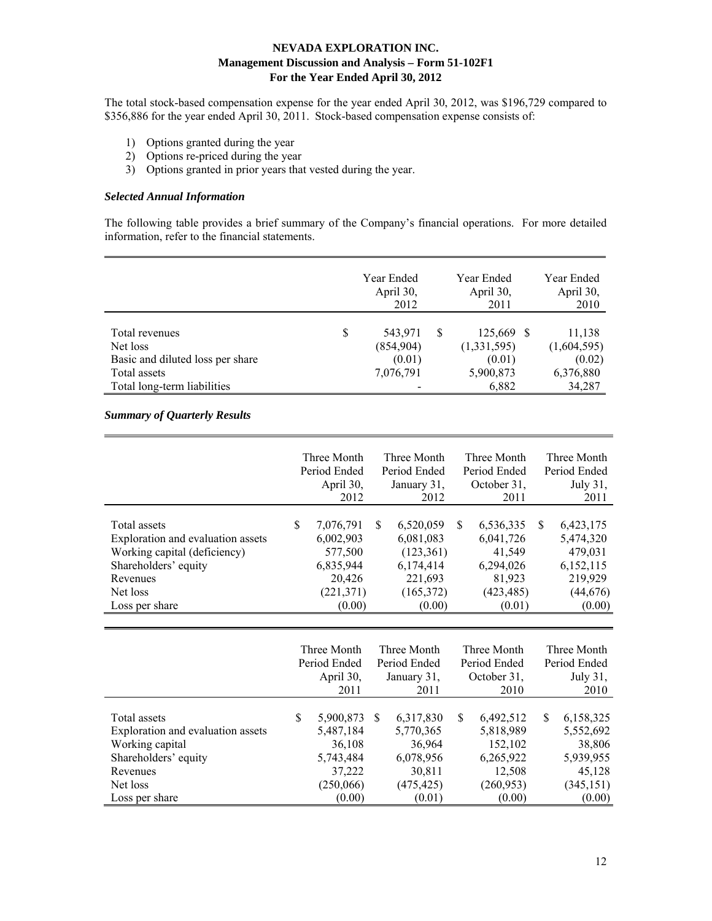The total stock-based compensation expense for the year ended April 30, 2012, was \$196,729 compared to \$356,886 for the year ended April 30, 2011. Stock-based compensation expense consists of:

- 1) Options granted during the year
- 2) Options re-priced during the year
- 3) Options granted in prior years that vested during the year.

### *Selected Annual Information*

The following table provides a brief summary of the Company's financial operations. For more detailed information, refer to the financial statements.

|                                  | Year Ended<br>April 30,<br>2012 |   | Year Ended<br>April 30,<br>2011 | Year Ended<br>April 30,<br>2010 |
|----------------------------------|---------------------------------|---|---------------------------------|---------------------------------|
| Total revenues                   | \$<br>543,971                   | S | 125,669 \$                      | 11,138                          |
| Net loss                         | (854,904)                       |   | (1,331,595)                     | (1,604,595)                     |
| Basic and diluted loss per share | (0.01)                          |   | (0.01)                          | (0.02)                          |
| Total assets                     | 7,076,791                       |   | 5,900,873                       | 6,376,880                       |
| Total long-term liabilities      |                                 |   | 6,882                           | 34,287                          |

# *Summary of Quarterly Results*

|                                                                                                                                                     |    | Three Month<br>Period Ended<br>April 30,<br>2012                                 |    | Three Month<br>Period Ended<br>January 31,<br>2012                                   |    | Three Month<br>Period Ended<br>October 31,<br>2011                              |               | Three Month<br>Period Ended<br>July 31,<br>2011                                  |
|-----------------------------------------------------------------------------------------------------------------------------------------------------|----|----------------------------------------------------------------------------------|----|--------------------------------------------------------------------------------------|----|---------------------------------------------------------------------------------|---------------|----------------------------------------------------------------------------------|
| Total assets<br>Exploration and evaluation assets<br>Working capital (deficiency)<br>Shareholders' equity<br>Revenues<br>Net loss<br>Loss per share | S. | 7,076,791<br>6,002,903<br>577,500<br>6,835,944<br>20,426<br>(221, 371)<br>(0.00) | S. | 6,520,059<br>6,081,083<br>(123, 361)<br>6,174,414<br>221,693<br>(165, 372)<br>(0.00) | S. | 6,536,335<br>6,041,726<br>41.549<br>6,294,026<br>81,923<br>(423, 485)<br>(0.01) | <sup>\$</sup> | 6,423,175<br>5,474,320<br>479,031<br>6,152,115<br>219,929<br>(44, 676)<br>(0.00) |

|                                                      |   | Three Month<br>Period Ended<br>April 30. |          | Three Month<br>Period Ended<br>January 31, | Three Month<br>Period Ended<br>October 31, |                      |     | Three Month<br>Period Ended<br>July $31$ , |
|------------------------------------------------------|---|------------------------------------------|----------|--------------------------------------------|--------------------------------------------|----------------------|-----|--------------------------------------------|
|                                                      |   | 2011                                     |          | 2011                                       |                                            | 2010                 |     | 2010                                       |
| Total assets                                         | S | 5,900,873                                | <b>S</b> | 6,317,830                                  | \$                                         | 6,492,512            | \$. | 6,158,325                                  |
| Exploration and evaluation assets<br>Working capital |   | 5,487,184<br>36,108                      |          | 5,770,365<br>36,964                        |                                            | 5,818,989<br>152,102 |     | 5,552,692<br>38,806                        |
| Shareholders' equity                                 |   | 5,743,484                                |          | 6,078,956                                  |                                            | 6,265,922            |     | 5,939,955                                  |
| Revenues                                             |   | 37,222                                   |          | 30,811                                     |                                            | 12,508               |     | 45,128                                     |
| Net loss                                             |   | (250,066)                                |          | (475, 425)                                 |                                            | (260, 953)           |     | (345, 151)                                 |
| Loss per share                                       |   | (0.00)                                   |          | (0.01)                                     |                                            | (0.00)               |     | (0.00)                                     |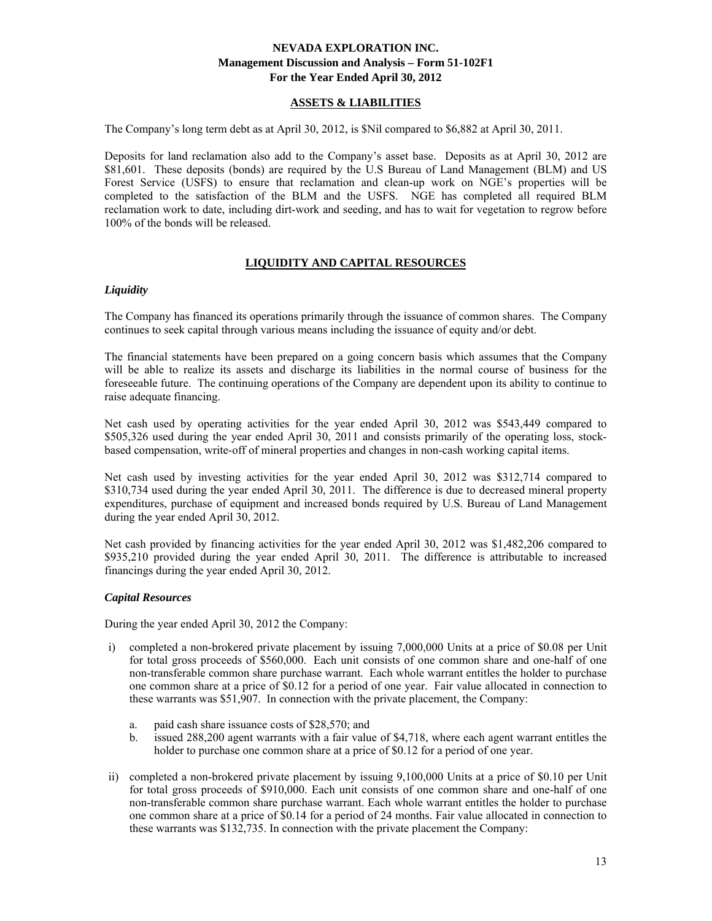# **ASSETS & LIABILITIES**

The Company's long term debt as at April 30, 2012, is \$Nil compared to \$6,882 at April 30, 2011.

Deposits for land reclamation also add to the Company's asset base. Deposits as at April 30, 2012 are \$81,601. These deposits (bonds) are required by the U.S Bureau of Land Management (BLM) and US Forest Service (USFS) to ensure that reclamation and clean-up work on NGE's properties will be completed to the satisfaction of the BLM and the USFS. NGE has completed all required BLM reclamation work to date, including dirt-work and seeding, and has to wait for vegetation to regrow before 100% of the bonds will be released.

# **LIQUIDITY AND CAPITAL RESOURCES**

### *Liquidity*

The Company has financed its operations primarily through the issuance of common shares. The Company continues to seek capital through various means including the issuance of equity and/or debt.

The financial statements have been prepared on a going concern basis which assumes that the Company will be able to realize its assets and discharge its liabilities in the normal course of business for the foreseeable future. The continuing operations of the Company are dependent upon its ability to continue to raise adequate financing.

Net cash used by operating activities for the year ended April 30, 2012 was \$543,449 compared to \$505,326 used during the year ended April 30, 2011 and consists primarily of the operating loss, stockbased compensation, write-off of mineral properties and changes in non-cash working capital items.

Net cash used by investing activities for the year ended April 30, 2012 was \$312,714 compared to \$310,734 used during the year ended April 30, 2011. The difference is due to decreased mineral property expenditures, purchase of equipment and increased bonds required by U.S. Bureau of Land Management during the year ended April 30, 2012.

Net cash provided by financing activities for the year ended April 30, 2012 was \$1,482,206 compared to \$935,210 provided during the year ended April 30, 2011. The difference is attributable to increased financings during the year ended April 30, 2012.

# *Capital Resources*

During the year ended April 30, 2012 the Company:

- i) completed a non-brokered private placement by issuing 7,000,000 Units at a price of \$0.08 per Unit for total gross proceeds of \$560,000. Each unit consists of one common share and one-half of one non-transferable common share purchase warrant. Each whole warrant entitles the holder to purchase one common share at a price of \$0.12 for a period of one year. Fair value allocated in connection to these warrants was \$51,907. In connection with the private placement, the Company:
	- a. paid cash share issuance costs of \$28,570; and
	- b. issued 288,200 agent warrants with a fair value of \$4,718, where each agent warrant entitles the holder to purchase one common share at a price of \$0.12 for a period of one year.
- ii) completed a non-brokered private placement by issuing 9,100,000 Units at a price of \$0.10 per Unit for total gross proceeds of \$910,000. Each unit consists of one common share and one-half of one non-transferable common share purchase warrant. Each whole warrant entitles the holder to purchase one common share at a price of \$0.14 for a period of 24 months. Fair value allocated in connection to these warrants was \$132,735. In connection with the private placement the Company: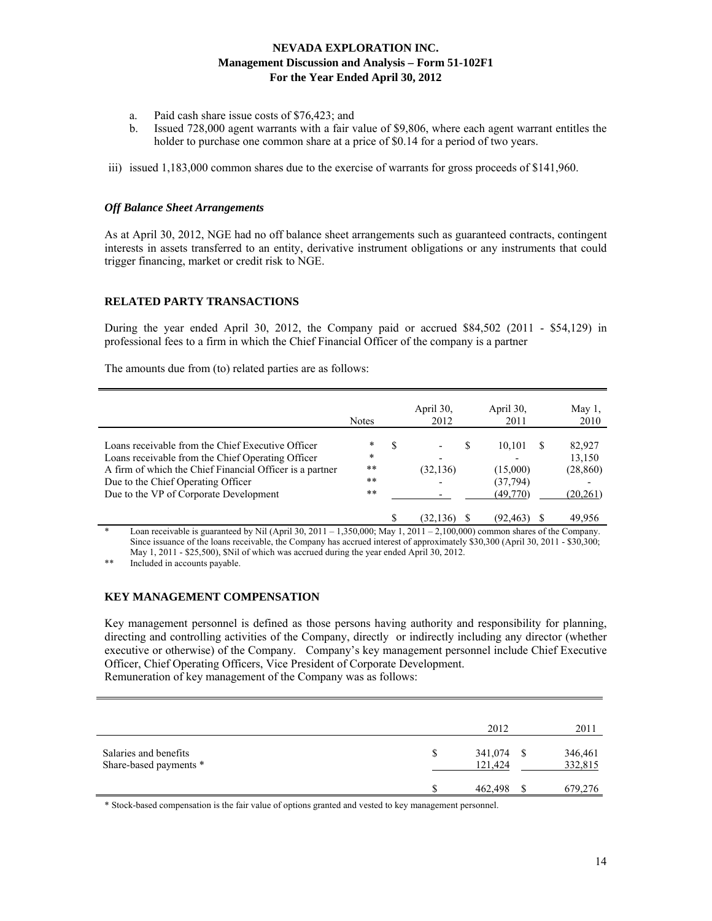- a. Paid cash share issue costs of \$76,423; and
- b. Issued 728,000 agent warrants with a fair value of \$9,806, where each agent warrant entitles the holder to purchase one common share at a price of \$0.14 for a period of two years.
- iii) issued 1,183,000 common shares due to the exercise of warrants for gross proceeds of \$141,960.

### *Off Balance Sheet Arrangements*

As at April 30, 2012, NGE had no off balance sheet arrangements such as guaranteed contracts, contingent interests in assets transferred to an entity, derivative instrument obligations or any instruments that could trigger financing, market or credit risk to NGE.

# **RELATED PARTY TRANSACTIONS**

During the year ended April 30, 2012, the Company paid or accrued \$84,502 (2011 - \$54,129) in professional fees to a firm in which the Chief Financial Officer of the company is a partner

The amounts due from (to) related parties are as follows:

|                                                                                                                                                                                                                                                    | <b>Notes</b>                          |   | April 30.<br>2012                          | April 30,<br>2011                          | May $1$ ,<br>2010                         |
|----------------------------------------------------------------------------------------------------------------------------------------------------------------------------------------------------------------------------------------------------|---------------------------------------|---|--------------------------------------------|--------------------------------------------|-------------------------------------------|
| Loans receivable from the Chief Executive Officer<br>Loans receivable from the Chief Operating Officer<br>A firm of which the Chief Financial Officer is a partner<br>Due to the Chief Operating Officer<br>Due to the VP of Corporate Development | $\ast$<br>*<br>$**$<br>$* *$<br>$* *$ | S | S<br>$\overline{\phantom{a}}$<br>(32, 136) | 10.101<br>(15,000)<br>(37,794)<br>(49,770) | 82,927<br>13,150<br>(28, 860)<br>(20,261) |
|                                                                                                                                                                                                                                                    |                                       |   | 32.<br>136)                                | (92,463)                                   | 49.956                                    |

Loan receivable is guaranteed by Nil (April 30, 2011 – 1,350,000; May 1, 2011 – 2,100,000) common shares of the Company. Since issuance of the loans receivable, the Company has accrued interest of approximately \$30,300 (April 30, 2011 - \$30,300; May 1, 2011 - \$25,500), \$Nil of which was accrued during the year ended April 30, 2012.

Included in accounts payable.

# **KEY MANAGEMENT COMPENSATION**

Key management personnel is defined as those persons having authority and responsibility for planning, directing and controlling activities of the Company, directly or indirectly including any director (whether executive or otherwise) of the Company. Company's key management personnel include Chief Executive Officer, Chief Operating Officers, Vice President of Corporate Development. Remuneration of key management of the Company was as follows:

|                                                 | 2012                     |     | 2011               |
|-------------------------------------------------|--------------------------|-----|--------------------|
| Salaries and benefits<br>Share-based payments * | \$<br>341,074<br>121,424 | S S | 346,461<br>332,815 |
|                                                 | 462,498                  |     | 679,276            |

\* Stock-based compensation is the fair value of options granted and vested to key management personnel.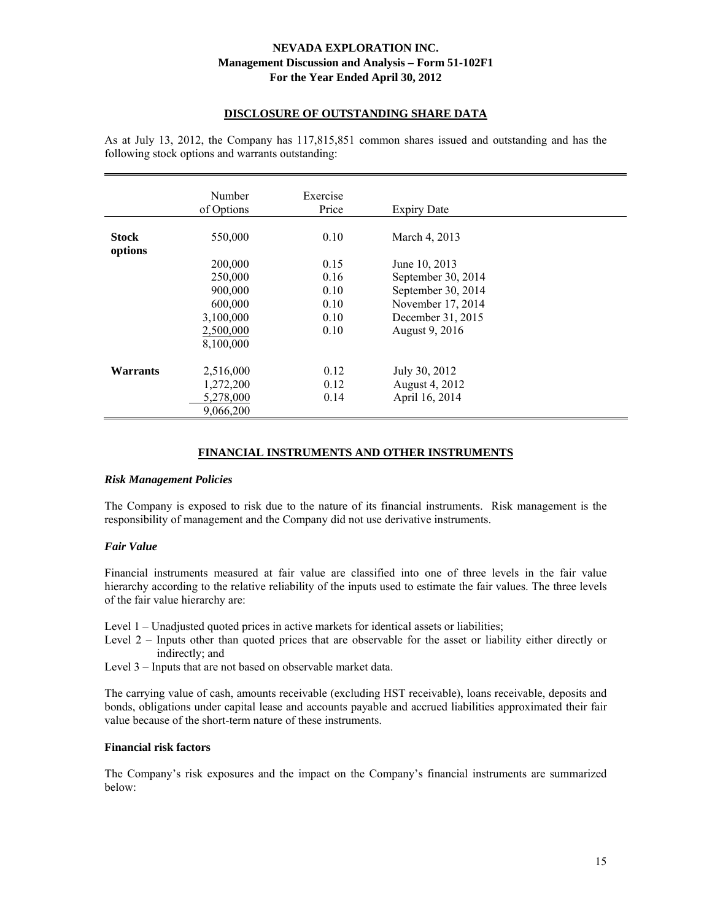### **DISCLOSURE OF OUTSTANDING SHARE DATA**

As at July 13, 2012, the Company has 117,815,851 common shares issued and outstanding and has the following stock options and warrants outstanding:

|                 | Number<br>of Options | Exercise<br>Price | <b>Expiry Date</b> |  |
|-----------------|----------------------|-------------------|--------------------|--|
|                 |                      |                   |                    |  |
| <b>Stock</b>    | 550,000              | 0.10              | March 4, 2013      |  |
| options         |                      |                   |                    |  |
|                 | 200,000              | 0.15              | June 10, 2013      |  |
|                 | 250,000              | 0.16              | September 30, 2014 |  |
|                 | 900,000              | 0.10              | September 30, 2014 |  |
|                 | 600,000              | 0.10              | November 17, 2014  |  |
|                 | 3,100,000            | 0.10              | December 31, 2015  |  |
|                 | 2,500,000            | 0.10              | August 9, 2016     |  |
|                 | 8,100,000            |                   |                    |  |
|                 |                      |                   |                    |  |
| <b>Warrants</b> | 2,516,000            | 0.12              | July 30, 2012      |  |
|                 | 1,272,200            | 0.12              | August 4, 2012     |  |
|                 | 5,278,000            | 0.14              | April 16, 2014     |  |
|                 | 9,066,200            |                   |                    |  |

### **FINANCIAL INSTRUMENTS AND OTHER INSTRUMENTS**

#### *Risk Management Policies*

The Company is exposed to risk due to the nature of its financial instruments. Risk management is the responsibility of management and the Company did not use derivative instruments.

#### *Fair Value*

Financial instruments measured at fair value are classified into one of three levels in the fair value hierarchy according to the relative reliability of the inputs used to estimate the fair values. The three levels of the fair value hierarchy are:

Level 1 – Unadjusted quoted prices in active markets for identical assets or liabilities;

- Level 2 Inputs other than quoted prices that are observable for the asset or liability either directly or indirectly; and
- Level 3 Inputs that are not based on observable market data.

The carrying value of cash, amounts receivable (excluding HST receivable), loans receivable, deposits and bonds, obligations under capital lease and accounts payable and accrued liabilities approximated their fair value because of the short-term nature of these instruments.

### **Financial risk factors**

The Company's risk exposures and the impact on the Company's financial instruments are summarized below: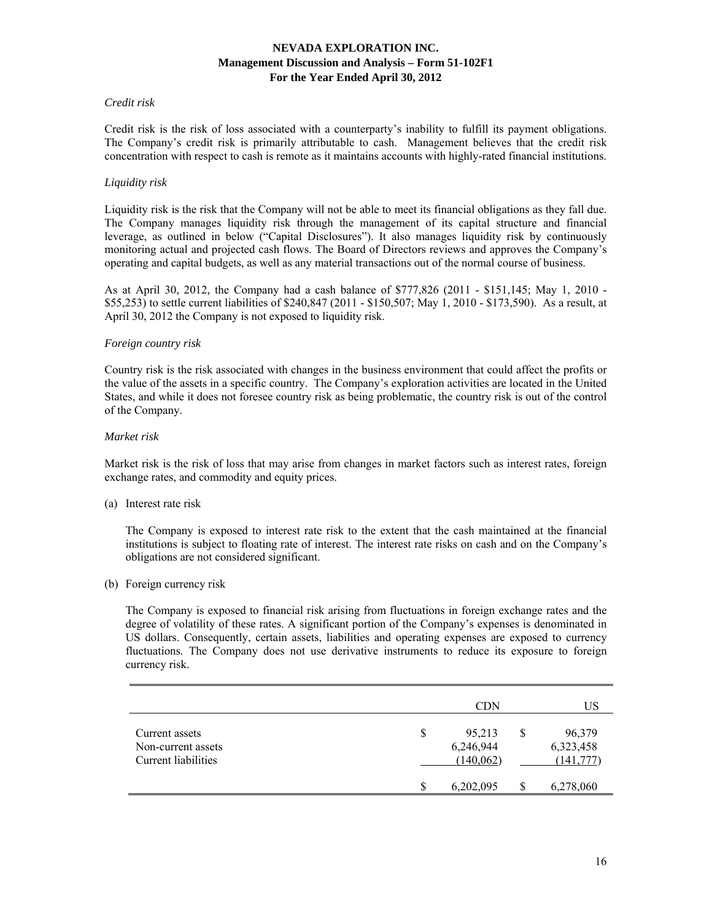### *Credit risk*

Credit risk is the risk of loss associated with a counterparty's inability to fulfill its payment obligations. The Company's credit risk is primarily attributable to cash. Management believes that the credit risk concentration with respect to cash is remote as it maintains accounts with highly-rated financial institutions.

### *Liquidity risk*

Liquidity risk is the risk that the Company will not be able to meet its financial obligations as they fall due. The Company manages liquidity risk through the management of its capital structure and financial leverage, as outlined in below ("Capital Disclosures"). It also manages liquidity risk by continuously monitoring actual and projected cash flows. The Board of Directors reviews and approves the Company's operating and capital budgets, as well as any material transactions out of the normal course of business.

As at April 30, 2012, the Company had a cash balance of \$777,826 (2011 - \$151,145; May 1, 2010 - \$55,253) to settle current liabilities of \$240,847 (2011 - \$150,507; May 1, 2010 - \$173,590). As a result, at April 30, 2012 the Company is not exposed to liquidity risk.

#### *Foreign country risk*

Country risk is the risk associated with changes in the business environment that could affect the profits or the value of the assets in a specific country. The Company's exploration activities are located in the United States, and while it does not foresee country risk as being problematic, the country risk is out of the control of the Company.

#### *Market risk*

Market risk is the risk of loss that may arise from changes in market factors such as interest rates, foreign exchange rates, and commodity and equity prices.

(a) Interest rate risk

 The Company is exposed to interest rate risk to the extent that the cash maintained at the financial institutions is subject to floating rate of interest. The interest rate risks on cash and on the Company's obligations are not considered significant.

(b) Foreign currency risk

 The Company is exposed to financial risk arising from fluctuations in foreign exchange rates and the degree of volatility of these rates. A significant portion of the Company's expenses is denominated in US dollars. Consequently, certain assets, liabilities and operating expenses are exposed to currency fluctuations. The Company does not use derivative instruments to reduce its exposure to foreign currency risk.

|                                                             | <b>CDN</b>                             | US |                                   |  |
|-------------------------------------------------------------|----------------------------------------|----|-----------------------------------|--|
| Current assets<br>Non-current assets<br>Current liabilities | \$<br>95,213<br>6,246,944<br>(140,062) |    | 96,379<br>6,323,458<br>(141, 777) |  |
|                                                             | 6,202,095                              |    | 6,278,060                         |  |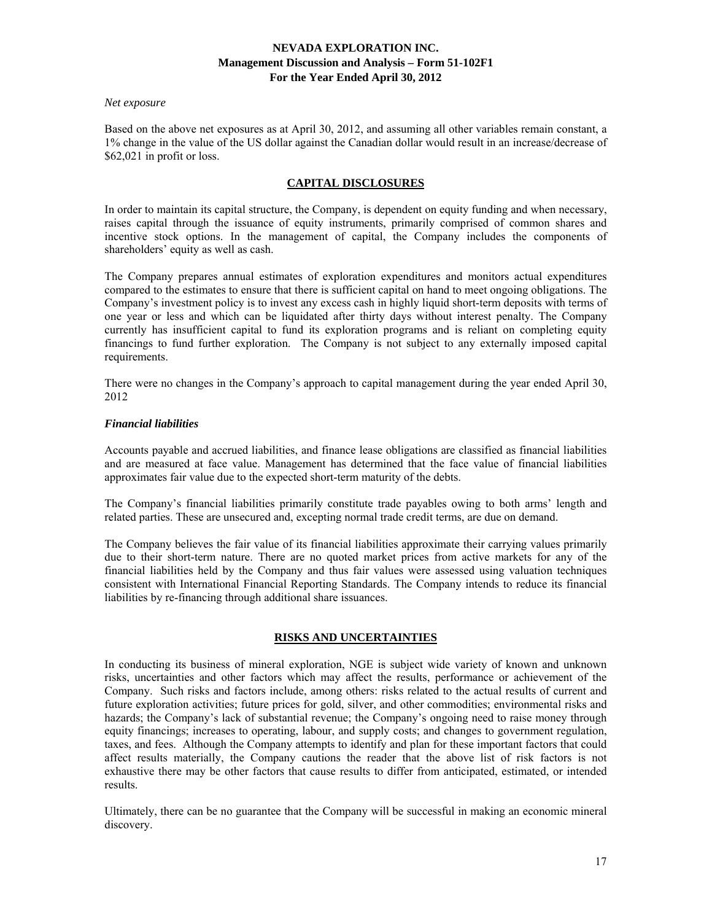#### *Net exposure*

Based on the above net exposures as at April 30, 2012, and assuming all other variables remain constant, a 1% change in the value of the US dollar against the Canadian dollar would result in an increase/decrease of \$62,021 in profit or loss.

# **CAPITAL DISCLOSURES**

In order to maintain its capital structure, the Company, is dependent on equity funding and when necessary, raises capital through the issuance of equity instruments, primarily comprised of common shares and incentive stock options. In the management of capital, the Company includes the components of shareholders' equity as well as cash.

The Company prepares annual estimates of exploration expenditures and monitors actual expenditures compared to the estimates to ensure that there is sufficient capital on hand to meet ongoing obligations. The Company's investment policy is to invest any excess cash in highly liquid short-term deposits with terms of one year or less and which can be liquidated after thirty days without interest penalty. The Company currently has insufficient capital to fund its exploration programs and is reliant on completing equity financings to fund further exploration. The Company is not subject to any externally imposed capital requirements.

There were no changes in the Company's approach to capital management during the year ended April 30, 2012

### *Financial liabilities*

Accounts payable and accrued liabilities, and finance lease obligations are classified as financial liabilities and are measured at face value. Management has determined that the face value of financial liabilities approximates fair value due to the expected short-term maturity of the debts.

The Company's financial liabilities primarily constitute trade payables owing to both arms' length and related parties. These are unsecured and, excepting normal trade credit terms, are due on demand.

The Company believes the fair value of its financial liabilities approximate their carrying values primarily due to their short-term nature. There are no quoted market prices from active markets for any of the financial liabilities held by the Company and thus fair values were assessed using valuation techniques consistent with International Financial Reporting Standards. The Company intends to reduce its financial liabilities by re-financing through additional share issuances.

# **RISKS AND UNCERTAINTIES**

In conducting its business of mineral exploration, NGE is subject wide variety of known and unknown risks, uncertainties and other factors which may affect the results, performance or achievement of the Company. Such risks and factors include, among others: risks related to the actual results of current and future exploration activities; future prices for gold, silver, and other commodities; environmental risks and hazards; the Company's lack of substantial revenue; the Company's ongoing need to raise money through equity financings; increases to operating, labour, and supply costs; and changes to government regulation, taxes, and fees. Although the Company attempts to identify and plan for these important factors that could affect results materially, the Company cautions the reader that the above list of risk factors is not exhaustive there may be other factors that cause results to differ from anticipated, estimated, or intended results.

Ultimately, there can be no guarantee that the Company will be successful in making an economic mineral discovery.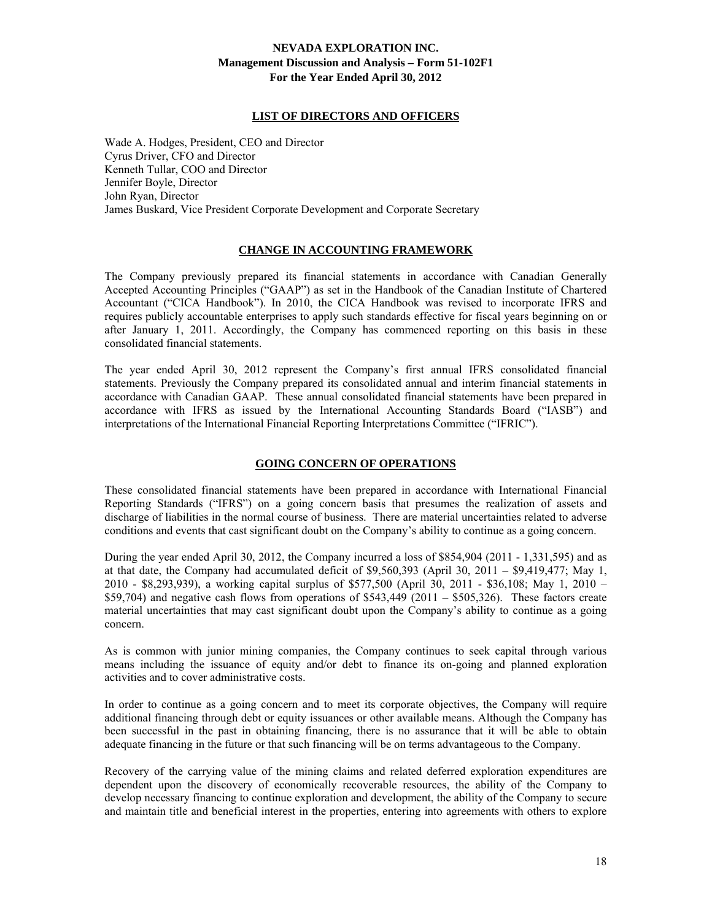### **LIST OF DIRECTORS AND OFFICERS**

Wade A. Hodges, President, CEO and Director Cyrus Driver, CFO and Director Kenneth Tullar, COO and Director Jennifer Boyle, Director John Ryan, Director James Buskard, Vice President Corporate Development and Corporate Secretary

# **CHANGE IN ACCOUNTING FRAMEWORK**

The Company previously prepared its financial statements in accordance with Canadian Generally Accepted Accounting Principles ("GAAP") as set in the Handbook of the Canadian Institute of Chartered Accountant ("CICA Handbook"). In 2010, the CICA Handbook was revised to incorporate IFRS and requires publicly accountable enterprises to apply such standards effective for fiscal years beginning on or after January 1, 2011. Accordingly, the Company has commenced reporting on this basis in these consolidated financial statements.

The year ended April 30, 2012 represent the Company's first annual IFRS consolidated financial statements. Previously the Company prepared its consolidated annual and interim financial statements in accordance with Canadian GAAP. These annual consolidated financial statements have been prepared in accordance with IFRS as issued by the International Accounting Standards Board ("IASB") and interpretations of the International Financial Reporting Interpretations Committee ("IFRIC").

# **GOING CONCERN OF OPERATIONS**

These consolidated financial statements have been prepared in accordance with International Financial Reporting Standards ("IFRS") on a going concern basis that presumes the realization of assets and discharge of liabilities in the normal course of business. There are material uncertainties related to adverse conditions and events that cast significant doubt on the Company's ability to continue as a going concern.

During the year ended April 30, 2012, the Company incurred a loss of \$854,904 (2011 - 1,331,595) and as at that date, the Company had accumulated deficit of \$9,560,393 (April 30, 2011 – \$9,419,477; May 1, 2010 - \$8,293,939), a working capital surplus of \$577,500 (April 30, 2011 - \$36,108; May 1, 2010 –  $$59,704$ ) and negative cash flows from operations of  $$543,449$  (2011 –  $$505,326$ ). These factors create material uncertainties that may cast significant doubt upon the Company's ability to continue as a going concern.

As is common with junior mining companies, the Company continues to seek capital through various means including the issuance of equity and/or debt to finance its on-going and planned exploration activities and to cover administrative costs.

In order to continue as a going concern and to meet its corporate objectives, the Company will require additional financing through debt or equity issuances or other available means. Although the Company has been successful in the past in obtaining financing, there is no assurance that it will be able to obtain adequate financing in the future or that such financing will be on terms advantageous to the Company.

Recovery of the carrying value of the mining claims and related deferred exploration expenditures are dependent upon the discovery of economically recoverable resources, the ability of the Company to develop necessary financing to continue exploration and development, the ability of the Company to secure and maintain title and beneficial interest in the properties, entering into agreements with others to explore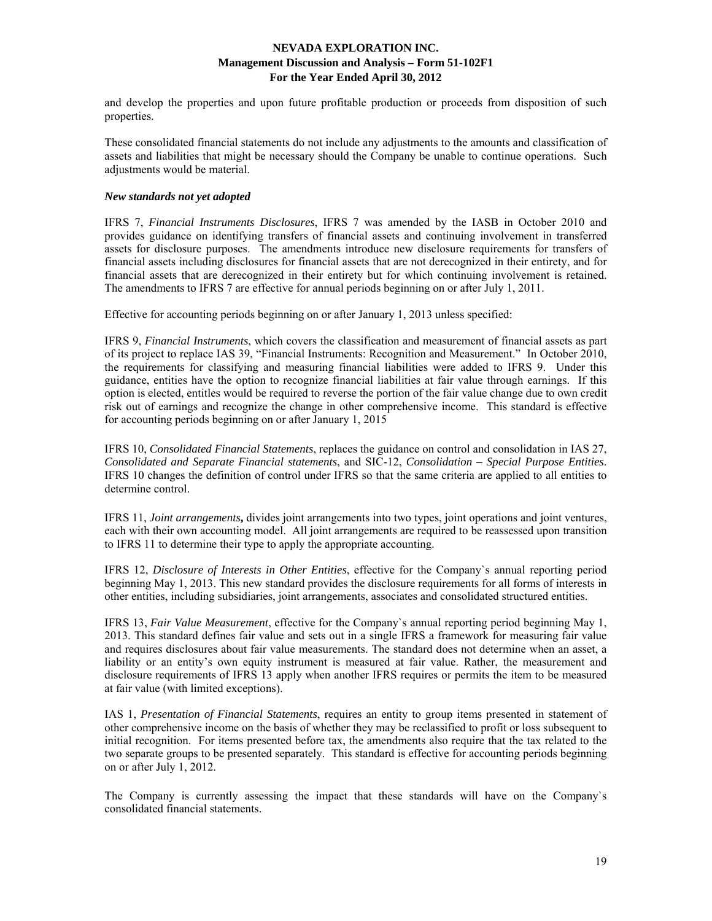and develop the properties and upon future profitable production or proceeds from disposition of such properties.

These consolidated financial statements do not include any adjustments to the amounts and classification of assets and liabilities that might be necessary should the Company be unable to continue operations. Such adjustments would be material.

### *New standards not yet adopted*

IFRS 7, *Financial Instruments Disclosures*, IFRS 7 was amended by the IASB in October 2010 and provides guidance on identifying transfers of financial assets and continuing involvement in transferred assets for disclosure purposes. The amendments introduce new disclosure requirements for transfers of financial assets including disclosures for financial assets that are not derecognized in their entirety, and for financial assets that are derecognized in their entirety but for which continuing involvement is retained. The amendments to IFRS 7 are effective for annual periods beginning on or after July 1, 2011.

Effective for accounting periods beginning on or after January 1, 2013 unless specified:

IFRS 9, *Financial Instruments*, which covers the classification and measurement of financial assets as part of its project to replace IAS 39, "Financial Instruments: Recognition and Measurement." In October 2010, the requirements for classifying and measuring financial liabilities were added to IFRS 9. Under this guidance, entities have the option to recognize financial liabilities at fair value through earnings. If this option is elected, entitles would be required to reverse the portion of the fair value change due to own credit risk out of earnings and recognize the change in other comprehensive income. This standard is effective for accounting periods beginning on or after January 1, 2015

IFRS 10, *Consolidated Financial Statements*, replaces the guidance on control and consolidation in IAS 27, *Consolidated and Separate Financial statements*, and SIC-12, *Consolidation – Special Purpose Entities*. IFRS 10 changes the definition of control under IFRS so that the same criteria are applied to all entities to determine control.

IFRS 11, *Joint arrangements***,** divides joint arrangements into two types, joint operations and joint ventures, each with their own accounting model. All joint arrangements are required to be reassessed upon transition to IFRS 11 to determine their type to apply the appropriate accounting.

IFRS 12, *Disclosure of Interests in Other Entities*, effective for the Company`s annual reporting period beginning May 1, 2013. This new standard provides the disclosure requirements for all forms of interests in other entities, including subsidiaries, joint arrangements, associates and consolidated structured entities.

IFRS 13, *Fair Value Measurement*, effective for the Company`s annual reporting period beginning May 1, 2013. This standard defines fair value and sets out in a single IFRS a framework for measuring fair value and requires disclosures about fair value measurements. The standard does not determine when an asset, a liability or an entity's own equity instrument is measured at fair value. Rather, the measurement and disclosure requirements of IFRS 13 apply when another IFRS requires or permits the item to be measured at fair value (with limited exceptions).

IAS 1, *Presentation of Financial Statements*, requires an entity to group items presented in statement of other comprehensive income on the basis of whether they may be reclassified to profit or loss subsequent to initial recognition. For items presented before tax, the amendments also require that the tax related to the two separate groups to be presented separately. This standard is effective for accounting periods beginning on or after July 1, 2012.

The Company is currently assessing the impact that these standards will have on the Company`s consolidated financial statements.